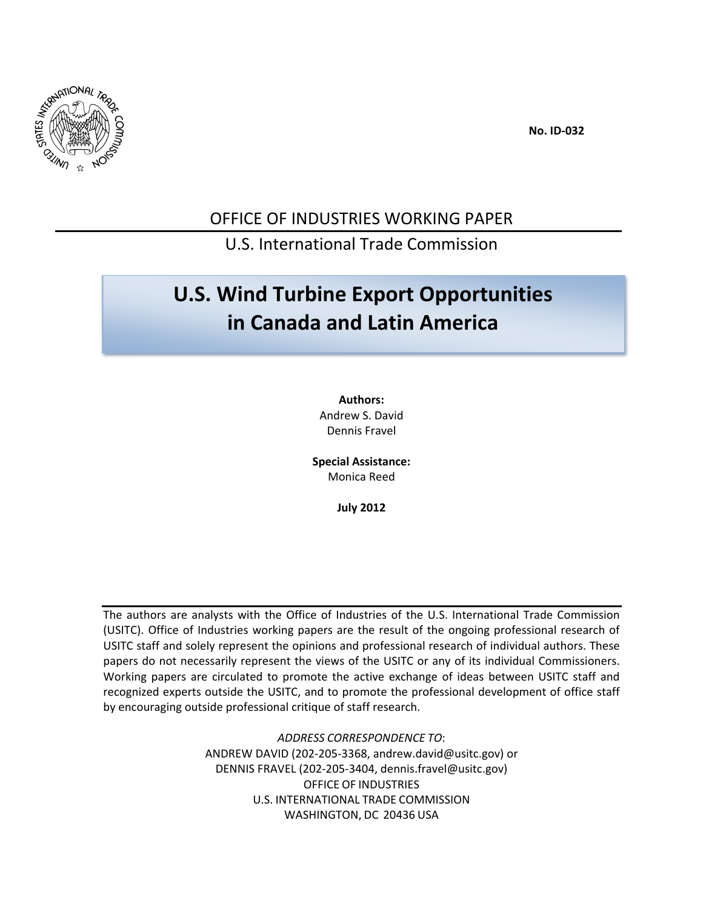

 **No. ID‐032**

### OFFICE OF INDUSTRIES WORKING PAPER

#### U.S. International Trade Commission

# **U.S. Wind Turbine Export Opportunities in Canada and Latin America**

**Authors:** Andrew S. David Dennis Fravel

**Special Assistance:** Monica Reed

**July 2012**

The authors are analysts with the Office of Industries of the U.S. International Trade Commission (USITC). Office of Industries working papers are the result of the ongoing professional research of USITC staff and solely represent the opinions and professional research of individual authors. These papers do not necessarily represent the views of the USITC or any of its individual Commissioners. Working papers are circulated to promote the active exchange of ideas between USITC staff and recognized experts outside the USITC, and to promote the professional development of office staff by encouraging outside professional critique of staff research.

> *ADDRESS CORRESPONDENCE TO*: ANDREW DAVID (202‐205‐3368, andrew.david@usitc.gov) or DENNIS FRAVEL (202‐205‐3404, dennis.fravel@usitc.gov) OFFICE OF INDUSTRIES U.S. INTERNATIONAL TRADE COMMISSION WASHINGTON, DC 20436 USA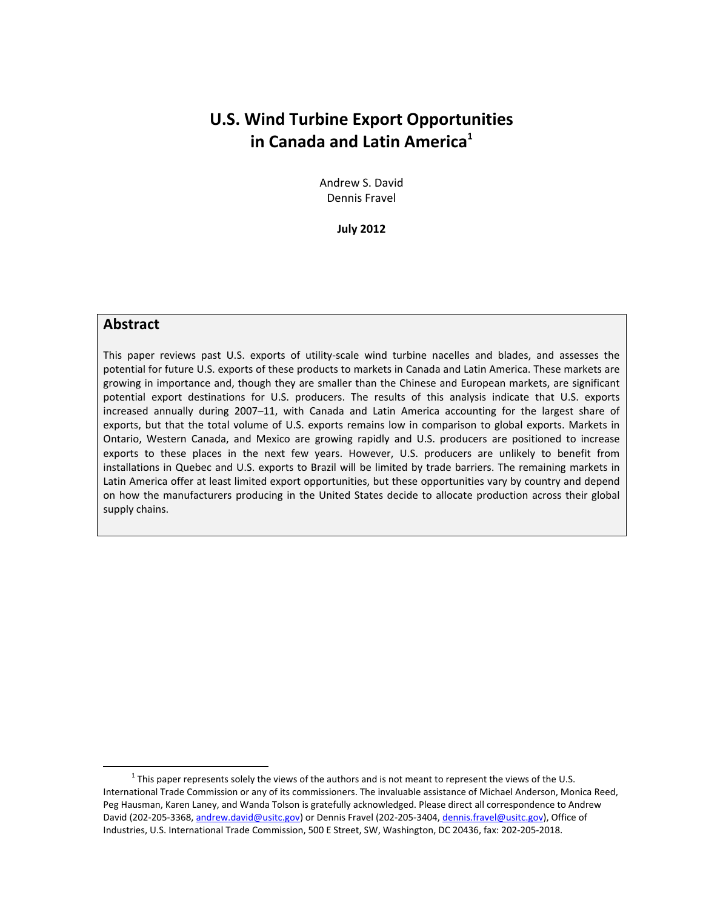### **U.S. Wind Turbine Export Opportunities in Canada and Latin America**<sup>1</sup>

Andrew S. David Dennis Fravel

**July 2012**

#### **Abstract**

 $\overline{a}$ 

This paper reviews past U.S. exports of utility‐scale wind turbine nacelles and blades, and assesses the potential for future U.S. exports of these products to markets in Canada and Latin America. These markets are growing in importance and, though they are smaller than the Chinese and European markets, are significant potential export destinations for U.S. producers. The results of this analysis indicate that U.S. exports increased annually during 2007–11, with Canada and Latin America accounting for the largest share of exports, but that the total volume of U.S. exports remains low in comparison to global exports. Markets in Ontario, Western Canada, and Mexico are growing rapidly and U.S. producers are positioned to increase exports to these places in the next few years. However, U.S. producers are unlikely to benefit from installations in Quebec and U.S. exports to Brazil will be limited by trade barriers. The remaining markets in Latin America offer at least limited export opportunities, but these opportunities vary by country and depend on how the manufacturers producing in the United States decide to allocate production across their global supply chains.

 $1$  This paper represents solely the views of the authors and is not meant to represent the views of the U.S. International Trade Commission or any of its commissioners. The invaluable assistance of Michael Anderson, Monica Reed, Peg Hausman, Karen Laney, and Wanda Tolson is gratefully acknowledged. Please direct all correspondence to Andrew David (202-205-3368, andrew.david@usitc.gov) or Dennis Fravel (202-205-3404, dennis.fravel@usitc.gov), Office of Industries, U.S. International Trade Commission, 500 E Street, SW, Washington, DC 20436, fax: 202‐205‐2018.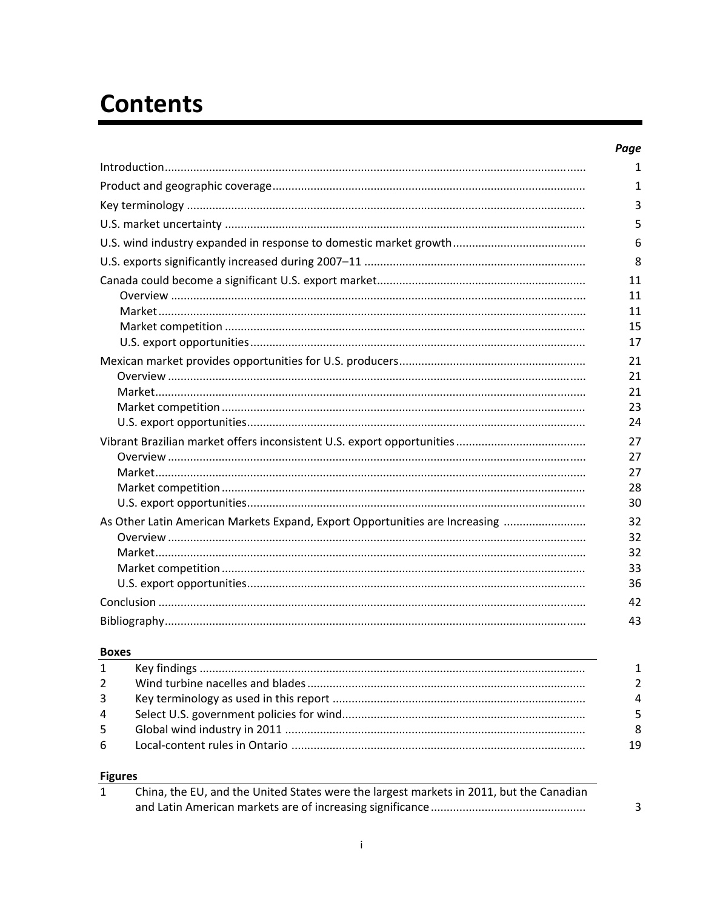# **Contents**

|                                                                             | Page |
|-----------------------------------------------------------------------------|------|
|                                                                             | 1    |
|                                                                             | 1    |
|                                                                             | 3    |
|                                                                             | 5    |
|                                                                             | 6    |
|                                                                             | 8    |
|                                                                             | 11   |
|                                                                             | 11   |
|                                                                             | 11   |
|                                                                             | 15   |
|                                                                             | 17   |
|                                                                             | 21   |
|                                                                             | 21   |
|                                                                             | 21   |
|                                                                             | 23   |
|                                                                             | 24   |
|                                                                             | 27   |
|                                                                             | 27   |
|                                                                             | 27   |
|                                                                             | 28   |
|                                                                             | 30   |
| As Other Latin American Markets Expand, Export Opportunities are Increasing | 32   |
|                                                                             | 32   |
|                                                                             | 32   |
|                                                                             | 33   |
|                                                                             | 36   |
|                                                                             | 42   |
|                                                                             | 43   |

 $\overline{a}$ 

#### **Boxes**

| $\mathbf{1}$   |          |
|----------------|----------|
| $2^{\circ}$    |          |
| $\overline{3}$ | $\Delta$ |
| $\overline{4}$ | 5        |
| 5 <sup>5</sup> | 8        |
| -6             | 19       |
|                |          |

#### **Figures**

| China, the EU, and the United States were the largest markets in 2011, but the Canadian |  |
|-----------------------------------------------------------------------------------------|--|
|                                                                                         |  |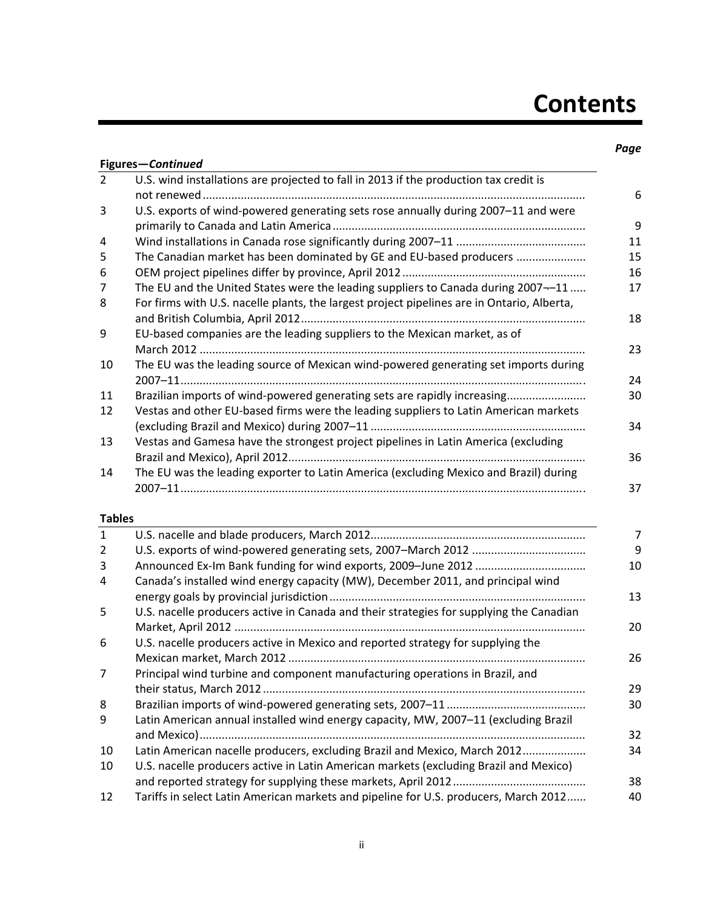# **Contents**

#### *Page*

|                 | Figures-Continued                                                                          |
|-----------------|--------------------------------------------------------------------------------------------|
| $\overline{2}$  | U.S. wind installations are projected to fall in 2013 if the production tax credit is      |
|                 |                                                                                            |
| 3               | U.S. exports of wind-powered generating sets rose annually during 2007-11 and were         |
|                 |                                                                                            |
| 4               |                                                                                            |
| 5               | The Canadian market has been dominated by GE and EU-based producers                        |
| 6               |                                                                                            |
| 7               | The EU and the United States were the leading suppliers to Canada during 2007--11          |
| 8               | For firms with U.S. nacelle plants, the largest project pipelines are in Ontario, Alberta, |
| 9               | EU-based companies are the leading suppliers to the Mexican market, as of                  |
| 10              | The EU was the leading source of Mexican wind-powered generating set imports during        |
| 11              | Brazilian imports of wind-powered generating sets are rapidly increasing                   |
| 12              | Vestas and other EU-based firms were the leading suppliers to Latin American markets       |
|                 |                                                                                            |
| 13              | Vestas and Gamesa have the strongest project pipelines in Latin America (excluding         |
|                 |                                                                                            |
| 14              | The EU was the leading exporter to Latin America (excluding Mexico and Brazil) during      |
| <b>Tables</b>   |                                                                                            |
| $\mathbf{1}$    |                                                                                            |
| $\overline{2}$  |                                                                                            |
| 3               |                                                                                            |
| 4               | Canada's installed wind energy capacity (MW), December 2011, and principal wind            |
| 5               | U.S. nacelle producers active in Canada and their strategies for supplying the Canadian    |
| 6               | U.S. nacelle producers active in Mexico and reported strategy for supplying the            |
| 7               | Principal wind turbine and component manufacturing operations in Brazil, and               |
|                 |                                                                                            |
| 8               |                                                                                            |
| 9               | Latin American annual installed wind energy capacity, MW, 2007-11 (excluding Brazil        |
| 10              | Latin American nacelle producers, excluding Brazil and Mexico, March 2012                  |
| 10 <sup>1</sup> | U.S. nacelle producers active in Latin American markets (excluding Brazil and Mexico)      |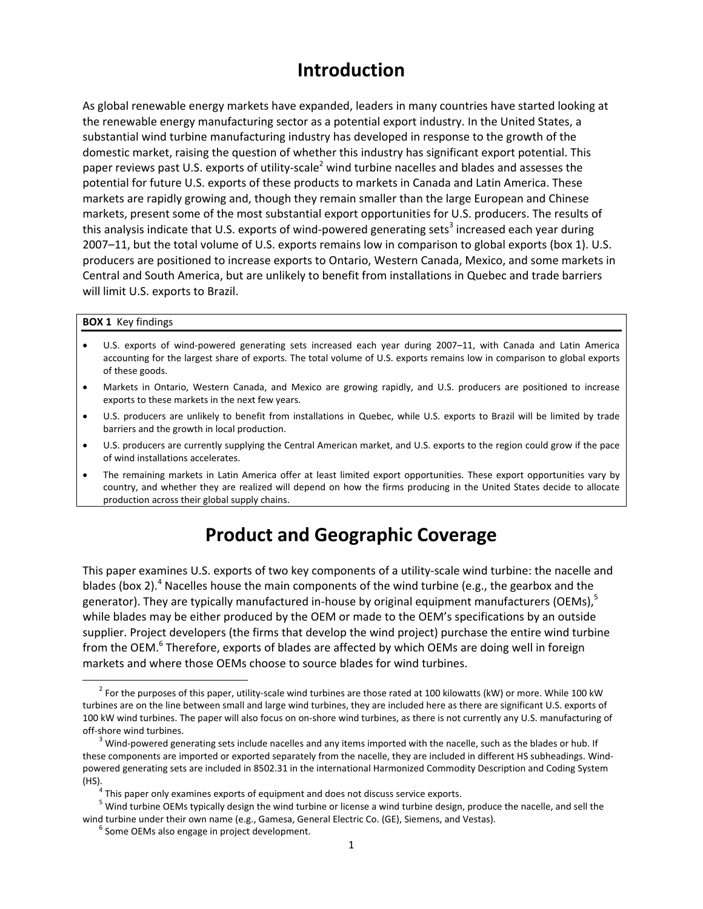### **Introduction**

As global renewable energy markets have expanded, leaders in many countries have started looking at the renewable energy manufacturing sector as a potential export industry. In the United States, a substantial wind turbine manufacturing industry has developed in response to the growth of the domestic market, raising the question of whether this industry has significant export potential. This paper reviews past U.S. exports of utility-scale<sup>2</sup> wind turbine nacelles and blades and assesses the potential for future U.S. exports of these products to markets in Canada and Latin America. These markets are rapidly growing and, though they remain smaller than the large European and Chinese markets, present some of the most substantial export opportunities for U.S. producers. The results of this analysis indicate that U.S. exports of wind-powered generating sets<sup>3</sup> increased each year during 2007–11, but the total volume of U.S. exports remains low in comparison to global exports (box 1). U.S. producers are positioned to increase exports to Ontario, Western Canada, Mexico, and some markets in Central and South America, but are unlikely to benefit from installations in Quebec and trade barriers will limit U.S. exports to Brazil.

#### **BOX 1** Key findings

- U.S. exports of wind‐powered generating sets increased each year during 2007–11, with Canada and Latin America accounting for the largest share of exports. The total volume of U.S. exports remains low in comparison to global exports of these goods.
- Markets in Ontario, Western Canada, and Mexico are growing rapidly, and U.S. producers are positioned to increase exports to these markets in the next few years.
- U.S. producers are unlikely to benefit from installations in Quebec, while U.S. exports to Brazil will be limited by trade barriers and the growth in local production.
- U.S. producers are currently supplying the Central American market, and U.S. exports to the region could grow if the pace of wind installations accelerates.
- The remaining markets in Latin America offer at least limited export opportunities. These export opportunities vary by country, and whether they are realized will depend on how the firms producing in the United States decide to allocate production across their global supply chains.

## **Product and Geographic Coverage**

This paper examines U.S. exports of two key components of a utility-scale wind turbine: the nacelle and blades (box 2).<sup>4</sup> Nacelles house the main components of the wind turbine (e.g., the gearbox and the generator). They are typically manufactured in-house by original equipment manufacturers (OEMs), $<sup>5</sup>$ </sup> while blades may be either produced by the OEM or made to the OEM's specifications by an outside supplier. Project developers (the firms that develop the wind project) purchase the entire wind turbine from the OEM.<sup>6</sup> Therefore, exports of blades are affected by which OEMs are doing well in foreign markets and where those OEMs choose to source blades for wind turbines.

 $2$  For the purposes of this paper, utility-scale wind turbines are those rated at 100 kilowatts (kW) or more. While 100 kW turbines are on the line between small and large wind turbines, they are included here as there are significant U.S. exports of 100 kW wind turbines. The paper will also focus on on‐shore wind turbines, as there is not currently any U.S. manufacturing of off-shore wind turbines.<br><sup>3</sup> Wind-powered generating sets include nacelles and any items imported with the nacelle, such as the blades or hub. If

these components are imported or exported separately from the nacelle, they are included in different HS subheadings. Wind‐ powered generating sets are included in 8502.31 in the international Harmonized Commodity Description and Coding System (HS).<br><sup>4</sup> This paper only examines exports of equipment and does not discuss service exports.<br><sup>5</sup> Wind turbine OEMs typically design the wind turbine or license a wind turbine design, produce the nacelle, and sell the

wind turbine under their own name (e.g., Gamesa, General Electric Co. (GE), Siemens, and Vestas). <sup>6</sup> Some OEMs also engage in project development.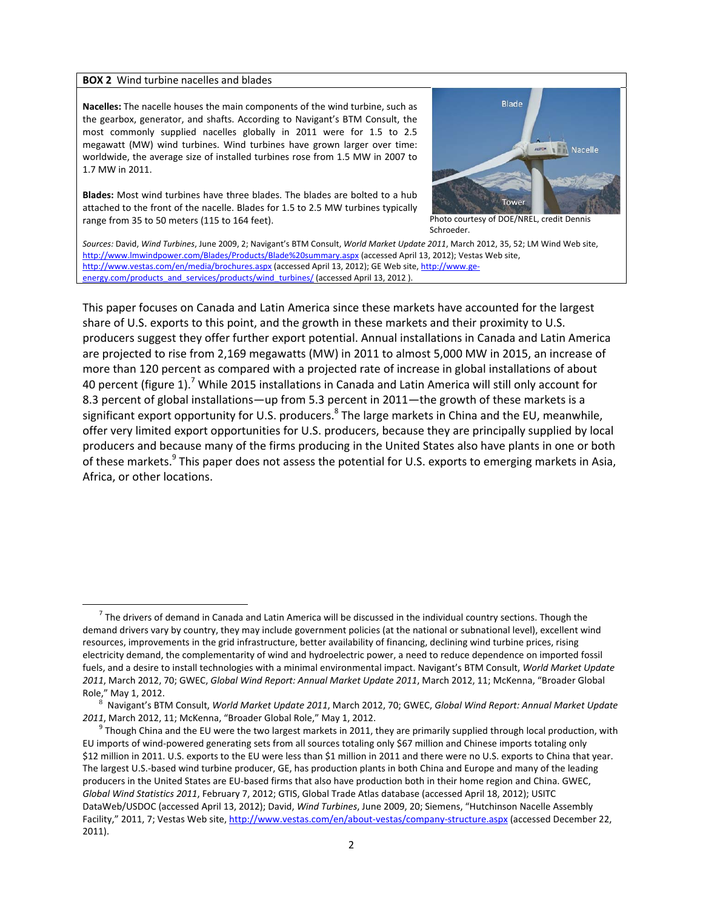#### **BOX 2** Wind turbine nacelles and blades

 $\overline{a}$ 

**Nacelles:** The nacelle houses the main components of the wind turbine, such as the gearbox, generator, and shafts. According to Navigant's BTM Consult, the most commonly supplied nacelles globally in 2011 were for 1.5 to 2.5 megawatt (MW) wind turbines. Wind turbines have grown larger over time: worldwide, the average size of installed turbines rose from 1.5 MW in 2007 to 1.7 MW in 2011.

**Blades:** Most wind turbines have three blades. The blades are bolted to a hub attached to the front of the nacelle. Blades for 1.5 to 2.5 MW turbines typically range from 35 to 50 meters (115 to 164 feet). Photo courtesy of DOE/NREL, credit Dennis



Schroeder.

*Sources:* David, *Wind Turbines*, June 2009, 2; Navigant's BTM Consult, *World Market Update 2011*, March 2012, 35, 52; LM Wind Web site, http://www.lmwindpower.com/Blades/Products/Blade%20summary.aspx (accessed April 13, 2012); Vestas Web site, http://www.vestas.com/en/media/brochures.aspx (accessed April 13, 2012); GE Web site, http://www.geenergy.com/products\_and\_services/products/wind\_turbines/ (accessed April 13, 2012 ).

This paper focuses on Canada and Latin America since these markets have accounted for the largest share of U.S. exports to this point, and the growth in these markets and their proximity to U.S. producers suggest they offer further export potential. Annual installations in Canada and Latin America are projected to rise from 2,169 megawatts (MW) in 2011 to almost 5,000 MW in 2015, an increase of more than 120 percent as compared with a projected rate of increase in global installations of about 40 percent (figure 1).<sup>7</sup> While 2015 installations in Canada and Latin America will still only account for 8.3 percent of global installations—up from 5.3 percent in 2011—the growth of these markets is a significant export opportunity for U.S. producers.<sup>8</sup> The large markets in China and the EU, meanwhile, offer very limited export opportunities for U.S. producers, because they are principally supplied by local producers and because many of the firms producing in the United States also have plants in one or both of these markets.<sup>9</sup> This paper does not assess the potential for U.S. exports to emerging markets in Asia, Africa, or other locations.

 $<sup>7</sup>$  The drivers of demand in Canada and Latin America will be discussed in the individual country sections. Though the</sup> demand drivers vary by country, they may include government policies (at the national or subnational level), excellent wind resources, improvements in the grid infrastructure, better availability of financing, declining wind turbine prices, rising electricity demand, the complementarity of wind and hydroelectric power, a need to reduce dependence on imported fossil fuels, and a desire to install technologies with a minimal environmental impact. Navigant's BTM Consult, *World Market Update 2011*, March 2012, 70; GWEC, *Global Wind Report: Annual Market Update 2011*, March 2012, 11; McKenna, "Broader Global Role," May 1, 2012. <sup>8</sup> Navigant's BTM Consult, *World Market Update <sup>2011</sup>*, March 2012, 70; GWEC, *Global Wind Report: Annual Market Update*

<sup>2011,</sup> March 2012, 11; McKenna, "Broader Global Role," May 1, 2012.<br><sup>9</sup> Though China and the EU were the two largest markets in 2011, they are primarily supplied through local production, with

EU imports of wind‐powered generating sets from all sources totaling only \$67 million and Chinese imports totaling only \$12 million in 2011. U.S. exports to the EU were less than \$1 million in 2011 and there were no U.S. exports to China that year. The largest U.S.‐based wind turbine producer, GE, has production plants in both China and Europe and many of the leading producers in the United States are EU‐based firms that also have production both in their home region and China. GWEC, *Global Wind Statistics 2011*, February 7, 2012; GTIS, Global Trade Atlas database (accessed April 18, 2012); USITC DataWeb/USDOC (accessed April 13, 2012); David, *Wind Turbines*, June 2009, 20; Siemens, "Hutchinson Nacelle Assembly Facility," 2011, 7; Vestas Web site, http://www.vestas.com/en/about-vestas/company-structure.aspx (accessed December 22, 2011).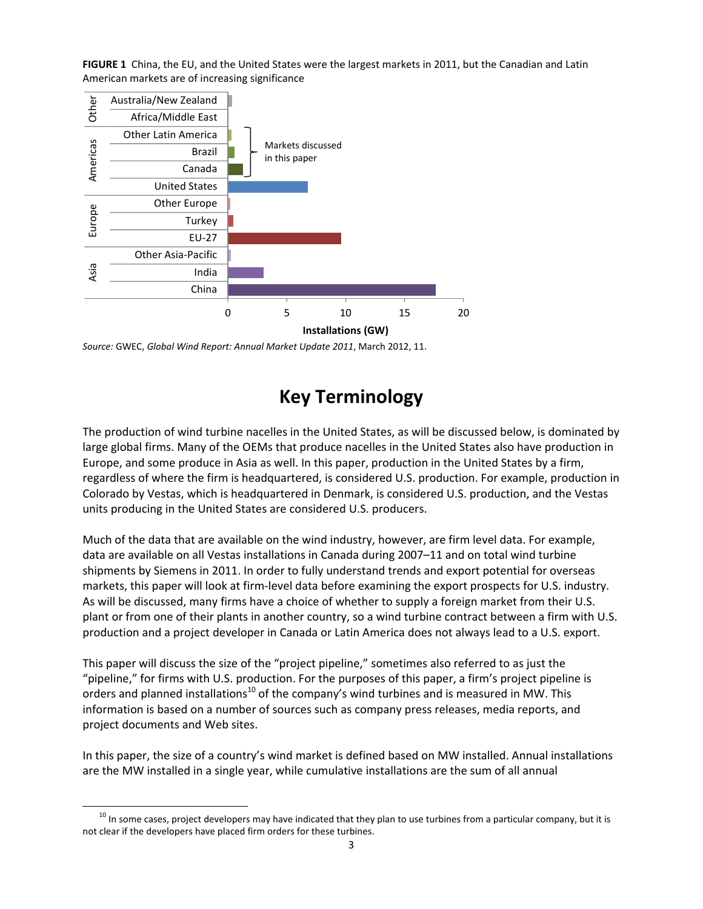**FIGURE 1** China, the EU, and the United States were the largest markets in 2011, but the Canadian and Latin American markets are of increasing significance



*Source:* GWEC, *Global Wind Report: Annual Market Update 2011*, March 2012, 11.

# **Key Terminology**

The production of wind turbine nacelles in the United States, as will be discussed below, is dominated by large global firms. Many of the OEMs that produce nacelles in the United States also have production in Europe, and some produce in Asia as well. In this paper, production in the United States by a firm, regardless of where the firm is headquartered, is considered U.S. production. For example, production in Colorado by Vestas, which is headquartered in Denmark, is considered U.S. production, and the Vestas units producing in the United States are considered U.S. producers.

Much of the data that are available on the wind industry, however, are firm level data. For example, data are available on all Vestas installations in Canada during 2007–11 and on total wind turbine shipments by Siemens in 2011. In order to fully understand trends and export potential for overseas markets, this paper will look at firm‐level data before examining the export prospects for U.S. industry. As will be discussed, many firms have a choice of whether to supply a foreign market from their U.S. plant or from one of their plants in another country, so a wind turbine contract between a firm with U.S. production and a project developer in Canada or Latin America does not always lead to a U.S. export.

This paper will discuss the size of the "project pipeline," sometimes also referred to as just the "pipeline," for firms with U.S. production. For the purposes of this paper, a firm's project pipeline is orders and planned installations<sup>10</sup> of the company's wind turbines and is measured in MW. This information is based on a number of sources such as company press releases, media reports, and project documents and Web sites.

In this paper, the size of a country's wind market is defined based on MW installed. Annual installations are the MW installed in a single year, while cumulative installations are the sum of all annual

 $10$  In some cases, project developers may have indicated that they plan to use turbines from a particular company, but it is not clear if the developers have placed firm orders for these turbines.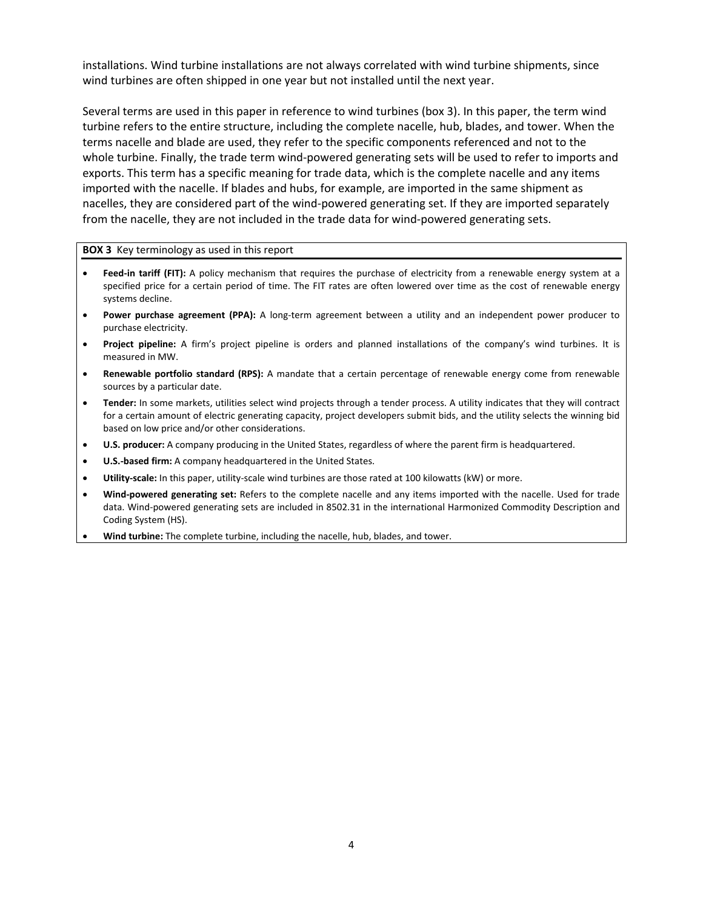installations. Wind turbine installations are not always correlated with wind turbine shipments, since wind turbines are often shipped in one year but not installed until the next year.

Several terms are used in this paper in reference to wind turbines (box 3). In this paper, the term wind turbine refers to the entire structure, including the complete nacelle, hub, blades, and tower. When the terms nacelle and blade are used, they refer to the specific components referenced and not to the whole turbine. Finally, the trade term wind-powered generating sets will be used to refer to imports and exports. This term has a specific meaning for trade data, which is the complete nacelle and any items imported with the nacelle. If blades and hubs, for example, are imported in the same shipment as nacelles, they are considered part of the wind-powered generating set. If they are imported separately from the nacelle, they are not included in the trade data for wind‐powered generating sets.

#### **BOX 3** Key terminology as used in this report

- **Feed-in tariff (FIT):** A policy mechanism that requires the purchase of electricity from a renewable energy system at a specified price for a certain period of time. The FIT rates are often lowered over time as the cost of renewable energy systems decline.
- **Power purchase agreement (PPA):** A long‐term agreement between a utility and an independent power producer to purchase electricity.
- **Project pipeline:** A firm's project pipeline is orders and planned installations of the company's wind turbines. It is measured in MW.
- **Renewable portfolio standard (RPS):** A mandate that a certain percentage of renewable energy come from renewable sources by a particular date.
- **Tender:** In some markets, utilities select wind projects through a tender process. A utility indicates that they will contract for a certain amount of electric generating capacity, project developers submit bids, and the utility selects the winning bid based on low price and/or other considerations.
- **U.S. producer:** A company producing in the United States, regardless of where the parent firm is headquartered.
- **U.S.‐based firm:** A company headquartered in the United States.
- **Utility‐scale:** In this paper, utility‐scale wind turbines are those rated at 100 kilowatts (kW) or more.
- **Wind‐powered generating set:** Refers to the complete nacelle and any items imported with the nacelle. Used for trade data. Wind‐powered generating sets are included in 8502.31 in the international Harmonized Commodity Description and Coding System (HS).
- **Wind turbine:** The complete turbine, including the nacelle, hub, blades, and tower.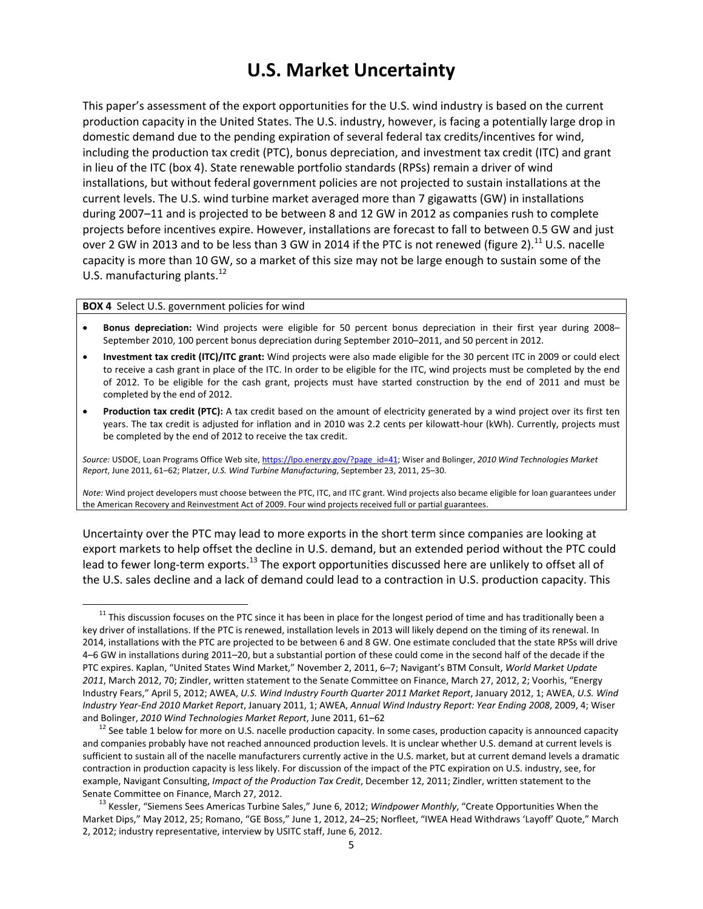### **U.S. Market Uncertainty**

This paper's assessment of the export opportunities for the U.S. wind industry is based on the current production capacity in the United States. The U.S. industry, however, is facing a potentially large drop in domestic demand due to the pending expiration of several federal tax credits/incentives for wind, including the production tax credit (PTC), bonus depreciation, and investment tax credit (ITC) and grant in lieu of the ITC (box 4). State renewable portfolio standards (RPSs) remain a driver of wind installations, but without federal government policies are not projected to sustain installations at the current levels. The U.S. wind turbine market averaged more than 7 gigawatts (GW) in installations during 2007–11 and is projected to be between 8 and 12 GW in 2012 as companies rush to complete projects before incentives expire. However, installations are forecast to fall to between 0.5 GW and just over 2 GW in 2013 and to be less than 3 GW in 2014 if the PTC is not renewed (figure 2).<sup>11</sup> U.S. nacelle capacity is more than 10 GW, so a market of this size may not be large enough to sustain some of the U.S. manufacturing plants. $^{12}$ 

#### **BOX 4** Select U.S. government policies for wind

- **Bonus depreciation:** Wind projects were eligible for 50 percent bonus depreciation in their first year during 2008– September 2010, 100 percent bonus depreciation during September 2010–2011, and 50 percent in 2012.
- **Investment tax credit (ITC)/ITC grant:** Wind projects were also made eligible for the 30 percent ITC in 2009 or could elect to receive a cash grant in place of the ITC. In order to be eligible for the ITC, wind projects must be completed by the end of 2012. To be eligible for the cash grant, projects must have started construction by the end of 2011 and must be completed by the end of 2012.
- **Production tax credit (PTC):** A tax credit based on the amount of electricity generated by a wind project over its first ten years. The tax credit is adjusted for inflation and in 2010 was 2.2 cents per kilowatt-hour (kWh). Currently, projects must be completed by the end of 2012 to receive the tax credit.

*Source:* USDOE, Loan Programs Office Web site, https://lpo.energy.gov/?page\_id=41; Wiser and Bolinger, *2010 Wind Technologies Market Report*, June 2011, 61–62; Platzer, *U.S. Wind Turbine Manufacturing*, September 23, 2011, 25–30.

*Note:* Wind project developers must choose between the PTC, ITC, and ITC grant. Wind projects also became eligible for loan guarantees under the American Recovery and Reinvestment Act of 2009. Four wind projects received full or partial guarantees.

Uncertainty over the PTC may lead to more exports in the short term since companies are looking at export markets to help offset the decline in U.S. demand, but an extended period without the PTC could lead to fewer long-term exports.<sup>13</sup> The export opportunities discussed here are unlikely to offset all of the U.S. sales decline and a lack of demand could lead to a contraction in U.S. production capacity. This

<sup>&</sup>lt;sup>11</sup> This discussion focuses on the PTC since it has been in place for the longest period of time and has traditionally been a key driver of installations. If the PTC is renewed, installation levels in 2013 will likely depend on the timing of its renewal. In 2014, installations with the PTC are projected to be between 6 and 8 GW. One estimate concluded that the state RPSs will drive 4–6 GW in installations during 2011–20, but a substantial portion of these could come in the second half of the decade if the PTC expires. Kaplan, "United States Wind Market," November 2, 2011, 6–7; Navigant's BTM Consult, *World Market Update 2011*, March 2012, 70; Zindler, written statement to the Senate Committee on Finance, March 27, 2012, 2; Voorhis, "Energy Industry Fears," April 5, 2012; AWEA, *U.S. Wind Industry Fourth Quarter 2011 Market Report*, January 2012, 1; AWEA, *U.S. Wind Industry Year‐End 2010 Market Report*, January 2011, 1; AWEA, *Annual Wind Industry Report: Year Ending 2008*, 2009, 4; Wiser and Bolinger, 2010 Wind Technologies Market Report, June 2011, 61–62<br><sup>12</sup> See table 1 below for more on U.S. nacelle production capacity. In some cases, production capacity is announced capacity

and companies probably have not reached announced production levels. It is unclear whether U.S. demand at current levels is sufficient to sustain all of the nacelle manufacturers currently active in the U.S. market, but at current demand levels a dramatic contraction in production capacity is less likely. For discussion of the impact of the PTC expiration on U.S. industry, see, for example, Navigant Consulting, *Impact of the Production Tax Credit*, December 12, 2011; Zindler, written statement to the Senate Committee on Finance, March 27, 2012.<br><sup>13</sup> Kessler, "Siemens Sees Americas Turbine Sales," June 6, 2012; *Windpower Monthly*, "Create Opportunities When the

Market Dips," May 2012, 25; Romano, "GE Boss," June 1, 2012, 24–25; Norfleet, "IWEA Head Withdraws 'Layoff' Quote," March 2, 2012; industry representative, interview by USITC staff, June 6, 2012.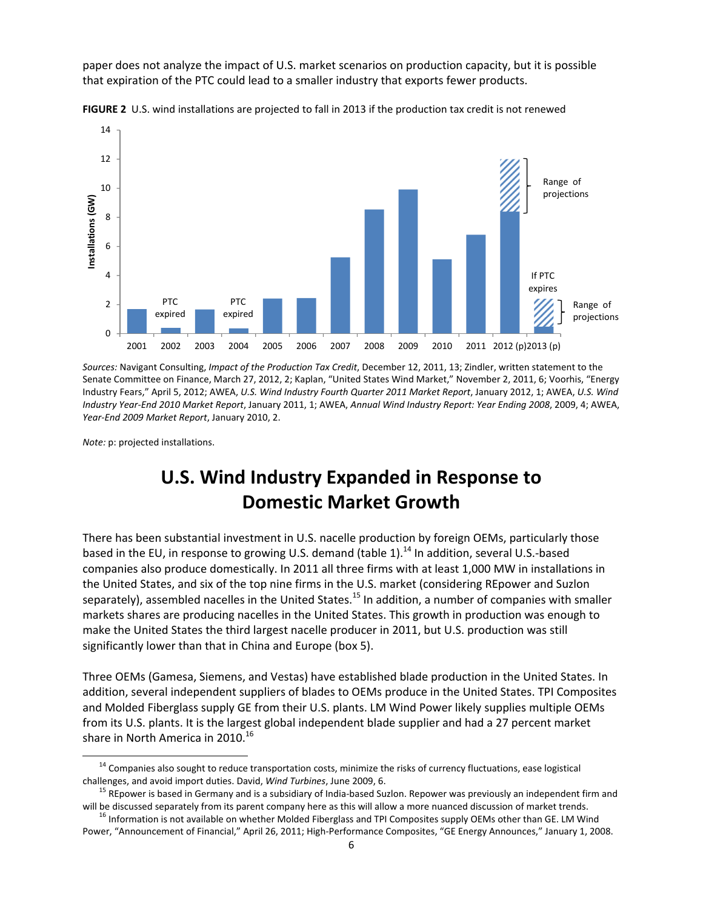paper does not analyze the impact of U.S. market scenarios on production capacity, but it is possible that expiration of the PTC could lead to a smaller industry that exports fewer products.



**FIGURE 2** U.S. wind installations are projected to fall in 2013 if the production tax credit is not renewed

*Sources:* Navigant Consulting, *Impact of the Production Tax Credit*, December 12, 2011, 13; Zindler, written statement to the Senate Committee on Finance, March 27, 2012, 2; Kaplan, "United States Wind Market," November 2, 2011, 6; Voorhis, "Energy Industry Fears," April 5, 2012; AWEA, *U.S. Wind Industry Fourth Quarter 2011 Market Report*, January 2012, 1; AWEA, *U.S. Wind Industry Year‐End 2010 Market Report*, January 2011, 1; AWEA, *Annual Wind Industry Report: Year Ending 2008*, 2009, 4; AWEA, *Year‐End 2009 Market Report*, January 2010, 2.

*Note:* p: projected installations.

# **U.S. Wind Industry Expanded in Response to Domestic Market Growth**

There has been substantial investment in U.S. nacelle production by foreign OEMs, particularly those based in the EU, in response to growing U.S. demand (table 1).<sup>14</sup> In addition, several U.S.-based companies also produce domestically. In 2011 all three firms with at least 1,000 MW in installations in the United States, and six of the top nine firms in the U.S. market (considering REpower and Suzlon separately), assembled nacelles in the United States.<sup>15</sup> In addition, a number of companies with smaller markets shares are producing nacelles in the United States. This growth in production was enough to make the United States the third largest nacelle producer in 2011, but U.S. production was still significantly lower than that in China and Europe (box 5).

Three OEMs (Gamesa, Siemens, and Vestas) have established blade production in the United States. In addition, several independent suppliers of blades to OEMs produce in the United States. TPI Composites and Molded Fiberglass supply GE from their U.S. plants. LM Wind Power likely supplies multiple OEMs from its U.S. plants. It is the largest global independent blade supplier and had a 27 percent market share in North America in 2010.<sup>16</sup>

<sup>&</sup>lt;sup>14</sup> Companies also sought to reduce transportation costs, minimize the risks of currency fluctuations, ease logistical

challenges, and avoid import duties. David, *Wind Turbines*, June 2009, 6. 15 and 15 REpower is based in Germany and is a subsidiary of India-based Suzlon. Repower was previously an independent firm and will be discussed separately from its parent company here as this will allow a more nuanced discussion of market trends.<br><sup>16</sup> Information is not available on whether Molded Fiberglass and TPI Composites supply OEMs other t

Power, "Announcement of Financial," April 26, 2011; High‐Performance Composites, "GE Energy Announces," January 1, 2008.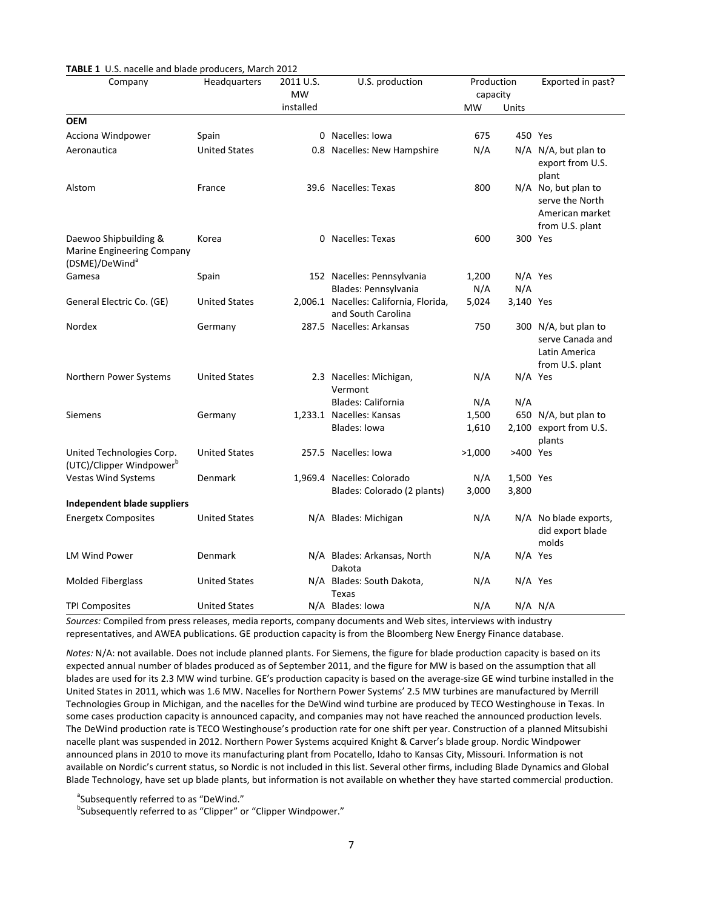| <b>TABLE 1</b> U.S. nacelle and blade producers, March 2012<br>Company            | <b>Headquarters</b>  | 2011 U.S.<br><b>MW</b> | U.S. production                                              | Production<br>capacity |           | Exported in past?                                                            |
|-----------------------------------------------------------------------------------|----------------------|------------------------|--------------------------------------------------------------|------------------------|-----------|------------------------------------------------------------------------------|
|                                                                                   |                      | installed              |                                                              | MW                     | Units     |                                                                              |
| <b>OEM</b>                                                                        |                      |                        |                                                              |                        |           |                                                                              |
| Acciona Windpower                                                                 | Spain                |                        | 0 Nacelles: Iowa                                             | 675                    | 450 Yes   |                                                                              |
| Aeronautica                                                                       | <b>United States</b> |                        | 0.8 Nacelles: New Hampshire                                  | N/A                    |           | N/A N/A, but plan to<br>export from U.S.<br>plant                            |
| Alstom                                                                            | France               |                        | 39.6 Nacelles: Texas                                         | 800                    |           | N/A No, but plan to<br>serve the North<br>American market<br>from U.S. plant |
| Daewoo Shipbuilding &<br>Marine Engineering Company<br>(DSME)/DeWind <sup>a</sup> | Korea                |                        | 0 Nacelles: Texas                                            | 600                    | 300 Yes   |                                                                              |
| Gamesa                                                                            | Spain                |                        | 152 Nacelles: Pennsylvania                                   | 1,200                  | $N/A$ Yes |                                                                              |
|                                                                                   |                      |                        | Blades: Pennsylvania                                         | N/A                    | N/A       |                                                                              |
| General Electric Co. (GE)                                                         | <b>United States</b> |                        | 2,006.1 Nacelles: California, Florida,<br>and South Carolina | 5,024                  | 3,140 Yes |                                                                              |
| Nordex                                                                            | Germany              |                        | 287.5 Nacelles: Arkansas                                     | 750                    |           | 300 N/A, but plan to<br>serve Canada and<br>Latin America<br>from U.S. plant |
| Northern Power Systems                                                            | <b>United States</b> |                        | 2.3 Nacelles: Michigan,<br>Vermont                           | N/A                    | N/A Yes   |                                                                              |
|                                                                                   |                      |                        | <b>Blades: California</b>                                    | N/A                    | N/A       |                                                                              |
| <b>Siemens</b>                                                                    | Germany              |                        | 1,233.1 Nacelles: Kansas                                     | 1,500                  |           | 650 N/A, but plan to                                                         |
|                                                                                   |                      |                        | Blades: Iowa                                                 | 1,610                  |           | 2,100 export from U.S.<br>plants                                             |
| United Technologies Corp.<br>(UTC)/Clipper Windpower <sup>b</sup>                 | <b>United States</b> |                        | 257.5 Nacelles: Iowa                                         | >1,000                 | >400 Yes  |                                                                              |
| Vestas Wind Systems                                                               | Denmark              |                        | 1,969.4 Nacelles: Colorado                                   | N/A                    | 1,500 Yes |                                                                              |
| Independent blade suppliers                                                       |                      |                        | Blades: Colorado (2 plants)                                  | 3,000                  | 3,800     |                                                                              |
| <b>Energetx Composites</b>                                                        | <b>United States</b> |                        | N/A Blades: Michigan                                         | N/A                    |           | $N/A$ No blade exports,<br>did export blade<br>molds                         |
| <b>LM Wind Power</b>                                                              | Denmark              |                        | N/A Blades: Arkansas, North<br>Dakota                        | N/A                    | $N/A$ Yes |                                                                              |
| <b>Molded Fiberglass</b>                                                          | <b>United States</b> |                        | N/A Blades: South Dakota,<br>Texas                           | N/A                    | $N/A$ Yes |                                                                              |
| <b>TPI Composites</b>                                                             | <b>United States</b> |                        | N/A Blades: Iowa                                             | N/A                    |           | $N/A$ $N/A$                                                                  |

**TABLE 1** U.S. nacelle and blade producers, March 2012

*Sources:* Compiled from press releases, media reports, company documents and Web sites, interviews with industry representatives, and AWEA publications. GE production capacity is from the Bloomberg New Energy Finance database.

*Notes:* N/A: not available. Does not include planned plants. For Siemens, the figure for blade production capacity is based on its expected annual number of blades produced as of September 2011, and the figure for MW is based on the assumption that all blades are used for its 2.3 MW wind turbine. GE's production capacity is based on the average‐size GE wind turbine installed in the United States in 2011, which was 1.6 MW. Nacelles for Northern Power Systems' 2.5 MW turbines are manufactured by Merrill Technologies Group in Michigan, and the nacelles for the DeWind wind turbine are produced by TECO Westinghouse in Texas. In some cases production capacity is announced capacity, and companies may not have reached the announced production levels. The DeWind production rate is TECO Westinghouse's production rate for one shift per year. Construction of a planned Mitsubishi nacelle plant was suspended in 2012. Northern Power Systems acquired Knight & Carver's blade group. Nordic Windpower announced plans in 2010 to move its manufacturing plant from Pocatello, Idaho to Kansas City, Missouri. Information is not available on Nordic's current status, so Nordic is not included in this list. Several other firms, including Blade Dynamics and Global Blade Technology, have set up blade plants, but information is not available on whether they have started commercial production.

<sup>a</sup>Subsequently referred to as "DeWind."<br><sup>b</sup>Subsequently referred to as "Clinner" o

<sup>b</sup>Subsequently referred to as "Clipper" or "Clipper Windpower."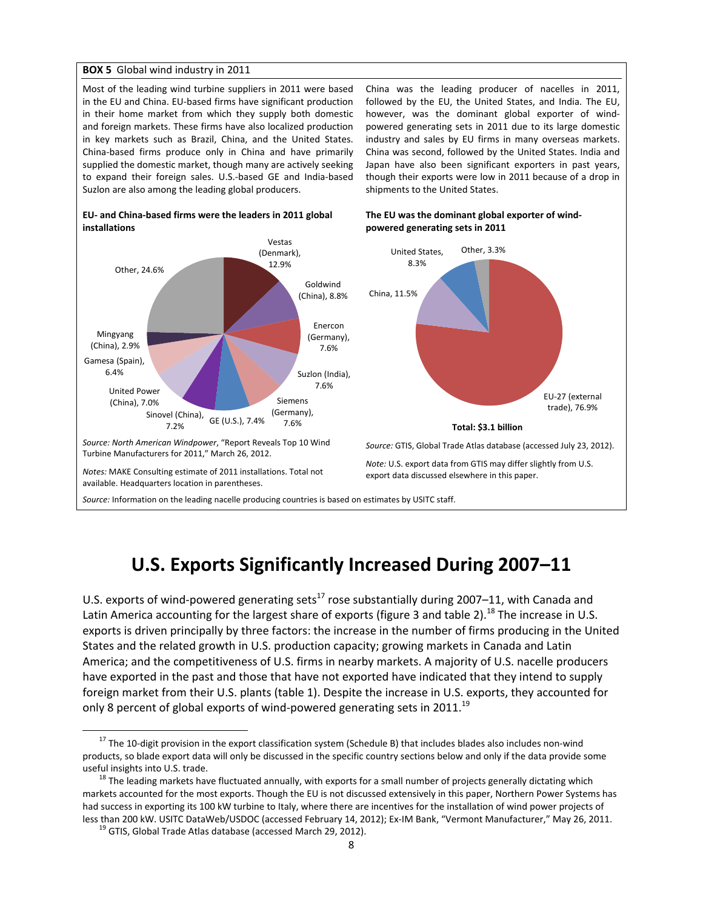#### **BOX 5** Global wind industry in 2011

Most of the leading wind turbine suppliers in 2011 were based in the EU and China. EU‐based firms have significant production in their home market from which they supply both domestic and foreign markets. These firms have also localized production in key markets such as Brazil, China, and the United States. China‐based firms produce only in China and have primarily supplied the domestic market, though many are actively seeking to expand their foreign sales. U.S.‐based GE and India‐based Suzlon are also among the leading global producers.

China was the leading producer of nacelles in 2011, followed by the EU, the United States, and India. The EU, however, was the dominant global exporter of windpowered generating sets in 2011 due to its large domestic industry and sales by EU firms in many overseas markets. China was second, followed by the United States. India and Japan have also been significant exporters in past years, though their exports were low in 2011 because of a drop in shipments to the United States.

**The EU was the dominant global exporter of wind‐**



#### **EU‐ and China‐based firms were the leaders in 2011 global installations**

# **U.S. Exports Significantly Increased During 2007–11**

U.S. exports of wind-powered generating sets<sup>17</sup> rose substantially during 2007–11, with Canada and Latin America accounting for the largest share of exports (figure 3 and table 2).<sup>18</sup> The increase in U.S. exports is driven principally by three factors: the increase in the number of firms producing in the United States and the related growth in U.S. production capacity; growing markets in Canada and Latin America; and the competitiveness of U.S. firms in nearby markets. A majority of U.S. nacelle producers have exported in the past and those that have not exported have indicated that they intend to supply foreign market from their U.S. plants (table 1). Despite the increase in U.S. exports, they accounted for only 8 percent of global exports of wind-powered generating sets in 2011.<sup>19</sup>

 $17$  The 10-digit provision in the export classification system (Schedule B) that includes blades also includes non-wind products, so blade export data will only be discussed in the specific country sections below and only if the data provide some

useful insights into U.S. trade.<br><sup>18</sup> The leading markets have fluctuated annually, with exports for a small number of projects generally dictating which markets accounted for the most exports. Though the EU is not discussed extensively in this paper, Northern Power Systems has had success in exporting its 100 kW turbine to Italy, where there are incentives for the installation of wind power projects of less than 200 kW. USITC DataWeb/USDOC (accessed February 14, 2012); Ex-IM Bank, "Vermont Manufacturer," May 26, 2011.<br><sup>19</sup> GTIS, Global Trade Atlas database (accessed March 29, 2012).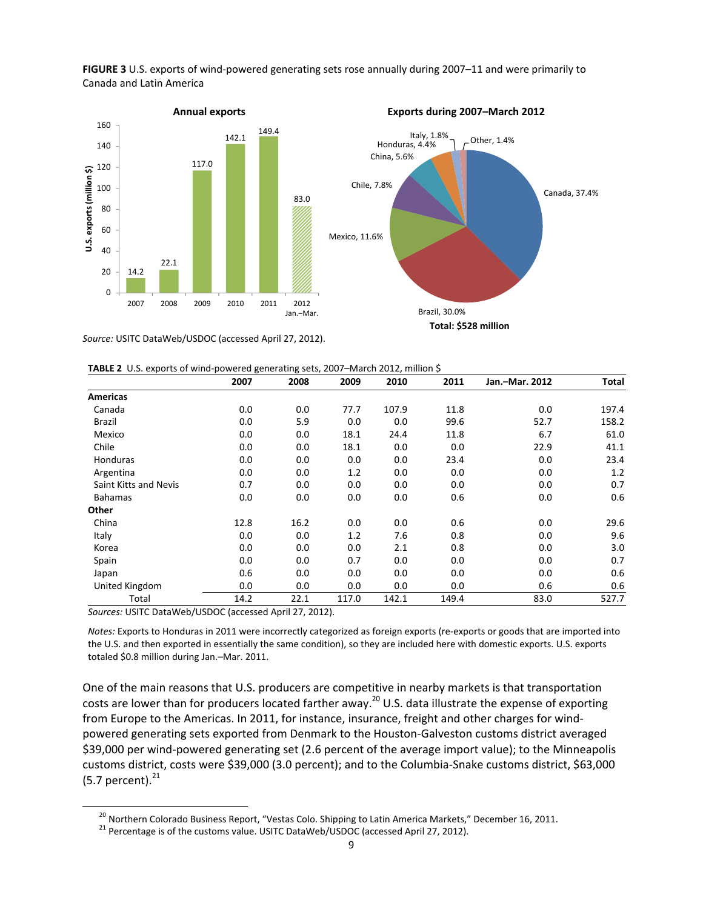

**FIGURE 3** U.S. exports of wind‐powered generating sets rose annually during 2007–11 and were primarily to Canada and Latin America

*Source:* USITC DataWeb/USDOC (accessed April 27, 2012).

|  |  |  | TABLE 2 U.S. exports of wind-powered generating sets, 2007-March 2012, million \$ |  |  |  |
|--|--|--|-----------------------------------------------------------------------------------|--|--|--|
|--|--|--|-----------------------------------------------------------------------------------|--|--|--|

|                       | 2007 | 2008 | 2009  | 2010  | 2011  | Jan.-Mar. 2012 | Total |
|-----------------------|------|------|-------|-------|-------|----------------|-------|
| <b>Americas</b>       |      |      |       |       |       |                |       |
| Canada                | 0.0  | 0.0  | 77.7  | 107.9 | 11.8  | 0.0            | 197.4 |
| Brazil                | 0.0  | 5.9  | 0.0   | 0.0   | 99.6  | 52.7           | 158.2 |
| Mexico                | 0.0  | 0.0  | 18.1  | 24.4  | 11.8  | 6.7            | 61.0  |
| Chile                 | 0.0  | 0.0  | 18.1  | 0.0   | 0.0   | 22.9           | 41.1  |
| Honduras              | 0.0  | 0.0  | 0.0   | 0.0   | 23.4  | 0.0            | 23.4  |
| Argentina             | 0.0  | 0.0  | 1.2   | 0.0   | 0.0   | 0.0            | 1.2   |
| Saint Kitts and Nevis | 0.7  | 0.0  | 0.0   | 0.0   | 0.0   | 0.0            | 0.7   |
| <b>Bahamas</b>        | 0.0  | 0.0  | 0.0   | 0.0   | 0.6   | 0.0            | 0.6   |
| Other                 |      |      |       |       |       |                |       |
| China                 | 12.8 | 16.2 | 0.0   | 0.0   | 0.6   | 0.0            | 29.6  |
| Italy                 | 0.0  | 0.0  | 1.2   | 7.6   | 0.8   | 0.0            | 9.6   |
| Korea                 | 0.0  | 0.0  | 0.0   | 2.1   | 0.8   | 0.0            | 3.0   |
| Spain                 | 0.0  | 0.0  | 0.7   | 0.0   | 0.0   | 0.0            | 0.7   |
| Japan                 | 0.6  | 0.0  | 0.0   | 0.0   | 0.0   | 0.0            | 0.6   |
| United Kingdom        | 0.0  | 0.0  | 0.0   | 0.0   | 0.0   | 0.6            | 0.6   |
| Total                 | 14.2 | 22.1 | 117.0 | 142.1 | 149.4 | 83.0           | 527.7 |

*Sources:* USITC DataWeb/USDOC (accessed April 27, 2012).

*Notes:* Exports to Honduras in 2011 were incorrectly categorized as foreign exports (re‐exports or goods that are imported into the U.S. and then exported in essentially the same condition), so they are included here with domestic exports. U.S. exports totaled \$0.8 million during Jan.–Mar. 2011.

One of the main reasons that U.S. producers are competitive in nearby markets is that transportation costs are lower than for producers located farther away.<sup>20</sup> U.S. data illustrate the expense of exporting from Europe to the Americas. In 2011, for instance, insurance, freight and other charges for wind‐ powered generating sets exported from Denmark to the Houston‐Galveston customs district averaged \$39,000 per wind‐powered generating set (2.6 percent of the average import value); to the Minneapolis customs district, costs were \$39,000 (3.0 percent); and to the Columbia‐Snake customs district, \$63,000 (5.7 percent). $^{21}$ 

<sup>&</sup>lt;sup>20</sup> Northern Colorado Business Report, "Vestas Colo. Shipping to Latin America Markets," December 16, 2011.<br><sup>21</sup> Percentage is of the customs value. USITC DataWeb/USDOC (accessed April 27, 2012).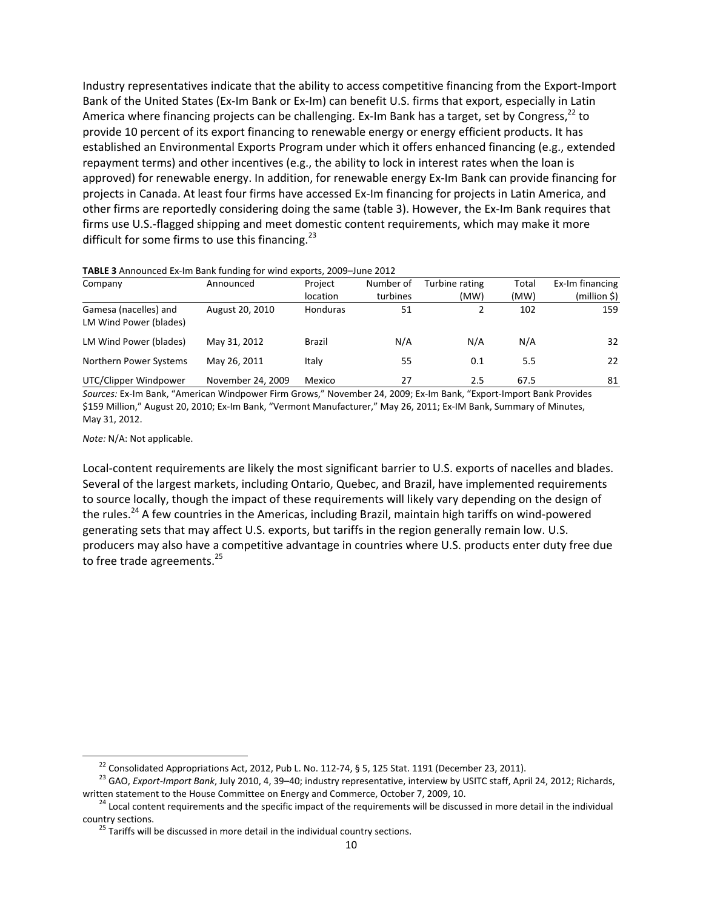Industry representatives indicate that the ability to access competitive financing from the Export‐Import Bank of the United States (Ex‐Im Bank or Ex‐Im) can benefit U.S. firms that export, especially in Latin America where financing projects can be challenging. Ex-Im Bank has a target, set by Congress,  $^{22}$  to provide 10 percent of its export financing to renewable energy or energy efficient products. It has established an Environmental Exports Program under which it offers enhanced financing (e.g., extended repayment terms) and other incentives (e.g., the ability to lock in interest rates when the loan is approved) for renewable energy. In addition, for renewable energy Ex‐Im Bank can provide financing for projects in Canada. At least four firms have accessed Ex‐Im financing for projects in Latin America, and other firms are reportedly considering doing the same (table 3). However, the Ex-Im Bank requires that firms use U.S.‐flagged shipping and meet domestic content requirements, which may make it more difficult for some firms to use this financing.<sup>23</sup>

| Company                                         | Announced         | Project         | Number of | Turbine rating | Total | Ex-Im financing |
|-------------------------------------------------|-------------------|-----------------|-----------|----------------|-------|-----------------|
|                                                 |                   | location        | turbines  | (MW)           | (MW)  | (million \$)    |
| Gamesa (nacelles) and<br>LM Wind Power (blades) | August 20, 2010   | <b>Honduras</b> | 51        |                | 102   | 159             |
| LM Wind Power (blades)                          | May 31, 2012      | <b>Brazil</b>   | N/A       | N/A            | N/A   | 32              |
| Northern Power Systems                          | May 26, 2011      | Italy           | 55        | 0.1            | 5.5   | 22              |
| UTC/Clipper Windpower                           | November 24, 2009 | Mexico          | 27        | 2.5            | 67.5  | 81              |

**TABLE 3** Announced Ex‐Im Bank funding for wind exports, 2009–June 2012

*Sources:* Ex‐Im Bank, "American Windpower Firm Grows," November 24, 2009; Ex‐Im Bank, "Export‐Import Bank Provides \$159 Million," August 20, 2010; Ex‐Im Bank, "Vermont Manufacturer," May 26, 2011; Ex‐IM Bank, Summary of Minutes, May 31, 2012.

*Note:* N/A: Not applicable.

Local‐content requirements are likely the most significant barrier to U.S. exports of nacelles and blades. Several of the largest markets, including Ontario, Quebec, and Brazil, have implemented requirements to source locally, though the impact of these requirements will likely vary depending on the design of the rules.<sup>24</sup> A few countries in the Americas, including Brazil, maintain high tariffs on wind-powered generating sets that may affect U.S. exports, but tariffs in the region generally remain low. U.S. producers may also have a competitive advantage in countries where U.S. products enter duty free due to free trade agreements.<sup>25</sup>

<sup>&</sup>lt;sup>22</sup> Consolidated Appropriations Act, 2012, Pub L. No. 112-74, § 5, 125 Stat. 1191 (December 23, 2011).<br><sup>23</sup> GAO, *Export-Import Bank*, July 2010, 4, 39–40; industry representative, interview by USITC staff, April 24, 201

written statement to the House Committee on Energy and Commerce, October 7, 2009, 10.<br><sup>24</sup> Local content requirements and the specific impact of the requirements will be discussed in more detail in the individual country s

 $25$  Tariffs will be discussed in more detail in the individual country sections.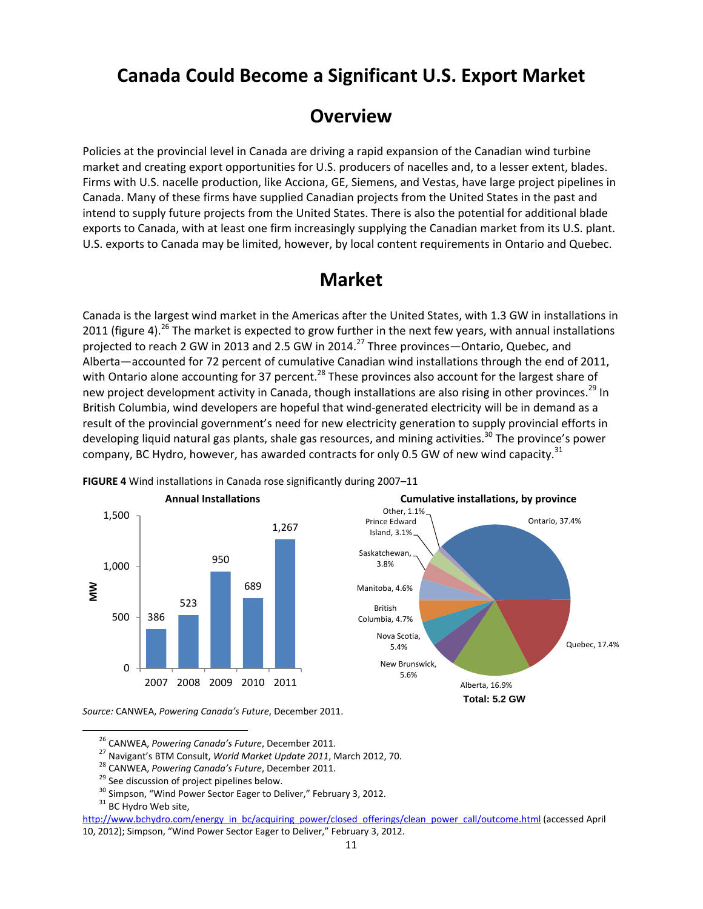### **Canada Could Become a Significant U.S. Export Market**

### **Overview**

Policies at the provincial level in Canada are driving a rapid expansion of the Canadian wind turbine market and creating export opportunities for U.S. producers of nacelles and, to a lesser extent, blades. Firms with U.S. nacelle production, like Acciona, GE, Siemens, and Vestas, have large project pipelines in Canada. Many of these firms have supplied Canadian projects from the United States in the past and intend to supply future projects from the United States. There is also the potential for additional blade exports to Canada, with at least one firm increasingly supplying the Canadian market from its U.S. plant. U.S. exports to Canada may be limited, however, by local content requirements in Ontario and Quebec.

## **Market**

Canada is the largest wind market in the Americas after the United States, with 1.3 GW in installations in 2011 (figure 4).<sup>26</sup> The market is expected to grow further in the next few years, with annual installations projected to reach 2 GW in 2013 and 2.5 GW in 2014.<sup>27</sup> Three provinces—Ontario, Quebec, and Alberta—accounted for 72 percent of cumulative Canadian wind installations through the end of 2011, with Ontario alone accounting for 37 percent.<sup>28</sup> These provinces also account for the largest share of new project development activity in Canada, though installations are also rising in other provinces.<sup>29</sup> In British Columbia, wind developers are hopeful that wind‐generated electricity will be in demand as a result of the provincial government's need for new electricity generation to supply provincial efforts in developing liquid natural gas plants, shale gas resources, and mining activities.<sup>30</sup> The province's power company, BC Hydro, however, has awarded contracts for only 0.5 GW of new wind capacity.<sup>31</sup>



**FIGURE 4** Wind installations in Canada rose significantly during 2007–11

*Source:* CANWEA, *Powering Canada's Future*, December 2011.

**Total: 5.2 GW** 

Alberta, 16.9%

New Brunswick, 5.6%

Nova Scotia, 5.4%

British Columbia, 4.7%

Manitoba, 4.6%

Saskatchewan, 3.8%

Prince Edward Island, 3.1%

Other, 1.1%

Ontario, 37.4%

Quebec, 17.4%

<sup>&</sup>lt;sup>26</sup> CANWEA, *Powering Canada's Future*, December 2011.<br>
<sup>27</sup> Navigant's BTM Consult, *World Market Update 2011*, March 2012, 70.<br>
<sup>28</sup> CANWEA, *Powering Canada's Future*, December 2011.<br>
<sup>29</sup> See discussion of project pi

http://www.bchydro.com/energy\_in\_bc/acquiring\_power/closed\_offerings/clean\_power\_call/outcome.html (accessed April 10, 2012); Simpson, "Wind Power Sector Eager to Deliver," February 3, 2012.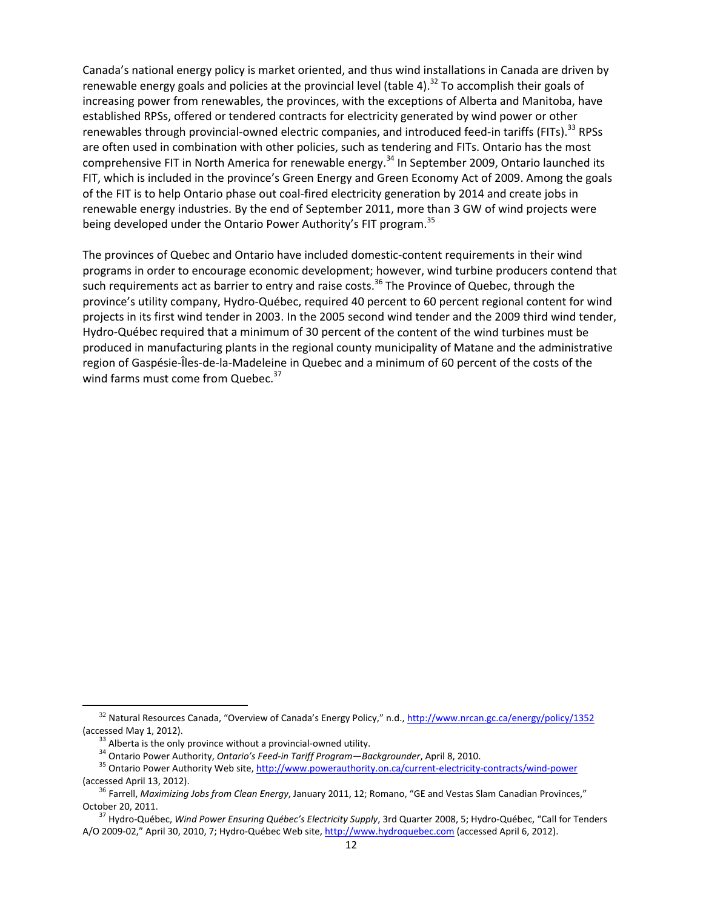Canada's national energy policy is market oriented, and thus wind installations in Canada are driven by renewable energy goals and policies at the provincial level (table 4).<sup>32</sup> To accomplish their goals of increasing power from renewables, the provinces, with the exceptions of Alberta and Manitoba, have established RPSs, offered or tendered contracts for electricity generated by wind power or other renewables through provincial-owned electric companies, and introduced feed-in tariffs (FITs).<sup>33</sup> RPSs are often used in combination with other policies, such as tendering and FITs. Ontario has the most comprehensive FIT in North America for renewable energy.<sup>34</sup> In September 2009, Ontario launched its FIT, which is included in the province's Green Energy and Green Economy Act of 2009. Among the goals of the FIT is to help Ontario phase out coal‐fired electricity generation by 2014 and create jobs in renewable energy industries. By the end of September 2011, more than 3 GW of wind projects were being developed under the Ontario Power Authority's FIT program.<sup>35</sup>

The provinces of Quebec and Ontario have included domestic‐content requirements in their wind programs in order to encourage economic development; however, wind turbine producers contend that such requirements act as barrier to entry and raise costs.<sup>36</sup> The Province of Quebec, through the province's utility company, Hydro‐Québec, required 40 percent to 60 percent regional content for wind projects in its first wind tender in 2003. In the 2005 second wind tender and the 2009 third wind tender, Hydro‐Québec required that a minimum of 30 percent of the content of the wind turbines must be produced in manufacturing plants in the regional county municipality of Matane and the administrative region of Gaspésie‐Îles‐de‐la‐Madeleine in Quebec and a minimum of 60 percent of the costs of the wind farms must come from Quebec.<sup>37</sup>

 <sup>32</sup> Natural Resources Canada, "Overview of Canada's Energy Policy," n.d., http://www.nrcan.gc.ca/energy/policy/1352

<sup>(</sup>accessed May 1, 2012).<br><sup>33</sup> Alberta is the only province without a provincial-owned utility.<br><sup>34</sup> Ontario Power Authority, *Ontario's Feed-in Tariff Program—Backgrounder*, April 8, 2010.<br><sup>35</sup> Ontario Power Authority Web s (accessed April 13, 2012). <sup>36</sup> Farrell, *Maximizing Jobs from Clean Energy*, January 2011, 12; Romano, "GE and Vestas Slam Canadian Provinces,"

October 20, 2011. <sup>37</sup> Hydro‐Québec, *Wind Power Ensuring Québec's Electricity Supply*, 3rd Quarter 2008, 5; Hydro‐Québec, "Call for Tenders

A/O 2009‐02," April 30, 2010, 7; Hydro‐Québec Web site, http://www.hydroquebec.com (accessed April 6, 2012).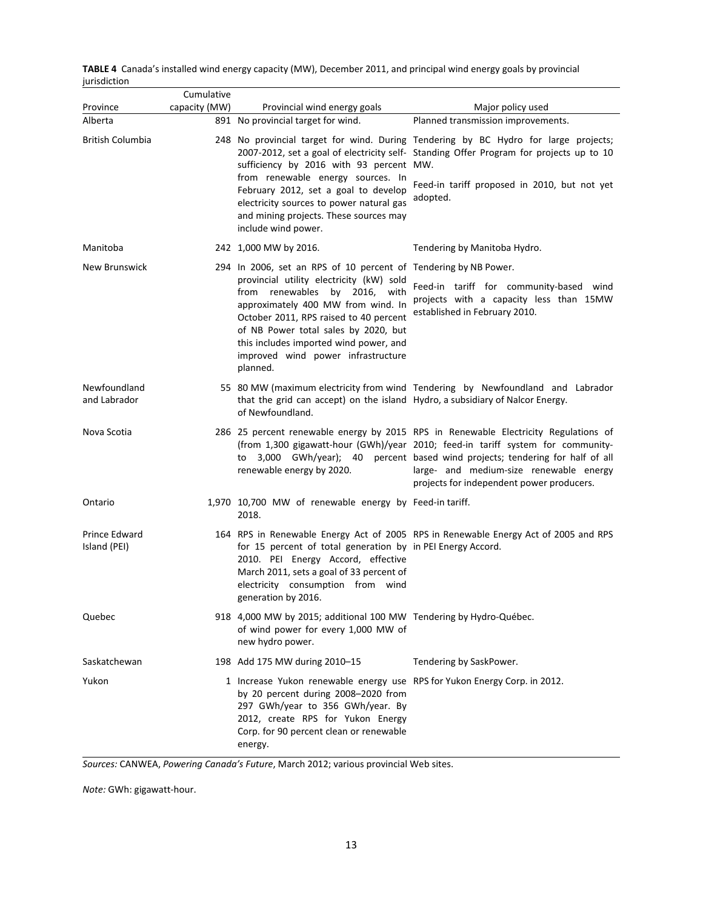|              | TABLE 4 Canada's installed wind energy capacity (MW), December 2011, and principal wind energy goals by provincial |  |  |
|--------------|--------------------------------------------------------------------------------------------------------------------|--|--|
| iurisdiction |                                                                                                                    |  |  |

|                               | Cumulative    |                                                                                                                                                                                                                                                                                                                                                                        |                                                                                                                                                                                                                                                                                                                                              |
|-------------------------------|---------------|------------------------------------------------------------------------------------------------------------------------------------------------------------------------------------------------------------------------------------------------------------------------------------------------------------------------------------------------------------------------|----------------------------------------------------------------------------------------------------------------------------------------------------------------------------------------------------------------------------------------------------------------------------------------------------------------------------------------------|
| Province                      | capacity (MW) | Provincial wind energy goals                                                                                                                                                                                                                                                                                                                                           | Major policy used                                                                                                                                                                                                                                                                                                                            |
| Alberta                       |               | 891 No provincial target for wind.                                                                                                                                                                                                                                                                                                                                     | Planned transmission improvements.                                                                                                                                                                                                                                                                                                           |
| British Columbia              |               | sufficiency by 2016 with 93 percent MW.<br>from renewable energy sources. In<br>February 2012, set a goal to develop<br>electricity sources to power natural gas<br>and mining projects. These sources may<br>include wind power.                                                                                                                                      | 248 No provincial target for wind. During Tendering by BC Hydro for large projects;<br>2007-2012, set a goal of electricity self- Standing Offer Program for projects up to 10<br>Feed-in tariff proposed in 2010, but not yet<br>adopted.                                                                                                   |
| Manitoba                      |               | 242 1,000 MW by 2016.                                                                                                                                                                                                                                                                                                                                                  | Tendering by Manitoba Hydro.                                                                                                                                                                                                                                                                                                                 |
| New Brunswick                 |               | 294 In 2006, set an RPS of 10 percent of Tendering by NB Power.<br>provincial utility electricity (kW) sold<br>from renewables<br>2016, with<br>by<br>approximately 400 MW from wind. In<br>October 2011, RPS raised to 40 percent<br>of NB Power total sales by 2020, but<br>this includes imported wind power, and<br>improved wind power infrastructure<br>planned. | Feed-in tariff for community-based wind<br>projects with a capacity less than 15MW<br>established in February 2010.                                                                                                                                                                                                                          |
| Newfoundland<br>and Labrador  |               | that the grid can accept) on the island Hydro, a subsidiary of Nalcor Energy.<br>of Newfoundland.                                                                                                                                                                                                                                                                      | 55 80 MW (maximum electricity from wind Tendering by Newfoundland and Labrador                                                                                                                                                                                                                                                               |
| Nova Scotia                   |               | to<br>renewable energy by 2020.                                                                                                                                                                                                                                                                                                                                        | 286 25 percent renewable energy by 2015 RPS in Renewable Electricity Regulations of<br>(from 1,300 gigawatt-hour (GWh)/year 2010; feed-in tariff system for community-<br>3,000 GWh/year); 40 percent based wind projects; tendering for half of all<br>large- and medium-size renewable energy<br>projects for independent power producers. |
| Ontario                       |               | 1,970 10,700 MW of renewable energy by Feed-in tariff.<br>2018.                                                                                                                                                                                                                                                                                                        |                                                                                                                                                                                                                                                                                                                                              |
| Prince Edward<br>Island (PEI) |               | for 15 percent of total generation by in PEI Energy Accord.<br>2010. PEI Energy Accord, effective<br>March 2011, sets a goal of 33 percent of<br>electricity consumption from wind<br>generation by 2016.                                                                                                                                                              | 164 RPS in Renewable Energy Act of 2005 RPS in Renewable Energy Act of 2005 and RPS                                                                                                                                                                                                                                                          |
| Quebec                        |               | 918 4,000 MW by 2015; additional 100 MW Tendering by Hydro-Québec.<br>of wind power for every 1,000 MW of<br>new hydro power.                                                                                                                                                                                                                                          |                                                                                                                                                                                                                                                                                                                                              |
| Saskatchewan                  |               | 198 Add 175 MW during 2010-15                                                                                                                                                                                                                                                                                                                                          | Tendering by SaskPower.                                                                                                                                                                                                                                                                                                                      |
| Yukon                         |               | 1 Increase Yukon renewable energy use RPS for Yukon Energy Corp. in 2012.<br>by 20 percent during 2008-2020 from<br>297 GWh/year to 356 GWh/year. By<br>2012, create RPS for Yukon Energy<br>Corp. for 90 percent clean or renewable<br>energy.                                                                                                                        |                                                                                                                                                                                                                                                                                                                                              |

*Sources:* CANWEA, *Powering Canada's Future*, March 2012; various provincial Web sites.

*Note:* GWh: gigawatt‐hour.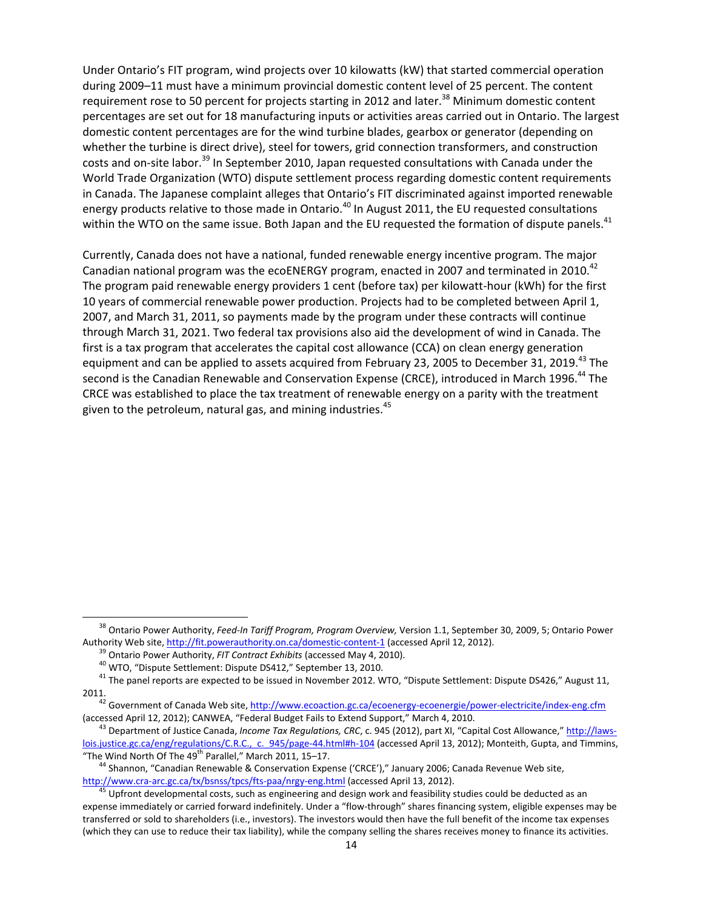Under Ontario's FIT program, wind projects over 10 kilowatts (kW) that started commercial operation during 2009–11 must have a minimum provincial domestic content level of 25 percent. The content requirement rose to 50 percent for projects starting in 2012 and later.<sup>38</sup> Minimum domestic content percentages are set out for 18 manufacturing inputs or activities areas carried out in Ontario. The largest domestic content percentages are for the wind turbine blades, gearbox or generator (depending on whether the turbine is direct drive), steel for towers, grid connection transformers, and construction costs and on-site labor.<sup>39</sup> In September 2010, Japan requested consultations with Canada under the World Trade Organization (WTO) dispute settlement process regarding domestic content requirements in Canada. The Japanese complaint alleges that Ontario's FIT discriminated against imported renewable energy products relative to those made in Ontario.<sup>40</sup> In August 2011, the EU requested consultations within the WTO on the same issue. Both Japan and the EU requested the formation of dispute panels.<sup>41</sup>

Currently, Canada does not have a national, funded renewable energy incentive program. The major Canadian national program was the ecoENERGY program, enacted in 2007 and terminated in 2010.<sup>42</sup> The program paid renewable energy providers 1 cent (before tax) per kilowatt-hour (kWh) for the first 10 years of commercial renewable power production. Projects had to be completed between April 1, 2007, and March 31, 2011, so payments made by the program under these contracts will continue through March 31, 2021. Two federal tax provisions also aid the development of wind in Canada. The first is a tax program that accelerates the capital cost allowance (CCA) on clean energy generation equipment and can be applied to assets acquired from February 23, 2005 to December 31, 2019.<sup>43</sup> The second is the Canadian Renewable and Conservation Expense (CRCE), introduced in March 1996.<sup>44</sup> The CRCE was established to place the tax treatment of renewable energy on a parity with the treatment given to the petroleum, natural gas, and mining industries. $45$ 

<sup>38</sup> Ontario Power Authority, *Feed‐In Tariff Program, Program Overview,* Version 1.1, September 30, 2009, 5; Ontario Power

<sup>&</sup>lt;sup>39</sup> Ontario Power Authority, *FIT Contract Exhibits* (accessed May 4, 2010).<br><sup>40</sup> WTO, "Dispute Settlement: Dispute DS412," September 13, 2010.<br><sup>41</sup> The panel reports are expected to be issued in November 2012. WTO, "Dis 2011.

<sup>&</sup>lt;sup>42</sup> Government of Canada Web site, http://www.ecoaction.gc.ca/ecoenergy-ecoenergie/power-electricite/index-eng.cfm (accessed April 12, 2012); CANWEA, "Federal Budget Fails to Extend Support," March 4, 2010.<br><sup>43</sup> Department of Justice Canada, *Income Tox Requlations, CRC*, c. 945 (2012), part XI, "Capital Cost Allowance," http://laws-

lois.justice.gc.ca/eng/regulations/C.R.C., c. 945/page-44.html#h-104 (accessed April 13, 2012); Monteith, Gupta, and Timmins,<br>"The Wind North Of The 49<sup>th</sup> Parallel," March 2011, 15–17.

<sup>&</sup>lt;sup>44</sup> Shannon, "Canadian Renewable & Conservation Expense ('CRCE')," January 2006; Canada Revenue Web site, http://www.cra-arc.gc.ca/tx/bsnss/tpcs/fts-paa/nrgy-eng.html (accessed April 13, 2012).<br><sup>45</sup> Upfront developmental costs, such as engineering and design work and feasibility studies could be deducted as an

expense immediately or carried forward indefinitely. Under a "flow‐through" shares financing system, eligible expenses may be transferred or sold to shareholders (i.e., investors). The investors would then have the full benefit of the income tax expenses (which they can use to reduce their tax liability), while the company selling the shares receives money to finance its activities.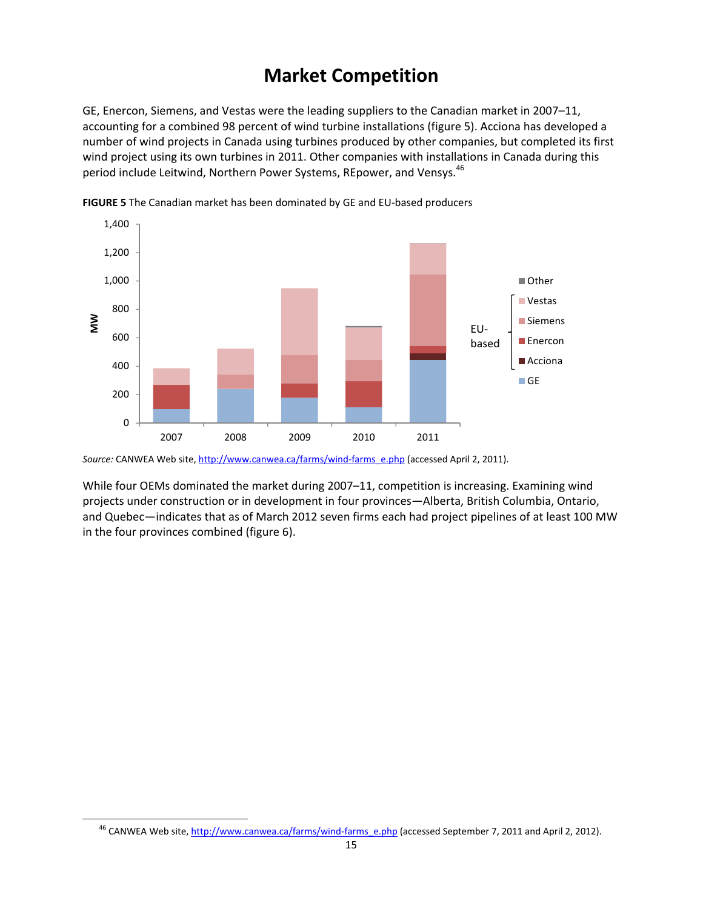# **Market Competition**

GE, Enercon, Siemens, and Vestas were the leading suppliers to the Canadian market in 2007–11, accounting for a combined 98 percent of wind turbine installations (figure 5). Acciona has developed a number of wind projects in Canada using turbines produced by other companies, but completed its first wind project using its own turbines in 2011. Other companies with installations in Canada during this period include Leitwind, Northern Power Systems, REpower, and Vensys.<sup>46</sup>



**FIGURE 5** The Canadian market has been dominated by GE and EU‐based producers

Source: CANWEA Web site, http://www.canwea.ca/farms/wind-farms\_e.php (accessed April 2, 2011).

While four OEMs dominated the market during 2007–11, competition is increasing. Examining wind projects under construction or in development in four provinces—Alberta, British Columbia, Ontario, and Quebec—indicates that as of March 2012 seven firms each had project pipelines of at least 100 MW in the four provinces combined (figure 6).

<sup>&</sup>lt;sup>46</sup> CANWEA Web site, http://www.canwea.ca/farms/wind-farms\_e.php (accessed September 7, 2011 and April 2, 2012).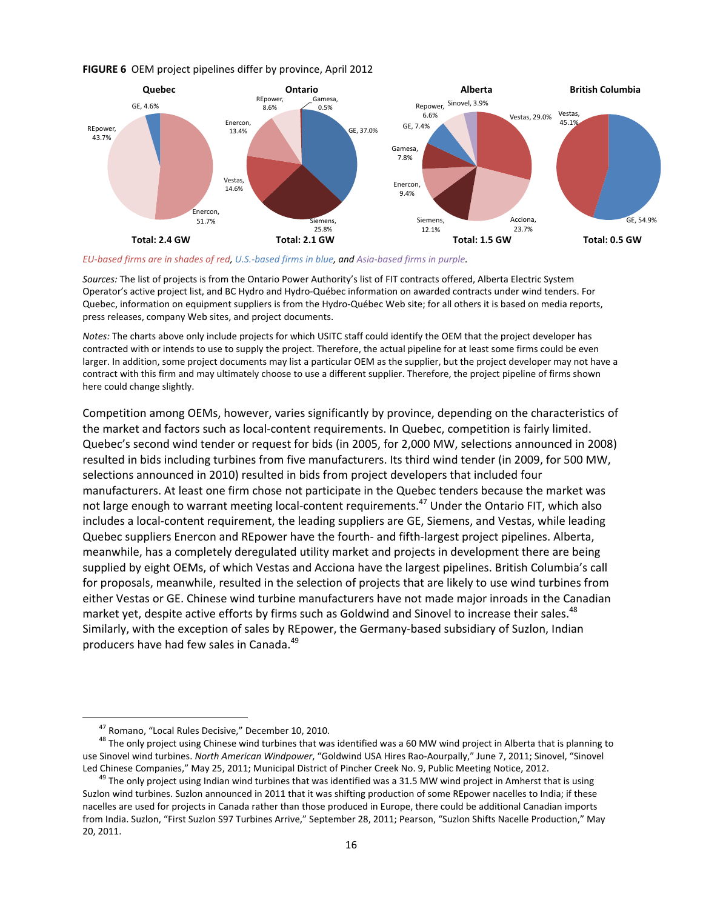#### **FIGURE 6** OEM project pipelines differ by province, April 2012



EU-based firms are in shades of red, U.S.-based firms in blue, and Asia-based firms in purple.

*Sources:* The list of projects is from the Ontario Power Authority's list of FIT contracts offered, Alberta Electric System Operator's active project list, and BC Hydro and Hydro‐Québec information on awarded contracts under wind tenders. For Quebec, information on equipment suppliers is from the Hydro‐Québec Web site; for all others it is based on media reports, press releases, company Web sites, and project documents.

*Notes:* The charts above only include projects for which USITC staff could identify the OEM that the project developer has contracted with or intends to use to supply the project. Therefore, the actual pipeline for at least some firms could be even larger. In addition, some project documents may list a particular OEM as the supplier, but the project developer may not have a contract with this firm and may ultimately choose to use a different supplier. Therefore, the project pipeline of firms shown here could change slightly.

Competition among OEMs, however, varies significantly by province, depending on the characteristics of the market and factors such as local‐content requirements. In Quebec, competition is fairly limited. Quebec's second wind tender or request for bids (in 2005, for 2,000 MW, selections announced in 2008) resulted in bids including turbines from five manufacturers. Its third wind tender (in 2009, for 500 MW, selections announced in 2010) resulted in bids from project developers that included four manufacturers. At least one firm chose not participate in the Quebec tenders because the market was not large enough to warrant meeting local-content requirements.<sup>47</sup> Under the Ontario FIT, which also includes a local‐content requirement, the leading suppliers are GE, Siemens, and Vestas, while leading Quebec suppliers Enercon and REpower have the fourth‐ and fifth‐largest project pipelines. Alberta, meanwhile, has a completely deregulated utility market and projects in development there are being supplied by eight OEMs, of which Vestas and Acciona have the largest pipelines. British Columbia's call for proposals, meanwhile, resulted in the selection of projects that are likely to use wind turbines from either Vestas or GE. Chinese wind turbine manufacturers have not made major inroads in the Canadian market yet, despite active efforts by firms such as Goldwind and Sinovel to increase their sales.<sup>48</sup> Similarly, with the exception of sales by REpower, the Germany‐based subsidiary of Suzlon, Indian producers have had few sales in Canada.<sup>49</sup>

<sup>&</sup>lt;sup>47</sup> Romano, "Local Rules Decisive," December 10, 2010.<br><sup>48</sup> The only project using Chinese wind turbines that was identified was a 60 MW wind project in Alberta that is planning to use Sinovel wind turbines. *North American Windpower*, "Goldwind USA Hires Rao‐Aourpally," June 7, 2011; Sinovel, "Sinovel

Led Chinese Companies," May 25, 2011; Municipal District of Pincher Creek No. 9, Public Meeting Notice, 2012.<br><sup>49</sup> The only project using Indian wind turbines that was identified was a 31.5 MW wind project in Amherst that Suzlon wind turbines. Suzlon announced in 2011 that it was shifting production of some REpower nacelles to India; if these nacelles are used for projects in Canada rather than those produced in Europe, there could be additional Canadian imports from India. Suzlon, "First Suzlon S97 Turbines Arrive," September 28, 2011; Pearson, "Suzlon Shifts Nacelle Production," May 20, 2011.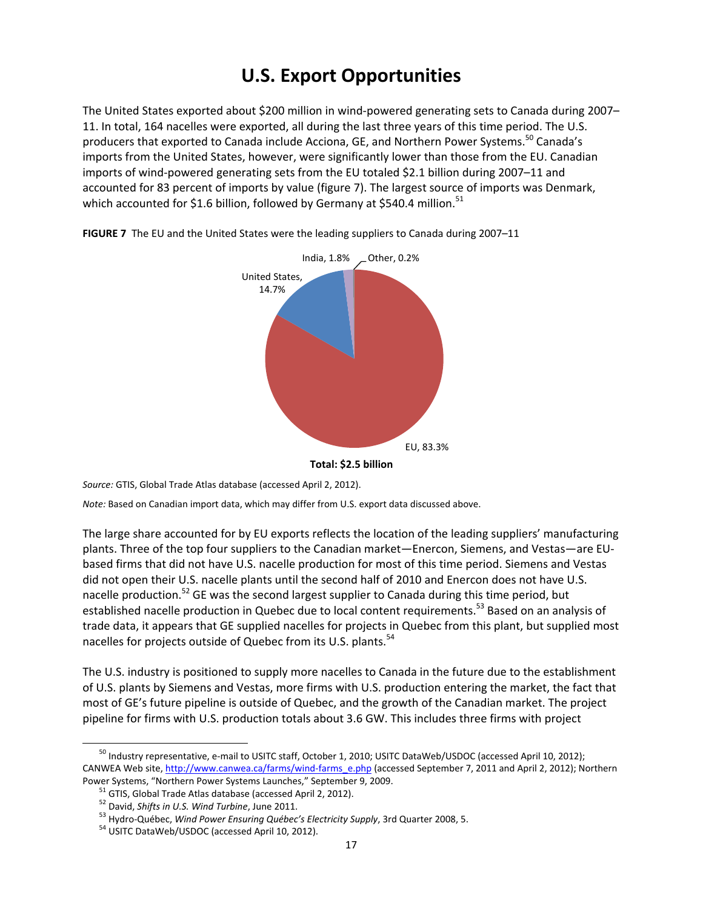# **U.S. Export Opportunities**

The United States exported about \$200 million in wind‐powered generating sets to Canada during 2007– 11. In total, 164 nacelles were exported, all during the last three years of this time period. The U.S. producers that exported to Canada include Acciona, GE, and Northern Power Systems.<sup>50</sup> Canada's imports from the United States, however, were significantly lower than those from the EU. Canadian imports of wind-powered generating sets from the EU totaled \$2.1 billion during 2007–11 and accounted for 83 percent of imports by value (figure 7). The largest source of imports was Denmark, which accounted for \$1.6 billion, followed by Germany at \$540.4 million.<sup>51</sup>



**FIGURE 7** The EU and the United States were the leading suppliers to Canada during 2007–11

*Source:* GTIS, Global Trade Atlas database (accessed April 2, 2012).

*Note:* Based on Canadian import data, which may differ from U.S. export data discussed above.

The large share accounted for by EU exports reflects the location of the leading suppliers' manufacturing plants. Three of the top four suppliers to the Canadian market—Enercon, Siemens, and Vestas—are EU‐ based firms that did not have U.S. nacelle production for most of this time period. Siemens and Vestas did not open their U.S. nacelle plants until the second half of 2010 and Enercon does not have U.S. nacelle production.<sup>52</sup> GE was the second largest supplier to Canada during this time period, but established nacelle production in Quebec due to local content requirements.<sup>53</sup> Based on an analysis of trade data, it appears that GE supplied nacelles for projects in Quebec from this plant, but supplied most nacelles for projects outside of Quebec from its U.S. plants.<sup>54</sup>

The U.S. industry is positioned to supply more nacelles to Canada in the future due to the establishment of U.S. plants by Siemens and Vestas, more firms with U.S. production entering the market, the fact that most of GE's future pipeline is outside of Quebec, and the growth of the Canadian market. The project pipeline for firms with U.S. production totals about 3.6 GW. This includes three firms with project

<sup>&</sup>lt;sup>50</sup> Industry representative, e-mail to USITC staff, October 1, 2010; USITC DataWeb/USDOC (accessed April 10, 2012); CANWEA Web site, http://www.canwea.ca/farms/wind-farms\_e.php (accessed September 7, 2011 and April 2, 2012); Northern

Power Systems, "Northern Power Systems Launches," September 9, 2009.<br><sup>51</sup> GTIS, Global Trade Atlas database (accessed April 2, 2012).<br><sup>52</sup> David, *Shifts in U.S. Wind Turbine*, June 2011.<br><sup>53</sup> Hydro-Québec, *Wind Power Ens*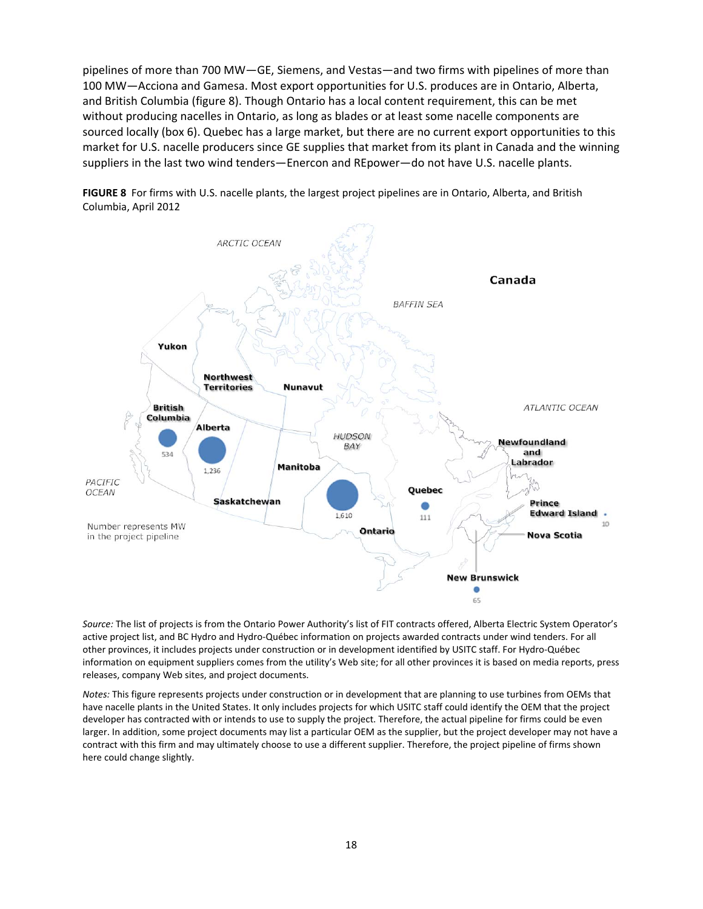pipelines of more than 700 MW—GE, Siemens, and Vestas—and two firms with pipelines of more than 100 MW—Acciona and Gamesa. Most export opportunities for U.S. produces are in Ontario, Alberta, and British Columbia (figure 8). Though Ontario has a local content requirement, this can be met without producing nacelles in Ontario, as long as blades or at least some nacelle components are sourced locally (box 6). Quebec has a large market, but there are no current export opportunities to this market for U.S. nacelle producers since GE supplies that market from its plant in Canada and the winning suppliers in the last two wind tenders—Enercon and REpower—do not have U.S. nacelle plants.





*Source:* The list of projects is from the Ontario Power Authority's list of FIT contracts offered, Alberta Electric System Operator's active project list, and BC Hydro and Hydro‐Québec information on projects awarded contracts under wind tenders. For all other provinces, it includes projects under construction or in development identified by USITC staff. For Hydro‐Québec information on equipment suppliers comes from the utility's Web site; for all other provinces it is based on media reports, press releases, company Web sites, and project documents.

*Notes:* This figure represents projects under construction or in development that are planning to use turbines from OEMs that have nacelle plants in the United States. It only includes projects for which USITC staff could identify the OEM that the project developer has contracted with or intends to use to supply the project. Therefore, the actual pipeline for firms could be even larger. In addition, some project documents may list a particular OEM as the supplier, but the project developer may not have a contract with this firm and may ultimately choose to use a different supplier. Therefore, the project pipeline of firms shown here could change slightly.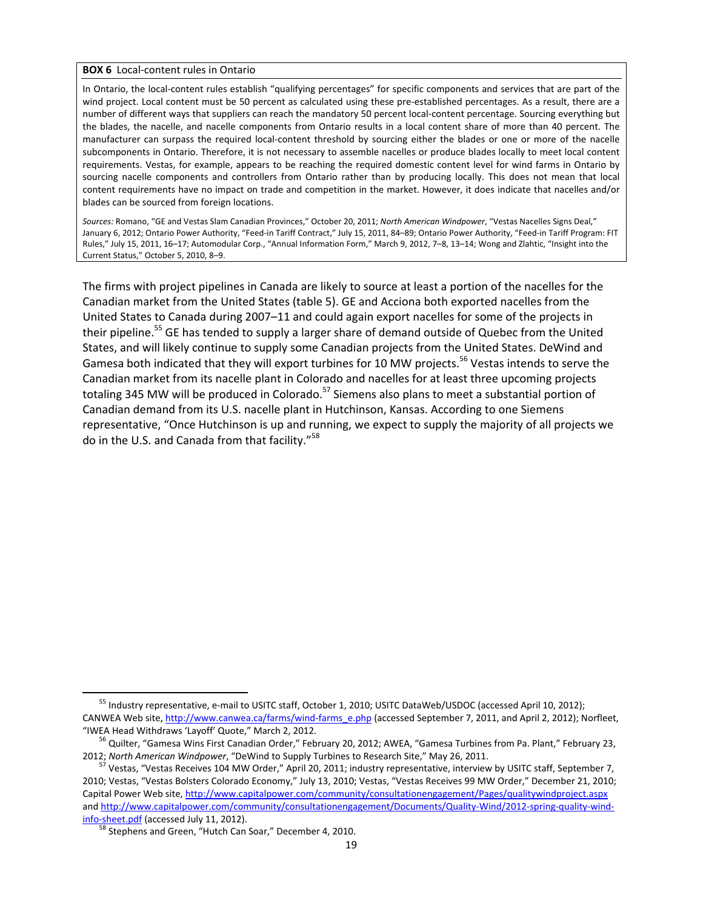#### **BOX 6** Local‐content rules in Ontario

In Ontario, the local-content rules establish "qualifying percentages" for specific components and services that are part of the wind project. Local content must be 50 percent as calculated using these pre‐established percentages. As a result, there are a number of different ways that suppliers can reach the mandatory 50 percent local‐content percentage. Sourcing everything but the blades, the nacelle, and nacelle components from Ontario results in a local content share of more than 40 percent. The manufacturer can surpass the required local‐content threshold by sourcing either the blades or one or more of the nacelle subcomponents in Ontario. Therefore, it is not necessary to assemble nacelles or produce blades locally to meet local content requirements. Vestas, for example, appears to be reaching the required domestic content level for wind farms in Ontario by sourcing nacelle components and controllers from Ontario rather than by producing locally. This does not mean that local content requirements have no impact on trade and competition in the market. However, it does indicate that nacelles and/or blades can be sourced from foreign locations.

*Sources:* Romano, "GE and Vestas Slam Canadian Provinces," October 20, 2011; *North American Windpower*, "Vestas Nacelles Signs Deal," January 6, 2012; Ontario Power Authority, "Feed-in Tariff Contract," July 15, 2011, 84–89; Ontario Power Authority, "Feed-in Tariff Program: FIT Rules," July 15, 2011, 16–17; Automodular Corp., "Annual Information Form," March 9, 2012, 7–8, 13–14; Wong and Zlahtic, "Insight into the Current Status," October 5, 2010, 8–9.

The firms with project pipelines in Canada are likely to source at least a portion of the nacelles for the Canadian market from the United States (table 5). GE and Acciona both exported nacelles from the United States to Canada during 2007–11 and could again export nacelles for some of the projects in their pipeline.<sup>55</sup> GE has tended to supply a larger share of demand outside of Quebec from the United States, and will likely continue to supply some Canadian projects from the United States. DeWind and Gamesa both indicated that they will export turbines for 10 MW projects.<sup>56</sup> Vestas intends to serve the Canadian market from its nacelle plant in Colorado and nacelles for at least three upcoming projects totaling 345 MW will be produced in Colorado.<sup>57</sup> Siemens also plans to meet a substantial portion of Canadian demand from its U.S. nacelle plant in Hutchinson, Kansas. According to one Siemens representative, "Once Hutchinson is up and running, we expect to supply the majority of all projects we do in the U.S. and Canada from that facility."<sup>58</sup>

<sup>&</sup>lt;sup>55</sup> Industry representative, e-mail to USITC staff, October 1, 2010; USITC DataWeb/USDOC (accessed April 10, 2012); CANWEA Web site, http://www.canwea.ca/farms/wind-farms\_e.php (accessed September 7, 2011, and April 2, 2012); Norfleet, "IWEA Head Withdraws 'Layoff' Quote," March 2, 2012. <sup>56</sup> Quilter, "Gamesa Wins First Canadian Order," February 20, 2012; AWEA, "Gamesa Turbines from Pa. Plant," February 23,

<sup>2012;</sup> North American Windpower, "DeWind to Supply Turbines to Research Site," May 26, 2011.<br><sup>57</sup> Vestas, "Vestas Receives 104 MW Order," April 20, 2011; industry representative, interview by USITC staff, September 7,

<sup>2010;</sup> Vestas, "Vestas Bolsters Colorado Economy," July 13, 2010; Vestas, "Vestas Receives 99 MW Order," December 21, 2010; Capital Power Web site, http://www.capitalpower.com/community/consultationengagement/Pages/qualitywindproject.aspx and http://www.capitalpower.com/community/consultationengagement/Documents/Quality-Wind/2012-spring-quality-windinfo-sheet.pdf (accessed July 11, 2012).<br><sup>58</sup> Stephens and Green, "Hutch Can Soar," December 4, 2010.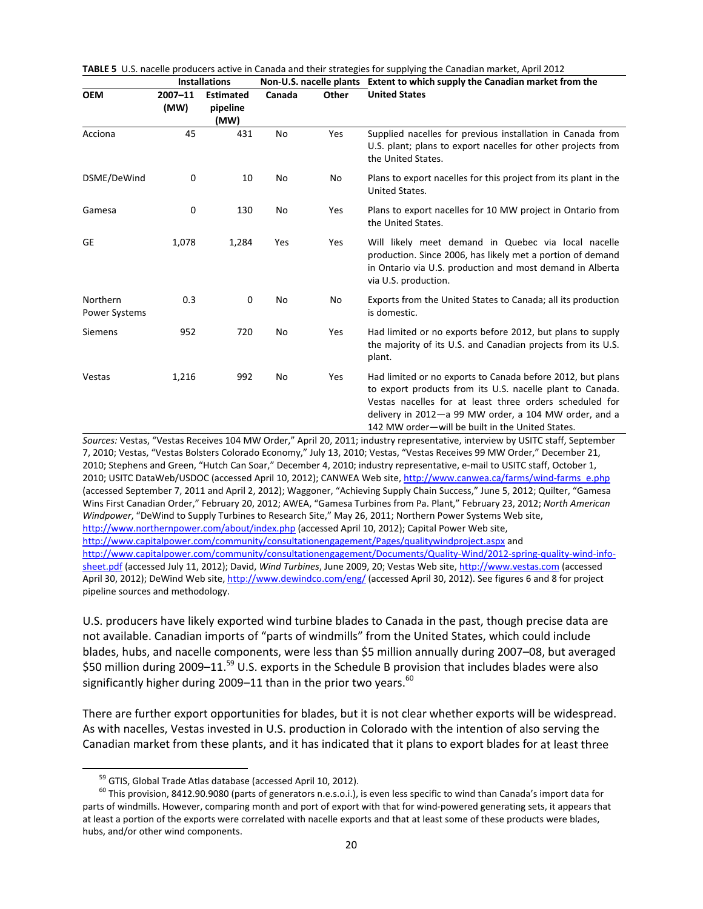| <b>Installations</b> |                                      |        |       | Non-U.S. nacelle plants Extent to which supply the Canadian market from the                                                                                                                                                                                                                     |  |
|----------------------|--------------------------------------|--------|-------|-------------------------------------------------------------------------------------------------------------------------------------------------------------------------------------------------------------------------------------------------------------------------------------------------|--|
| 2007-11<br>(MW)      | <b>Estimated</b><br>pipeline<br>(MW) | Canada | Other | <b>United States</b>                                                                                                                                                                                                                                                                            |  |
| 45                   | 431                                  | No     | Yes   | Supplied nacelles for previous installation in Canada from<br>U.S. plant; plans to export nacelles for other projects from<br>the United States.                                                                                                                                                |  |
| 0                    | 10                                   | No     | No    | Plans to export nacelles for this project from its plant in the<br>United States.                                                                                                                                                                                                               |  |
| $\mathbf 0$          | 130                                  | No     | Yes   | Plans to export nacelles for 10 MW project in Ontario from<br>the United States.                                                                                                                                                                                                                |  |
| 1,078                | 1,284                                | Yes    | Yes   | Will likely meet demand in Quebec via local nacelle<br>production. Since 2006, has likely met a portion of demand<br>in Ontario via U.S. production and most demand in Alberta<br>via U.S. production.                                                                                          |  |
| 0.3                  | $\mathbf{0}$                         | No     | No    | Exports from the United States to Canada; all its production<br>is domestic.                                                                                                                                                                                                                    |  |
| 952                  | 720                                  | No     | Yes   | Had limited or no exports before 2012, but plans to supply<br>the majority of its U.S. and Canadian projects from its U.S.<br>plant.                                                                                                                                                            |  |
| 1,216                | 992                                  | No     | Yes   | Had limited or no exports to Canada before 2012, but plans<br>to export products from its U.S. nacelle plant to Canada.<br>Vestas nacelles for at least three orders scheduled for<br>delivery in 2012-a 99 MW order, a 104 MW order, and a<br>142 MW order-will be built in the United States. |  |
|                      |                                      |        |       |                                                                                                                                                                                                                                                                                                 |  |

**TABLE 5** U.S. nacelle producers active in Canada and their strategies for supplying the Canadian market, April 2012

7, 2010; Vestas, "Vestas Bolsters Colorado Economy," July 13, 2010; Vestas, "Vestas Receives 99 MW Order," December 21, 2010; Stephens and Green, "Hutch Can Soar," December 4, 2010; industry representative, e‐mail to USITC staff, October 1, 2010; USITC DataWeb/USDOC (accessed April 10, 2012); CANWEA Web site, http://www.canwea.ca/farms/wind-farms\_e.php (accessed September 7, 2011 and April 2, 2012); Waggoner, "Achieving Supply Chain Success," June 5, 2012; Quilter, "Gamesa Wins First Canadian Order," February 20, 2012; AWEA, "Gamesa Turbines from Pa. Plant," February 23, 2012; *North American Windpower*, "DeWind to Supply Turbines to Research Site," May 26, 2011; Northern Power Systems Web site, http://www.northernpower.com/about/index.php (accessed April 10, 2012); Capital Power Web site, http://www.capitalpower.com/community/consultationengagement/Pages/qualitywindproject.aspx and http://www.capitalpower.com/community/consultationengagement/Documents/Quality-Wind/2012-spring-quality-wind-infosheet.pdf (accessed July 11, 2012); David, *Wind Turbines*, June 2009, 20; Vestas Web site, http://www.vestas.com (accessed April 30, 2012); DeWind Web site, http://www.dewindco.com/eng/ (accessed April 30, 2012). See figures 6 and 8 for project pipeline sources and methodology.

U.S. producers have likely exported wind turbine blades to Canada in the past, though precise data are not available. Canadian imports of "parts of windmills" from the United States, which could include blades, hubs, and nacelle components, were less than \$5 million annually during 2007–08, but averaged \$50 million during 2009–11.<sup>59</sup> U.S. exports in the Schedule B provision that includes blades were also significantly higher during 2009–11 than in the prior two years. $60$ 

There are further export opportunities for blades, but it is not clear whether exports will be widespread. As with nacelles, Vestas invested in U.S. production in Colorado with the intention of also serving the Canadian market from these plants, and it has indicated that it plans to export blades for at least three

<sup>&</sup>lt;sup>59</sup> GTIS, Global Trade Atlas database (accessed April 10, 2012).<br><sup>60</sup> This provision, 8412.90.9080 (parts of generators n.e.s.o.i.), is even less specific to wind than Canada's import data for parts of windmills. However, comparing month and port of export with that for wind-powered generating sets, it appears that at least a portion of the exports were correlated with nacelle exports and that at least some of these products were blades, hubs, and/or other wind components.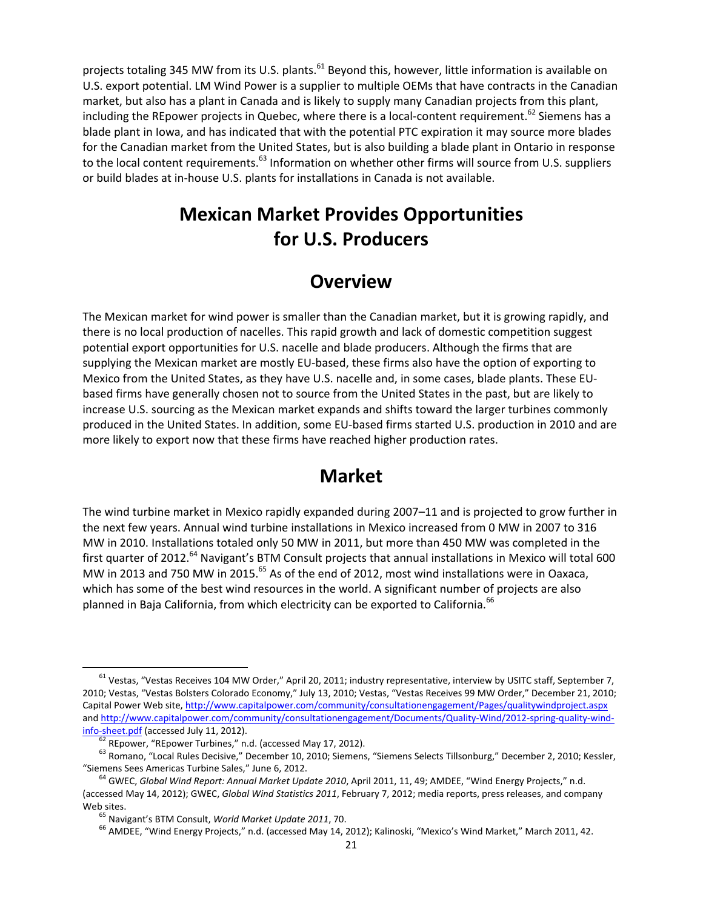projects totaling 345 MW from its U.S. plants.<sup>61</sup> Beyond this, however, little information is available on U.S. export potential. LM Wind Power is a supplier to multiple OEMs that have contracts in the Canadian market, but also has a plant in Canada and is likely to supply many Canadian projects from this plant, including the REpower projects in Quebec, where there is a local-content requirement.<sup>62</sup> Siemens has a blade plant in Iowa, and has indicated that with the potential PTC expiration it may source more blades for the Canadian market from the United States, but is also building a blade plant in Ontario in response to the local content requirements.<sup>63</sup> Information on whether other firms will source from U.S. suppliers or build blades at in‐house U.S. plants for installations in Canada is not available.

# **Mexican Market Provides Opportunities for U.S. Producers**

#### **Overview**

The Mexican market for wind power is smaller than the Canadian market, but it is growing rapidly, and there is no local production of nacelles. This rapid growth and lack of domestic competition suggest potential export opportunities for U.S. nacelle and blade producers. Although the firms that are supplying the Mexican market are mostly EU‐based, these firms also have the option of exporting to Mexico from the United States, as they have U.S. nacelle and, in some cases, blade plants. These EU‐ based firms have generally chosen not to source from the United States in the past, but are likely to increase U.S. sourcing as the Mexican market expands and shifts toward the larger turbines commonly produced in the United States. In addition, some EU‐based firms started U.S. production in 2010 and are more likely to export now that these firms have reached higher production rates.

#### **Market**

The wind turbine market in Mexico rapidly expanded during 2007–11 and is projected to grow further in the next few years. Annual wind turbine installations in Mexico increased from 0 MW in 2007 to 316 MW in 2010. Installations totaled only 50 MW in 2011, but more than 450 MW was completed in the first quarter of 2012.<sup>64</sup> Navigant's BTM Consult projects that annual installations in Mexico will total 600 MW in 2013 and 750 MW in 2015.<sup>65</sup> As of the end of 2012, most wind installations were in Oaxaca, which has some of the best wind resources in the world. A significant number of projects are also planned in Baja California, from which electricity can be exported to California.<sup>66</sup>

<sup>&</sup>lt;sup>61</sup> Vestas, "Vestas Receives 104 MW Order," April 20, 2011; industry representative, interview by USITC staff, September 7, 2010; Vestas, "Vestas Bolsters Colorado Economy," July 13, 2010; Vestas, "Vestas Receives 99 MW Order," December 21, 2010; Capital Power Web site, http://www.capitalpower.com/community/consultationengagement/Pages/qualitywindproject.aspx and http://www.capitalpower.com/community/consultationengagement/Documents/Quality-Wind/2012-spring-quality-wind-

info-sheet.pdf (accessed July 11, 2012).<br><sup>62</sup> REpower, "REpower Turbines," n.d. (accessed May 17, 2012).<br><sup>63</sup> Romano, "Local Rules Decisive," December 10, 2010; Siemens, "Siemens Selects Tillsonburg," December 2, 2010; Kes

<sup>&</sup>lt;sup>64</sup> GWEC, Global Wind Report: Annual Market Update 2010, April 2011, 11, 49; AMDEE, "Wind Energy Projects," n.d. (accessed May 14, 2012); GWEC, *Global Wind Statistics 2011*, February 7, 2012; media reports, press releases, and company Web sites.<br><sup>65</sup> Navigant's BTM Consult, *World Market Update 2011*, 70.

<sup>&</sup>lt;sup>66</sup> AMDEE, "Wind Energy Projects," n.d. (accessed May 14, 2012); Kalinoski, "Mexico's Wind Market," March 2011, 42.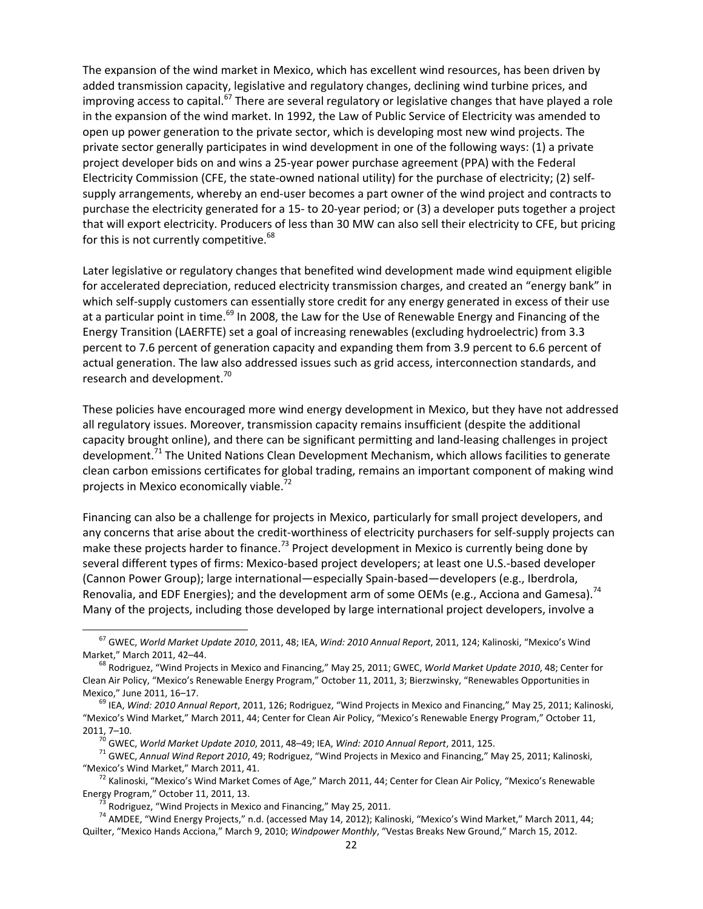The expansion of the wind market in Mexico, which has excellent wind resources, has been driven by added transmission capacity, legislative and regulatory changes, declining wind turbine prices, and improving access to capital.<sup>67</sup> There are several regulatory or legislative changes that have played a role in the expansion of the wind market. In 1992, the Law of Public Service of Electricity was amended to open up power generation to the private sector, which is developing most new wind projects. The private sector generally participates in wind development in one of the following ways: (1) a private project developer bids on and wins a 25‐year power purchase agreement (PPA) with the Federal Electricity Commission (CFE, the state-owned national utility) for the purchase of electricity; (2) selfsupply arrangements, whereby an end‐user becomes a part owner of the wind project and contracts to purchase the electricity generated for a 15‐ to 20‐year period; or (3) a developer puts together a project that will export electricity. Producers of less than 30 MW can also sell their electricity to CFE, but pricing for this is not currently competitive.<sup>68</sup>

Later legislative or regulatory changes that benefited wind development made wind equipment eligible for accelerated depreciation, reduced electricity transmission charges, and created an "energy bank" in which self-supply customers can essentially store credit for any energy generated in excess of their use at a particular point in time.<sup>69</sup> In 2008, the Law for the Use of Renewable Energy and Financing of the Energy Transition (LAERFTE) set a goal of increasing renewables (excluding hydroelectric) from 3.3 percent to 7.6 percent of generation capacity and expanding them from 3.9 percent to 6.6 percent of actual generation. The law also addressed issues such as grid access, interconnection standards, and research and development.<sup>70</sup>

These policies have encouraged more wind energy development in Mexico, but they have not addressed all regulatory issues. Moreover, transmission capacity remains insufficient (despite the additional capacity brought online), and there can be significant permitting and land‐leasing challenges in project development.<sup>71</sup> The United Nations Clean Development Mechanism, which allows facilities to generate clean carbon emissions certificates for global trading, remains an important component of making wind projects in Mexico economically viable.<sup>72</sup>

Financing can also be a challenge for projects in Mexico, particularly for small project developers, and any concerns that arise about the credit-worthiness of electricity purchasers for self-supply projects can make these projects harder to finance.<sup>73</sup> Project development in Mexico is currently being done by several different types of firms: Mexico-based project developers; at least one U.S.-based developer (Cannon Power Group); large international—especially Spain‐based—developers (e.g., Iberdrola, Renovalia, and EDF Energies); and the development arm of some OEMs (e.g., Acciona and Gamesa).<sup>74</sup> Many of the projects, including those developed by large international project developers, involve a

<sup>67</sup> GWEC, *World Market Update <sup>2010</sup>*, 2011, 48; IEA, *Wind: <sup>2010</sup> Annual Report*, 2011, 124; Kalinoski, "Mexico's Wind

<sup>&</sup>lt;sup>68</sup> Rodriguez, "Wind Projects in Mexico and Financing," May 25, 2011; GWEC, *World Market Update 2010*, 48; Center for Clean Air Policy, "Mexico's Renewable Energy Program," October 11, 2011, 3; Bierzwinsky, "Renewables Opportunities in Mexico," June 2011, 16–17. <sup>69</sup> IEA, *Wind: <sup>2010</sup> Annual Report*, 2011, 126; Rodriguez, "Wind Projects in Mexico and Financing," May 25, 2011; Kalinoski,

<sup>&</sup>quot;Mexico's Wind Market," March 2011, 44; Center for Clean Air Policy, "Mexico's Renewable Energy Program," October 11,

<sup>2011, 7–10.&</sup>lt;br><sup>70</sup> GWEC, World Market Update 2010, 2011, 48–49; IEA, Wind: 2010 Annual Report, 2011, 125.<br><sup>71</sup> GWEC, Annual Wind Report 2010, 49; Rodriguez, "Wind Projects in Mexico and Financing," May 25, 2011; Kalinoski,<br>"

<sup>&</sup>lt;sup>72</sup> Kalinoski, "Mexico's Wind Market Comes of Age," March 2011, 44; Center for Clean Air Policy, "Mexico's Renewable<br>Energy Program," October 11, 2011, 13.<br><sup>73</sup> Rodriguez, "Wind Projects in Mexico and Financing," May 25,

 $^{74}$  AMDEE, "Wind Energy Projects," n.d. (accessed May 14, 2012); Kalinoski, "Mexico's Wind Market," March 2011, 44; Quilter, "Mexico Hands Acciona," March 9, 2010; *Windpower Monthly*, "Vestas Breaks New Ground," March 15, 2012.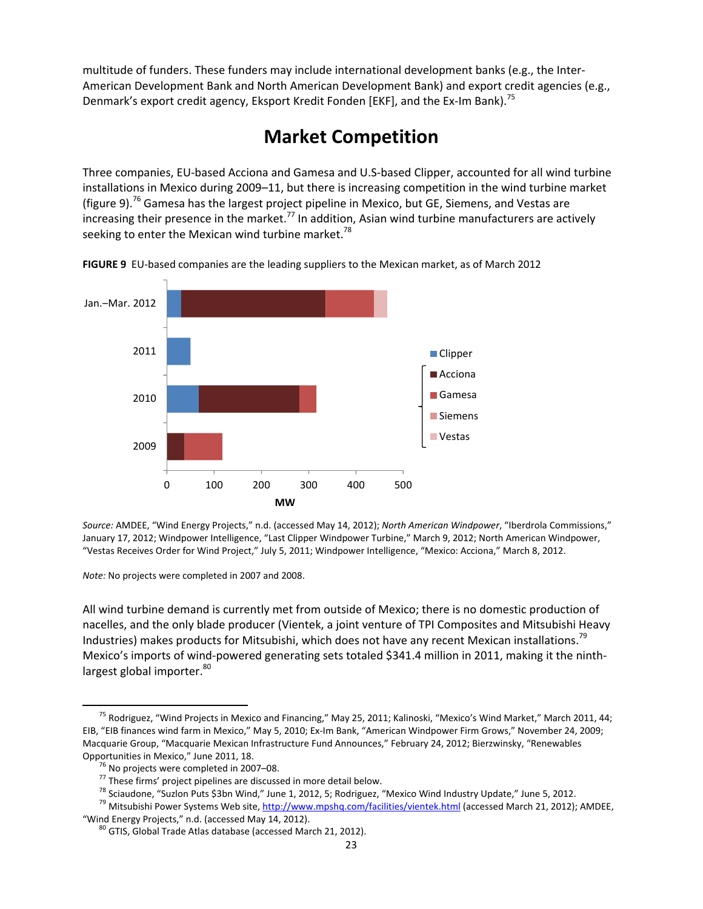multitude of funders. These funders may include international development banks (e.g., the Inter‐ American Development Bank and North American Development Bank) and export credit agencies (e.g., Denmark's export credit agency, Eksport Kredit Fonden [EKF], and the Ex-Im Bank).<sup>75</sup>

# **Market Competition**

Three companies, EU‐based Acciona and Gamesa and U.S‐based Clipper, accounted for all wind turbine installations in Mexico during 2009–11, but there is increasing competition in the wind turbine market (figure 9).<sup>76</sup> Gamesa has the largest project pipeline in Mexico, but GE, Siemens, and Vestas are increasing their presence in the market.<sup>77</sup> In addition, Asian wind turbine manufacturers are actively seeking to enter the Mexican wind turbine market.<sup>78</sup>



**FIGURE 9** EU‐based companies are the leading suppliers to the Mexican market, as of March 2012

 *Source:* AMDEE, "Wind Energy Projects," n.d. (accessed May 14, 2012); *North American Windpower*, "Iberdrola Commissions," January 17, 2012; Windpower Intelligence, "Last Clipper Windpower Turbine," March 9, 2012; North American Windpower, "Vestas Receives Order for Wind Project," July 5, 2011; Windpower Intelligence, "Mexico: Acciona," March 8, 2012.

*Note:* No projects were completed in 2007 and 2008.

All wind turbine demand is currently met from outside of Mexico; there is no domestic production of nacelles, and the only blade producer (Vientek, a joint venture of TPI Composites and Mitsubishi Heavy Industries) makes products for Mitsubishi, which does not have any recent Mexican installations.<sup>79</sup> Mexico's imports of wind-powered generating sets totaled \$341.4 million in 2011, making it the ninthlargest global importer.<sup>80</sup>

<sup>&</sup>lt;sup>75</sup> Rodriguez, "Wind Projects in Mexico and Financing," May 25, 2011; Kalinoski, "Mexico's Wind Market," March 2011, 44; EIB, "EIB finances wind farm in Mexico," May 5, 2010; Ex‐Im Bank, "American Windpower Firm Grows," November 24, 2009; Macquarie Group, "Macquarie Mexican Infrastructure Fund Announces," February 24, 2012; Bierzwinsky, "Renewables

Opportunities in Mexico," June 2011, 18.<br><sup>76</sup> No projects were completed in 2007–08.<br><sup>77</sup> These firms' project pipelines are discussed in more detail below.<br><sup>78</sup> Sciaudone, "Suzlon Puts \$3bn Wind," June 1, 2012, 5; Rodrigu

<sup>&</sup>quot;Wind Energy Projects," n.d. (accessed May 14, 2012). <sup>80</sup> GTIS, Global Trade Atlas database (accessed March 21, 2012).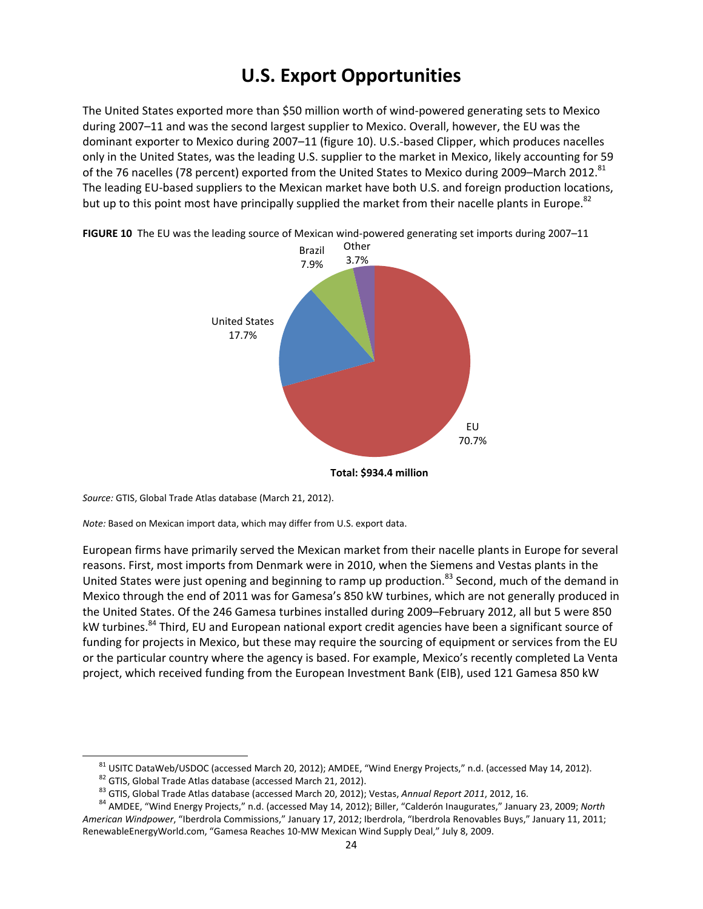# **U.S. Export Opportunities**

The United States exported more than \$50 million worth of wind‐powered generating sets to Mexico during 2007–11 and was the second largest supplier to Mexico. Overall, however, the EU was the dominant exporter to Mexico during 2007–11 (figure 10). U.S.‐based Clipper, which produces nacelles only in the United States, was the leading U.S. supplier to the market in Mexico, likely accounting for 59 of the 76 nacelles (78 percent) exported from the United States to Mexico during 2009–March 2012.<sup>81</sup> The leading EU‐based suppliers to the Mexican market have both U.S. and foreign production locations, but up to this point most have principally supplied the market from their nacelle plants in Europe.<sup>82</sup>



**FIGURE 10** The EU was the leading source of Mexican wind‐powered generating set imports during 2007–11

**Total: \$934.4 million**

*Source:* GTIS, Global Trade Atlas database (March 21, 2012).

*Note:* Based on Mexican import data, which may differ from U.S. export data.

European firms have primarily served the Mexican market from their nacelle plants in Europe for several reasons. First, most imports from Denmark were in 2010, when the Siemens and Vestas plants in the United States were just opening and beginning to ramp up production.<sup>83</sup> Second, much of the demand in Mexico through the end of 2011 was for Gamesa's 850 kW turbines, which are not generally produced in the United States. Of the 246 Gamesa turbines installed during 2009–February 2012, all but 5 were 850 kW turbines.<sup>84</sup> Third, EU and European national export credit agencies have been a significant source of funding for projects in Mexico, but these may require the sourcing of equipment or services from the EU or the particular country where the agency is based. For example, Mexico's recently completed La Venta project, which received funding from the European Investment Bank (EIB), used 121 Gamesa 850 kW

<sup>&</sup>lt;sup>81</sup> USITC DataWeb/USDOC (accessed March 20, 2012); AMDEE, "Wind Energy Projects," n.d. (accessed May 14, 2012).<br><sup>82</sup> GTIS, Global Trade Atlas database (accessed March 21, 2012).<br><sup>83</sup> GTIS, Global Trade Atlas database (ac

*American Windpower*, "Iberdrola Commissions," January 17, 2012; Iberdrola, "Iberdrola Renovables Buys," January 11, 2011; RenewableEnergyWorld.com, "Gamesa Reaches 10‐MW Mexican Wind Supply Deal," July 8, 2009.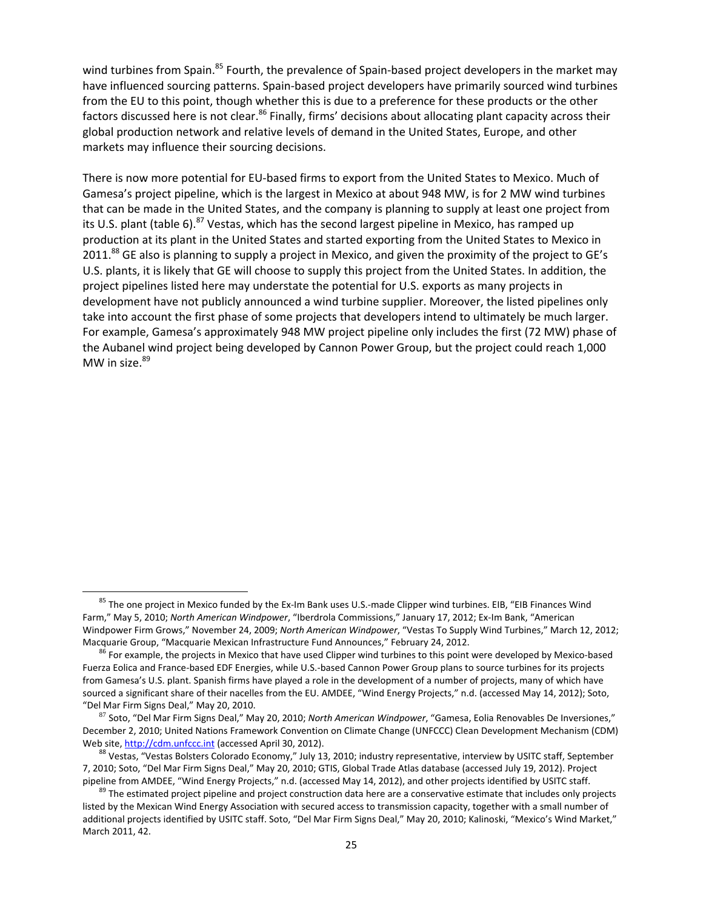wind turbines from Spain.<sup>85</sup> Fourth, the prevalence of Spain-based project developers in the market may have influenced sourcing patterns. Spain‐based project developers have primarily sourced wind turbines from the EU to this point, though whether this is due to a preference for these products or the other factors discussed here is not clear.<sup>86</sup> Finally, firms' decisions about allocating plant capacity across their global production network and relative levels of demand in the United States, Europe, and other markets may influence their sourcing decisions.

There is now more potential for EU‐based firms to export from the United States to Mexico. Much of Gamesa's project pipeline, which is the largest in Mexico at about 948 MW, is for 2 MW wind turbines that can be made in the United States, and the company is planning to supply at least one project from its U.S. plant (table 6).<sup>87</sup> Vestas, which has the second largest pipeline in Mexico, has ramped up production at its plant in the United States and started exporting from the United States to Mexico in 2011.<sup>88</sup> GE also is planning to supply a project in Mexico, and given the proximity of the project to GE's U.S. plants, it is likely that GE will choose to supply this project from the United States. In addition, the project pipelines listed here may understate the potential for U.S. exports as many projects in development have not publicly announced a wind turbine supplier. Moreover, the listed pipelines only take into account the first phase of some projects that developers intend to ultimately be much larger. For example, Gamesa's approximately 948 MW project pipeline only includes the first (72 MW) phase of the Aubanel wind project being developed by Cannon Power Group, but the project could reach 1,000 MW in size. $89$ 

<sup>&</sup>lt;sup>85</sup> The one project in Mexico funded by the Ex-Im Bank uses U.S.-made Clipper wind turbines. EIB, "EIB Finances Wind Farm," May 5, 2010; *North American Windpower*, "Iberdrola Commissions," January 17, 2012; Ex‐Im Bank, "American Windpower Firm Grows," November 24, 2009; *North American Windpower*, "Vestas To Supply Wind Turbines," March 12, 2012; Macquarie Group, "Macquarie Mexican Infrastructure Fund Announces," February 24, 2012.<br><sup>86</sup> For example, the projects in Mexico that have used Clipper wind turbines to this point were developed by Mexico-based

Fuerza Eolica and France‐based EDF Energies, while U.S.‐based Cannon Power Group plans to source turbines for its projects from Gamesa's U.S. plant. Spanish firms have played a role in the development of a number of projects, many of which have sourced a significant share of their nacelles from the EU. AMDEE, "Wind Energy Projects," n.d. (accessed May 14, 2012); Soto, "Del Mar Firm Signs Deal," May 20, 2010. <sup>87</sup> Soto, "Del Mar Firm Signs Deal," May 20, 2010; *North American Windpower*, "Gamesa, Eolia Renovables De Inversiones,"

December 2, 2010; United Nations Framework Convention on Climate Change (UNFCCC) Clean Development Mechanism (CDM) Web site, http://cdm.unfccc.int (accessed April 30, 2012). 88 Vestas, interview by USITC staff, September was Vestas, "Vestas Bolsters Colorado Economy," July 13, 2010; industry representative, interview by USITC staff, Se

<sup>7,</sup> 2010; Soto, "Del Mar Firm Signs Deal," May 20, 2010; GTIS, Global Trade Atlas database (accessed July 19, 2012). Project pipeline from AMDEE, "Wind Energy Projects," n.d. (accessed May 14, 2012), and other projects identified by USITC staff.<br><sup>89</sup> The estimated project pipeline and project construction data here are a conservative estimate th

listed by the Mexican Wind Energy Association with secured access to transmission capacity, together with a small number of additional projects identified by USITC staff. Soto, "Del Mar Firm Signs Deal," May 20, 2010; Kalinoski, "Mexico's Wind Market," March 2011, 42.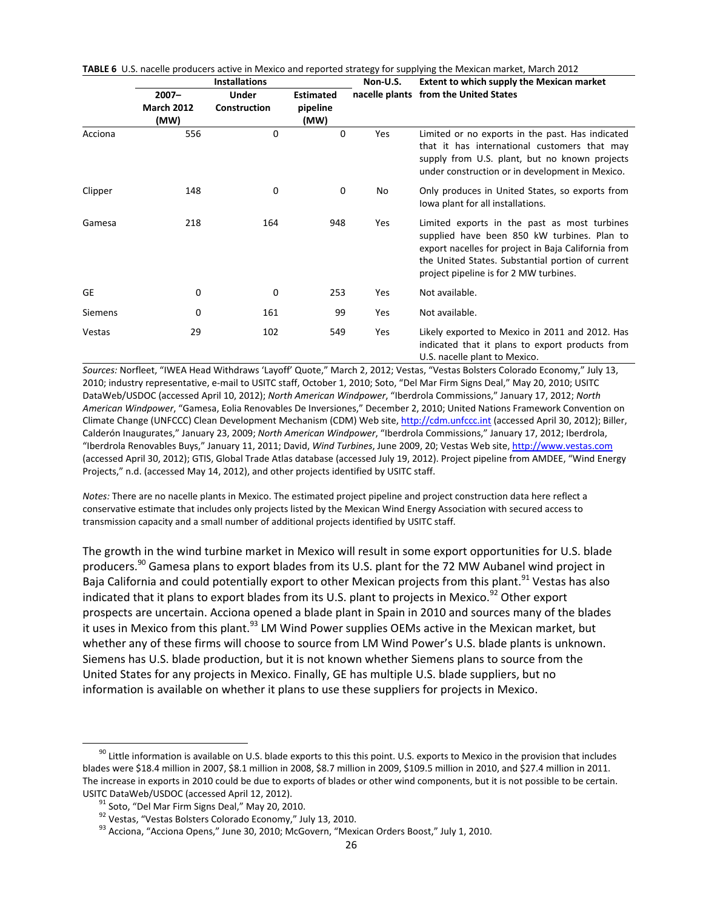|                |                                       | <b>Installations</b>         |                                      | Non-U.S. | <b>Extent to which supply the Mexican market</b>                                                                                                                                                                                                  |  |  |
|----------------|---------------------------------------|------------------------------|--------------------------------------|----------|---------------------------------------------------------------------------------------------------------------------------------------------------------------------------------------------------------------------------------------------------|--|--|
|                | $2007 -$<br><b>March 2012</b><br>(MW) | <b>Under</b><br>Construction | <b>Estimated</b><br>pipeline<br>(MW) |          | nacelle plants from the United States                                                                                                                                                                                                             |  |  |
| Acciona        | 556                                   | 0                            | 0                                    | Yes      | Limited or no exports in the past. Has indicated<br>that it has international customers that may<br>supply from U.S. plant, but no known projects<br>under construction or in development in Mexico.                                              |  |  |
| Clipper        | 148                                   | 0                            | 0                                    | No       | Only produces in United States, so exports from<br>lowa plant for all installations.                                                                                                                                                              |  |  |
| Gamesa         | 218                                   | 164                          | 948                                  | Yes      | Limited exports in the past as most turbines<br>supplied have been 850 kW turbines. Plan to<br>export nacelles for project in Baja California from<br>the United States. Substantial portion of current<br>project pipeline is for 2 MW turbines. |  |  |
| GE             | 0                                     | 0                            | 253                                  | Yes      | Not available.                                                                                                                                                                                                                                    |  |  |
| <b>Siemens</b> | 0                                     | 161                          | 99                                   | Yes      | Not available.                                                                                                                                                                                                                                    |  |  |
| Vestas         | 29                                    | 102                          | 549                                  | Yes      | Likely exported to Mexico in 2011 and 2012. Has<br>indicated that it plans to export products from<br>U.S. nacelle plant to Mexico.                                                                                                               |  |  |

**TABLE 6** U.S. nacelle producers active in Mexico and reported strategy for supplying the Mexican market, March 2012

*Sources:* Norfleet, "IWEA Head Withdraws 'Layoff' Quote," March 2, 2012; Vestas, "Vestas Bolsters Colorado Economy," July 13, 2010; industry representative, e‐mail to USITC staff, October 1, 2010; Soto, "Del Mar Firm Signs Deal," May 20, 2010; USITC DataWeb/USDOC (accessed April 10, 2012); *North American Windpower*, "Iberdrola Commissions," January 17, 2012; *North American Windpower*, "Gamesa, Eolia Renovables De Inversiones," December 2, 2010; United Nations Framework Convention on Climate Change (UNFCCC) Clean Development Mechanism (CDM) Web site, http://cdm.unfccc.int (accessed April 30, 2012); Biller, Calderón Inaugurates," January 23, 2009; *North American Windpower*, "Iberdrola Commissions," January 17, 2012; Iberdrola, "Iberdrola Renovables Buys," January 11, 2011; David, *Wind Turbines*, June 2009, 20; Vestas Web site, http://www.vestas.com (accessed April 30, 2012); GTIS, Global Trade Atlas database (accessed July 19, 2012). Project pipeline from AMDEE, "Wind Energy Projects," n.d. (accessed May 14, 2012), and other projects identified by USITC staff.

*Notes:* There are no nacelle plants in Mexico. The estimated project pipeline and project construction data here reflect a conservative estimate that includes only projects listed by the Mexican Wind Energy Association with secured access to transmission capacity and a small number of additional projects identified by USITC staff.

The growth in the wind turbine market in Mexico will result in some export opportunities for U.S. blade producers.<sup>90</sup> Gamesa plans to export blades from its U.S. plant for the 72 MW Aubanel wind project in Baja California and could potentially export to other Mexican projects from this plant.<sup>91</sup> Vestas has also indicated that it plans to export blades from its U.S. plant to projects in Mexico.<sup>92</sup> Other export prospects are uncertain. Acciona opened a blade plant in Spain in 2010 and sources many of the blades it uses in Mexico from this plant.  $93$  LM Wind Power supplies OEMs active in the Mexican market, but whether any of these firms will choose to source from LM Wind Power's U.S. blade plants is unknown. Siemens has U.S. blade production, but it is not known whether Siemens plans to source from the United States for any projects in Mexico. Finally, GE has multiple U.S. blade suppliers, but no information is available on whether it plans to use these suppliers for projects in Mexico.

<sup>&</sup>lt;sup>90</sup> Little information is available on U.S. blade exports to this this point. U.S. exports to Mexico in the provision that includes blades were \$18.4 million in 2007, \$8.1 million in 2008, \$8.7 million in 2009, \$109.5 million in 2010, and \$27.4 million in 2011. The increase in exports in 2010 could be due to exports of blades or other wind components, but it is not possible to be certain. USITC DataWeb/USDOC (accessed April 12, 2012).<br><sup>91</sup> Soto, "Del Mar Firm Signs Deal," May 20, 2010.<br><sup>92</sup> Vestas, "Vestas Bolsters Colorado Economy," July 13, 2010.<br><sup>93</sup> Acciona, "Acciona Opens," June 30, 2010; McGovern, "Me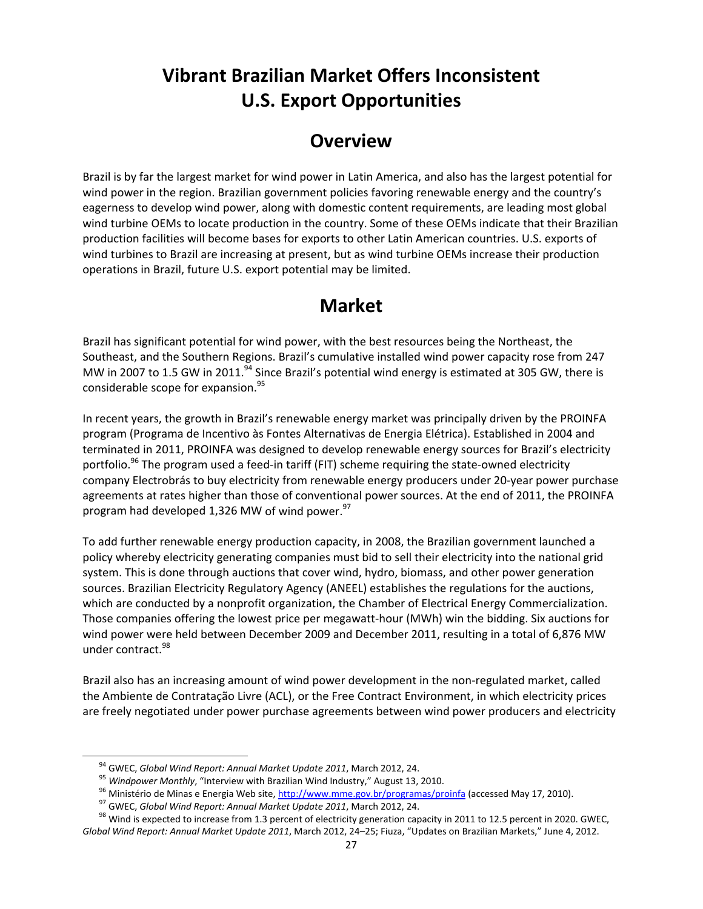# **Vibrant Brazilian Market Offers Inconsistent U.S. Export Opportunities**

### **Overview**

Brazil is by far the largest market for wind power in Latin America, and also has the largest potential for wind power in the region. Brazilian government policies favoring renewable energy and the country's eagerness to develop wind power, along with domestic content requirements, are leading most global wind turbine OEMs to locate production in the country. Some of these OEMs indicate that their Brazilian production facilities will become bases for exports to other Latin American countries. U.S. exports of wind turbines to Brazil are increasing at present, but as wind turbine OEMs increase their production operations in Brazil, future U.S. export potential may be limited.

### **Market**

Brazil has significant potential for wind power, with the best resources being the Northeast, the Southeast, and the Southern Regions. Brazil's cumulative installed wind power capacity rose from 247 MW in 2007 to 1.5 GW in 2011.<sup>94</sup> Since Brazil's potential wind energy is estimated at 305 GW, there is considerable scope for expansion.<sup>95</sup>

In recent years, the growth in Brazil's renewable energy market was principally driven by the PROINFA program (Programa de Incentivo às Fontes Alternativas de Energia Elétrica). Established in 2004 and terminated in 2011, PROINFA was designed to develop renewable energy sources for Brazil's electricity portfolio.<sup>96</sup> The program used a feed-in tariff (FIT) scheme requiring the state-owned electricity company Electrobrás to buy electricity from renewable energy producers under 20‐year power purchase agreements at rates higher than those of conventional power sources. At the end of 2011, the PROINFA program had developed 1,326 MW of wind power. $97$ 

To add further renewable energy production capacity, in 2008, the Brazilian government launched a policy whereby electricity generating companies must bid to sell their electricity into the national grid system. This is done through auctions that cover wind, hydro, biomass, and other power generation sources. Brazilian Electricity Regulatory Agency (ANEEL) establishes the regulations for the auctions, which are conducted by a nonprofit organization, the Chamber of Electrical Energy Commercialization. Those companies offering the lowest price per megawatt‐hour (MWh) win the bidding. Six auctions for wind power were held between December 2009 and December 2011, resulting in a total of 6,876 MW under contract.<sup>98</sup>

Brazil also has an increasing amount of wind power development in the non‐regulated market, called the Ambiente de Contratação Livre (ACL), or the Free Contract Environment, in which electricity prices are freely negotiated under power purchase agreements between wind power producers and electricity

<sup>&</sup>lt;sup>94</sup> GWEC, *Global Wind Report: Annual Market Update 2011*, March 2012, 24.<br><sup>95</sup> Windpower Monthly, "Interview with Brazilian Wind Industry," August 13, 2010.<br><sup>96</sup> Ministério de Minas e Energia Web site, http://www.mme.gov *Global Wind Report: Annual Market Update 2011*, March 2012, 24–25; Fiuza, "Updates on Brazilian Markets," June 4, 2012.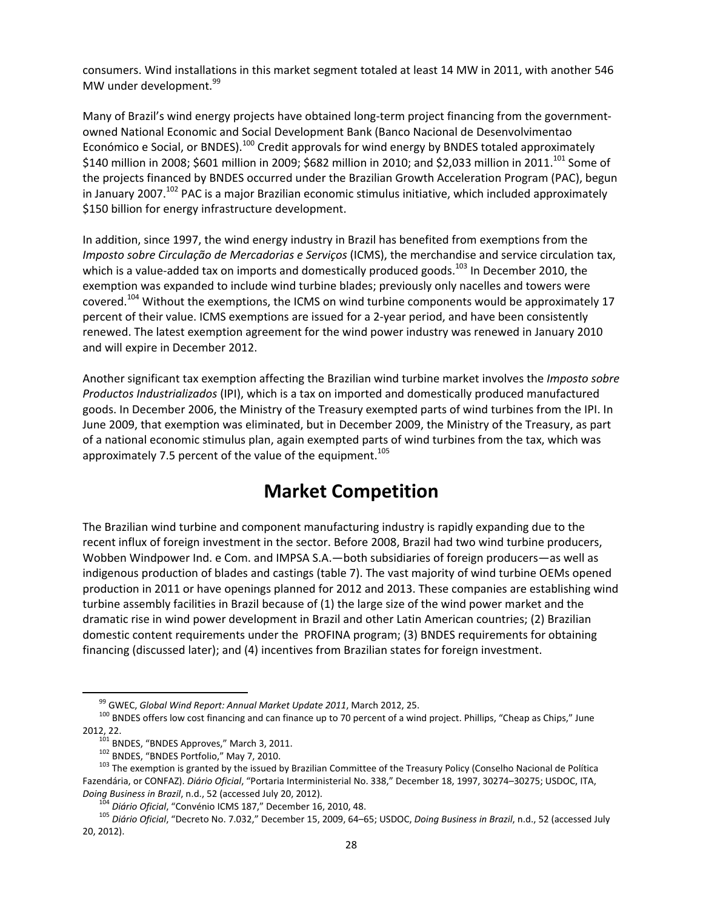consumers. Wind installations in this market segment totaled at least 14 MW in 2011, with another 546 MW under development.<sup>99</sup>

Many of Brazil's wind energy projects have obtained long-term project financing from the governmentowned National Economic and Social Development Bank (Banco Nacional de Desenvolvimentao Económico e Social, or BNDES).<sup>100</sup> Credit approvals for wind energy by BNDES totaled approximately \$140 million in 2008; \$601 million in 2009; \$682 million in 2010; and \$2,033 million in 2011.<sup>101</sup> Some of the projects financed by BNDES occurred under the Brazilian Growth Acceleration Program (PAC), begun in January 2007.<sup>102</sup> PAC is a major Brazilian economic stimulus initiative, which included approximately \$150 billion for energy infrastructure development.

In addition, since 1997, the wind energy industry in Brazil has benefited from exemptions from the *Imposto sobre Circulação de Mercadorias e Serviços* (ICMS), the merchandise and service circulation tax, which is a value-added tax on imports and domestically produced goods.<sup>103</sup> In December 2010, the exemption was expanded to include wind turbine blades; previously only nacelles and towers were covered.<sup>104</sup> Without the exemptions, the ICMS on wind turbine components would be approximately 17 percent of their value. ICMS exemptions are issued for a 2‐year period, and have been consistently renewed. The latest exemption agreement for the wind power industry was renewed in January 2010 and will expire in December 2012.

Another significant tax exemption affecting the Brazilian wind turbine market involves the *Imposto sobre Productos Industrializados* (IPI), which is a tax on imported and domestically produced manufactured goods. In December 2006, the Ministry of the Treasury exempted parts of wind turbines from the IPI. In June 2009, that exemption was eliminated, but in December 2009, the Ministry of the Treasury, as part of a national economic stimulus plan, again exempted parts of wind turbines from the tax, which was approximately 7.5 percent of the value of the equipment.<sup>105</sup>

## **Market Competition**

The Brazilian wind turbine and component manufacturing industry is rapidly expanding due to the recent influx of foreign investment in the sector. Before 2008, Brazil had two wind turbine producers, Wobben Windpower Ind. e Com. and IMPSA S.A.—both subsidiaries of foreign producers—as well as indigenous production of blades and castings (table 7). The vast majority of wind turbine OEMs opened production in 2011 or have openings planned for 2012 and 2013. These companies are establishing wind turbine assembly facilities in Brazil because of (1) the large size of the wind power market and the dramatic rise in wind power development in Brazil and other Latin American countries; (2) Brazilian domestic content requirements under the PROFINA program; (3) BNDES requirements for obtaining financing (discussed later); and (4) incentives from Brazilian states for foreign investment.

<sup>&</sup>lt;sup>99</sup> GWEC, *Global Wind Report: Annual Market Update 2011*, March 2012, 25.<br><sup>100</sup> BNDES offers low cost financing and can finance up to 70 percent of a wind project. Phillips, "Cheap as Chips," June

<sup>2012, 22. &</sup>lt;sup>101</sup> BNDES, "BNDES Approves," March 3, 2011.<br><sup>102</sup> BNDES, "BNDES Portfolio," May 7, 2010.<br><sup>103</sup> The exemption is granted by the issued by Brazilian Committee of the Treasury Policy (Conselho Nacional de Política Fazendária, or CONFAZ). *Diário Oficial*, "Portaria Interministerial No. 338," December 18, 1997, 30274–30275; USDOC, ITA,

Doing Business in Brazil, n.d., 52 (accessed July 20, 2012).<br><sup>104</sup> Diário Oficial, "Convénio ICMS 187," December 16, 2010, 48.<br><sup>105</sup> Diário Oficial, "Decreto No. 7.032," December 15, 2009, 64–65; USDOC, *Doing Business in* 20, 2012).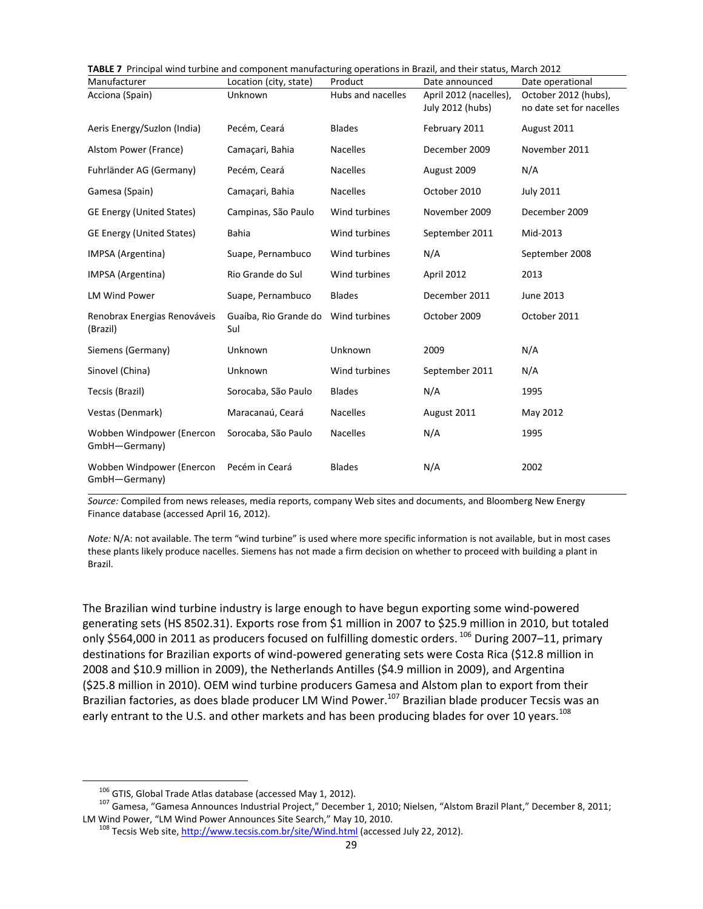| TABLE 7 Principal wind turbine and component manufacturing operations in Brazil, and their status, March 2012 |                              |                   |                        |                          |  |  |  |
|---------------------------------------------------------------------------------------------------------------|------------------------------|-------------------|------------------------|--------------------------|--|--|--|
| Manufacturer                                                                                                  | Location (city, state)       | Product           | Date announced         | Date operational         |  |  |  |
| Acciona (Spain)                                                                                               | Unknown                      | Hubs and nacelles | April 2012 (nacelles), | October 2012 (hubs),     |  |  |  |
|                                                                                                               |                              |                   | July 2012 (hubs)       | no date set for nacelles |  |  |  |
| Aeris Energy/Suzlon (India)                                                                                   | Pecém, Ceará                 | <b>Blades</b>     | February 2011          | August 2011              |  |  |  |
| Alstom Power (France)                                                                                         | Camaçari, Bahia              | <b>Nacelles</b>   | December 2009          | November 2011            |  |  |  |
| Fuhrländer AG (Germany)                                                                                       | Pecém, Ceará                 | <b>Nacelles</b>   | August 2009            | N/A                      |  |  |  |
| Gamesa (Spain)                                                                                                | Camaçari, Bahia              | <b>Nacelles</b>   | October 2010           | <b>July 2011</b>         |  |  |  |
| <b>GE Energy (United States)</b>                                                                              | Campinas, São Paulo          | Wind turbines     | November 2009          | December 2009            |  |  |  |
| <b>GE Energy (United States)</b>                                                                              | Bahia                        | Wind turbines     | September 2011         | Mid-2013                 |  |  |  |
| IMPSA (Argentina)                                                                                             | Suape, Pernambuco            | Wind turbines     | N/A                    | September 2008           |  |  |  |
| IMPSA (Argentina)                                                                                             | Rio Grande do Sul            | Wind turbines     | April 2012             | 2013                     |  |  |  |
| <b>LM Wind Power</b>                                                                                          | Suape, Pernambuco            | <b>Blades</b>     | December 2011          | June 2013                |  |  |  |
| Renobrax Energias Renováveis<br>(Brazil)                                                                      | Guaíba, Rio Grande do<br>Sul | Wind turbines     | October 2009           | October 2011             |  |  |  |
| Siemens (Germany)                                                                                             | Unknown                      | Unknown           | 2009                   | N/A                      |  |  |  |
| Sinovel (China)                                                                                               | Unknown                      | Wind turbines     | September 2011         | N/A                      |  |  |  |
| Tecsis (Brazil)                                                                                               | Sorocaba, São Paulo          | <b>Blades</b>     | N/A                    | 1995                     |  |  |  |
| Vestas (Denmark)                                                                                              | Maracanaú, Ceará             | <b>Nacelles</b>   | August 2011            | May 2012                 |  |  |  |
| Wobben Windpower (Enercon<br>GmbH-Germany)                                                                    | Sorocaba, São Paulo          | <b>Nacelles</b>   | N/A                    | 1995                     |  |  |  |
| Wobben Windpower (Enercon<br>GmbH-Germany)                                                                    | Pecém in Ceará               | <b>Blades</b>     | N/A                    | 2002                     |  |  |  |

*Source:* Compiled from news releases, media reports, company Web sites and documents, and Bloomberg New Energy Finance database (accessed April 16, 2012).

*Note:* N/A: not available. The term "wind turbine" is used where more specific information is not available, but in most cases these plants likely produce nacelles. Siemens has not made a firm decision on whether to proceed with building a plant in Brazil.

The Brazilian wind turbine industry is large enough to have begun exporting some wind‐powered generating sets (HS 8502.31). Exports rose from \$1 million in 2007 to \$25.9 million in 2010, but totaled only \$564,000 in 2011 as producers focused on fulfilling domestic orders.<sup>106</sup> During 2007–11, primary destinations for Brazilian exports of wind‐powered generating sets were Costa Rica (\$12.8 million in 2008 and \$10.9 million in 2009), the Netherlands Antilles (\$4.9 million in 2009), and Argentina (\$25.8 million in 2010). OEM wind turbine producers Gamesa and Alstom plan to export from their Brazilian factories, as does blade producer LM Wind Power.<sup>107</sup> Brazilian blade producer Tecsis was an early entrant to the U.S. and other markets and has been producing blades for over 10 years.<sup>108</sup>

<sup>&</sup>lt;sup>106</sup> GTIS, Global Trade Atlas database (accessed May 1, 2012).<br><sup>107</sup> Gamesa, "Gamesa Announces Industrial Project," December 1, 2010; Nielsen, "Alstom Brazil Plant," December 8, 2011;<br>LM Wind Power, "LM Wind Power Announ

<sup>&</sup>lt;sup>108</sup> Tecsis Web site, http://www.tecsis.com.br/site/Wind.html (accessed July 22, 2012).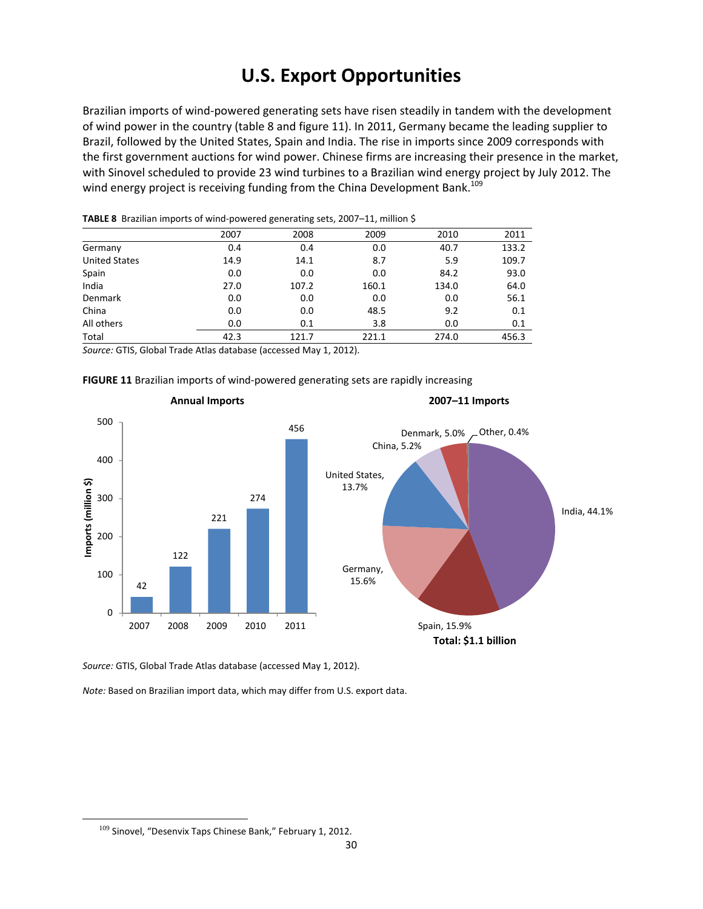# **U.S. Export Opportunities**

Brazilian imports of wind‐powered generating sets have risen steadily in tandem with the development of wind power in the country (table 8 and figure 11). In 2011, Germany became the leading supplier to Brazil, followed by the United States, Spain and India. The rise in imports since 2009 corresponds with the first government auctions for wind power. Chinese firms are increasing their presence in the market, with Sinovel scheduled to provide 23 wind turbines to a Brazilian wind energy project by July 2012. The wind energy project is receiving funding from the China Development Bank.<sup>109</sup>

|                      | 2007 | 2008  | 2009  | 2010  | 2011  |
|----------------------|------|-------|-------|-------|-------|
| Germany              | 0.4  | 0.4   | 0.0   | 40.7  | 133.2 |
| <b>United States</b> | 14.9 | 14.1  | 8.7   | 5.9   | 109.7 |
| Spain                | 0.0  | 0.0   | 0.0   | 84.2  | 93.0  |
| India                | 27.0 | 107.2 | 160.1 | 134.0 | 64.0  |
| <b>Denmark</b>       | 0.0  | 0.0   | 0.0   | 0.0   | 56.1  |
| China                | 0.0  | 0.0   | 48.5  | 9.2   | 0.1   |
| All others           | 0.0  | 0.1   | 3.8   | 0.0   | 0.1   |
| Total                | 42.3 | 121.7 | 221.1 | 274.0 | 456.3 |

**TABLE 8** Brazilian imports of wind‐powered generating sets, 2007–11, million \$

*Source:* GTIS, Global Trade Atlas database (accessed May 1, 2012).





*Source:* GTIS, Global Trade Atlas database (accessed May 1, 2012).

*Note:* Based on Brazilian import data, which may differ from U.S. export data.

 $109$  Sinovel, "Desenvix Taps Chinese Bank," February 1, 2012.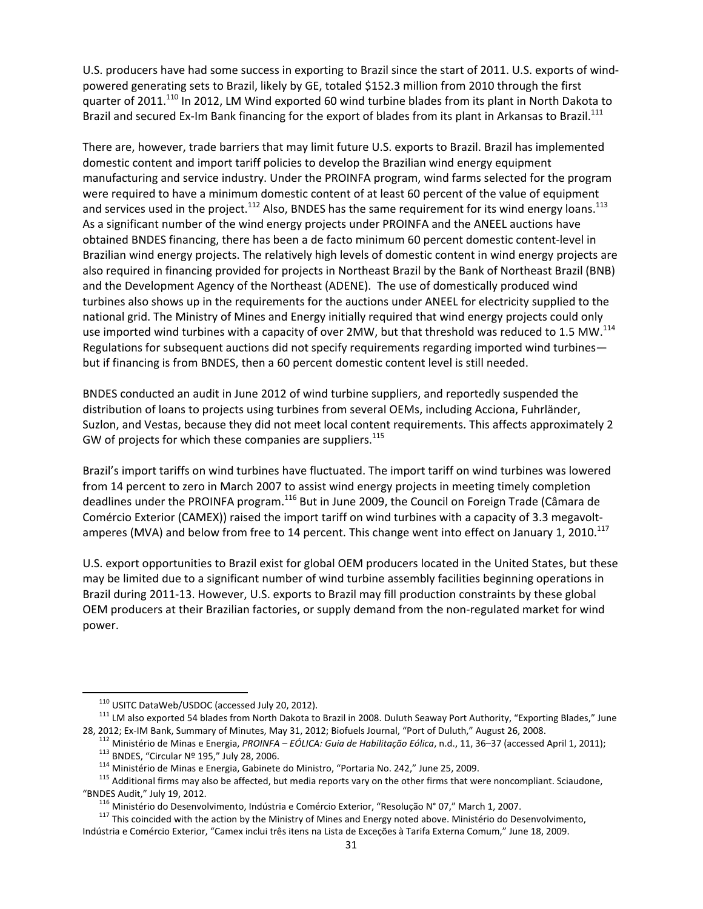U.S. producers have had some success in exporting to Brazil since the start of 2011. U.S. exports of wind‐ powered generating sets to Brazil, likely by GE, totaled \$152.3 million from 2010 through the first quarter of 2011.<sup>110</sup> In 2012, LM Wind exported 60 wind turbine blades from its plant in North Dakota to Brazil and secured Ex-Im Bank financing for the export of blades from its plant in Arkansas to Brazil.<sup>111</sup>

There are, however, trade barriers that may limit future U.S. exports to Brazil. Brazil has implemented domestic content and import tariff policies to develop the Brazilian wind energy equipment manufacturing and service industry. Under the PROINFA program, wind farms selected for the program were required to have a minimum domestic content of at least 60 percent of the value of equipment and services used in the project.<sup>112</sup> Also, BNDES has the same requirement for its wind energy loans.<sup>113</sup> As a significant number of the wind energy projects under PROINFA and the ANEEL auctions have obtained BNDES financing, there has been a de facto minimum 60 percent domestic content‐level in Brazilian wind energy projects. The relatively high levels of domestic content in wind energy projects are also required in financing provided for projects in Northeast Brazil by the Bank of Northeast Brazil (BNB) and the Development Agency of the Northeast (ADENE). The use of domestically produced wind turbines also shows up in the requirements for the auctions under ANEEL for electricity supplied to the national grid. The Ministry of Mines and Energy initially required that wind energy projects could only use imported wind turbines with a capacity of over 2MW, but that threshold was reduced to 1.5 MW.<sup>114</sup> Regulations for subsequent auctions did not specify requirements regarding imported wind turbines but if financing is from BNDES, then a 60 percent domestic content level is still needed.

BNDES conducted an audit in June 2012 of wind turbine suppliers, and reportedly suspended the distribution of loans to projects using turbines from several OEMs, including Acciona, Fuhrländer, Suzlon, and Vestas, because they did not meet local content requirements. This affects approximately 2 GW of projects for which these companies are suppliers.<sup>115</sup>

Brazil's import tariffs on wind turbines have fluctuated. The import tariff on wind turbines was lowered from 14 percent to zero in March 2007 to assist wind energy projects in meeting timely completion deadlines under the PROINFA program.<sup>116</sup> But in June 2009, the Council on Foreign Trade (Câmara de Comércio Exterior (CAMEX)) raised the import tariff on wind turbines with a capacity of 3.3 megavolt‐ amperes (MVA) and below from free to 14 percent. This change went into effect on January 1, 2010.<sup>117</sup>

U.S. export opportunities to Brazil exist for global OEM producers located in the United States, but these may be limited due to a significant number of wind turbine assembly facilities beginning operations in Brazil during 2011‐13. However, U.S. exports to Brazil may fill production constraints by these global OEM producers at their Brazilian factories, or supply demand from the non-regulated market for wind power.

<sup>&</sup>lt;sup>110</sup> USITC DataWeb/USDOC (accessed July 20, 2012).<br><sup>111</sup> LM also exported 54 blades from North Dakota to Brazil in 2008. Duluth Seaway Port Authority, "Exporting Blades," June<br>28, 2012; Ex-IM Bank, Summary of Minutes, May

<sup>&</sup>lt;sup>112</sup> Ministério de Minas e Energia, *PROINFA – EÓLICA: Guia de Habilitação Eólica*, n.d., 11, 36–37 (accessed April 1, 2011);<br><sup>113</sup> BNDES, "Circular Nº 195," July 28, 2006.<br><sup>114</sup> Ministério de Minas e Energia, Gabinete d

<sup>&</sup>lt;sup>116</sup> Ministério do Desenvolvimento, Indústria e Comércio Exterior, "Resolução N° 07," March 1, 2007.<br><sup>117</sup> This coincided with the action by the Ministry of Mines and Energy noted above. Ministério do Desenvolvimento, Indústria e Comércio Exterior, "Camex inclui três itens na Lista de Exceções à Tarifa Externa Comum," June 18, 2009.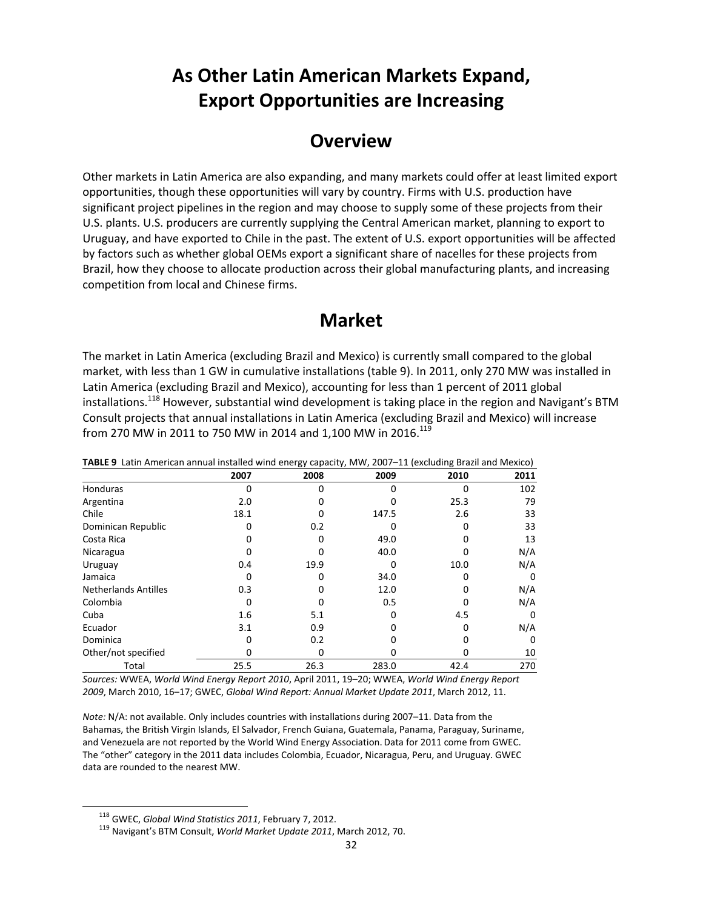# **As Other Latin American Markets Expand, Export Opportunities are Increasing**

### **Overview**

Other markets in Latin America are also expanding, and many markets could offer at least limited export opportunities, though these opportunities will vary by country. Firms with U.S. production have significant project pipelines in the region and may choose to supply some of these projects from their U.S. plants. U.S. producers are currently supplying the Central American market, planning to export to Uruguay, and have exported to Chile in the past. The extent of U.S. export opportunities will be affected by factors such as whether global OEMs export a significant share of nacelles for these projects from Brazil, how they choose to allocate production across their global manufacturing plants, and increasing competition from local and Chinese firms.

### **Market**

The market in Latin America (excluding Brazil and Mexico) is currently small compared to the global market, with less than 1 GW in cumulative installations (table 9). In 2011, only 270 MW was installed in Latin America (excluding Brazil and Mexico), accounting for less than 1 percent of 2011 global installations.<sup>118</sup> However, substantial wind development is taking place in the region and Navigant's BTM Consult projects that annual installations in Latin America (excluding Brazil and Mexico) will increase from 270 MW in 2011 to 750 MW in 2014 and 1,100 MW in 2016.<sup>119</sup>

| TABLE 9 Latin American annual installed wind energy capacity, MW, 2007–11 (excluding Brazil and Mexico) |      |      |       |      |      |
|---------------------------------------------------------------------------------------------------------|------|------|-------|------|------|
|                                                                                                         | 2007 | 2008 | 2009  | 2010 | 2011 |
| <b>Honduras</b>                                                                                         |      |      |       |      | 102  |
| Argentina                                                                                               | 2.0  |      |       | 25.3 | 79   |
| Chile                                                                                                   | 18.1 |      | 147.5 | 2.6  | 33   |
| Dominican Republic                                                                                      |      | 0.2  |       |      | 33   |
| Costa Rica                                                                                              |      |      | 49.0  |      | 13   |
| Nicaragua                                                                                               |      |      | 40.0  |      | N/A  |
| Uruguay                                                                                                 | 0.4  | 19.9 |       | 10.0 | N/A  |
| Jamaica                                                                                                 |      |      | 34.0  |      | 0    |
| <b>Netherlands Antilles</b>                                                                             | 0.3  |      | 12.0  |      | N/A  |
| Colombia                                                                                                |      |      | 0.5   |      | N/A  |
| Cuba                                                                                                    | 1.6  | 5.1  |       | 4.5  | 0    |
| Ecuador                                                                                                 | 3.1  | 0.9  |       |      | N/A  |
| Dominica                                                                                                |      | 0.2  |       |      | 0    |
| Other/not specified                                                                                     |      |      |       |      | 10   |
| Total                                                                                                   | 25.5 | 26.3 | 283.0 | 42.4 | 270  |

 $\blacksquare$ **TABLE 9** Latin American annual installed wind energy capacity, MW, 2007–11 (excluding Brazil and Mexico)

*Sources:* WWEA, *World Wind Energy Report 2010*, April 2011, 19–20; WWEA, *World Wind Energy Report 2009*, March 2010, 16–17; GWEC, *Global Wind Report: Annual Market Update 2011*, March 2012, 11.

*Note:* N/A: not available. Only includes countries with installations during 2007–11. Data from the Bahamas, the British Virgin Islands, El Salvador, French Guiana, Guatemala, Panama, Paraguay, Suriname, and Venezuela are not reported by the World Wind Energy Association. Data for 2011 come from GWEC. The "other" category in the 2011 data includes Colombia, Ecuador, Nicaragua, Peru, and Uruguay. GWEC data are rounded to the nearest MW.

<sup>118</sup> GWEC, *Global Wind Statistics <sup>2011</sup>*, February 7, 2012. <sup>119</sup> Navigant's BTM Consult, *World Market Update <sup>2011</sup>*, March 2012, 70.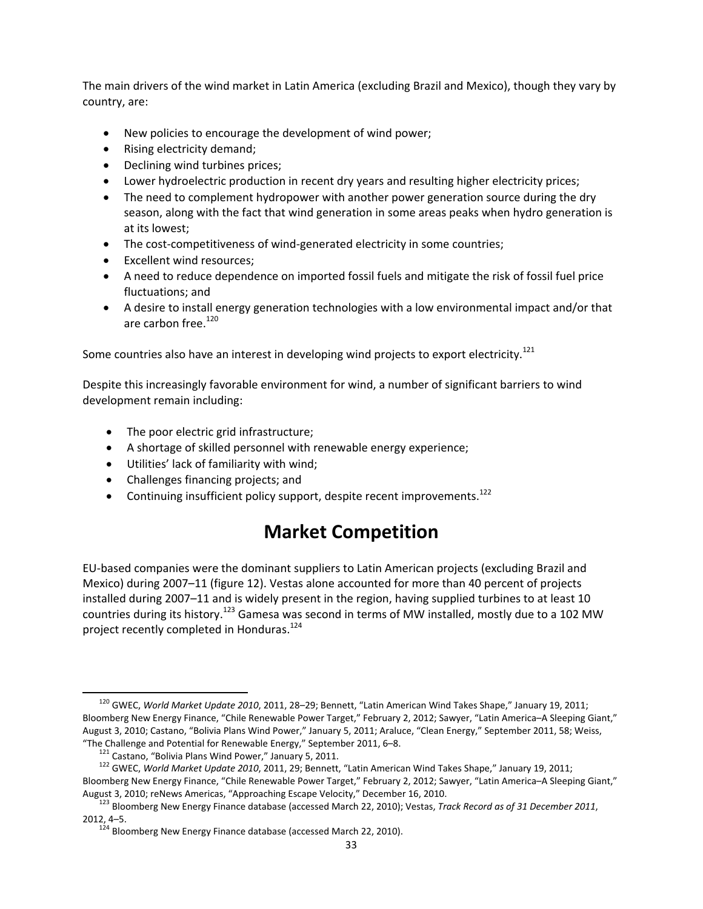The main drivers of the wind market in Latin America (excluding Brazil and Mexico), though they vary by country, are:

- New policies to encourage the development of wind power;
- Rising electricity demand;
- Declining wind turbines prices;
- Lower hydroelectric production in recent dry years and resulting higher electricity prices;
- The need to complement hydropower with another power generation source during the dry season, along with the fact that wind generation in some areas peaks when hydro generation is at its lowest;
- The cost-competitiveness of wind-generated electricity in some countries;
- Excellent wind resources;
- A need to reduce dependence on imported fossil fuels and mitigate the risk of fossil fuel price fluctuations; and
- A desire to install energy generation technologies with a low environmental impact and/or that are carbon free.<sup>120</sup>

Some countries also have an interest in developing wind projects to export electricity.<sup>121</sup>

Despite this increasingly favorable environment for wind, a number of significant barriers to wind development remain including:

- The poor electric grid infrastructure;
- A shortage of skilled personnel with renewable energy experience;
- Utilities' lack of familiarity with wind;
- Challenges financing projects; and
- Continuing insufficient policy support, despite recent improvements.<sup>122</sup>

## **Market Competition**

EU‐based companies were the dominant suppliers to Latin American projects (excluding Brazil and Mexico) during 2007–11 (figure 12). Vestas alone accounted for more than 40 percent of projects installed during 2007–11 and is widely present in the region, having supplied turbines to at least 10 countries during its history.<sup>123</sup> Gamesa was second in terms of MW installed, mostly due to a 102 MW project recently completed in Honduras.<sup>124</sup>

<sup>120</sup> GWEC, *World Market Update <sup>2010</sup>*, 2011, 28–29; Bennett, "Latin American Wind Takes Shape," January 19, 2011; Bloomberg New Energy Finance, "Chile Renewable Power Target," February 2, 2012; Sawyer, "Latin America–A Sleeping Giant," August 3, 2010; Castano, "Bolivia Plans Wind Power," January 5, 2011; Araluce, "Clean Energy," September 2011, 58; Weiss,

<sup>&</sup>quot;The Challenge and Potential for Renewable Energy," September 2011, 6–8.<br><sup>121</sup> Castano, "Bolivia Plans Wind Power," January 5, 2011.<br><sup>122</sup> GWEC, *World Market Update 2010*, 2011, 29; Bennett, "Latin American Wind Takes Sh Bloomberg New Energy Finance, "Chile Renewable Power Target," February 2, 2012; Sawyer, "Latin America–A Sleeping Giant,"

August 3, 2010; reNews Americas, "Approaching Escape Velocity," December 16, 2010.<br><sup>123</sup> Bloomberg New Energy Finance database (accessed March 22, 2010); Vestas, *Track Record as of 31 December 2011*, 2012, 4–5. <sup>124</sup> Bloomberg New Energy Finance database (accessed March 22, 2010).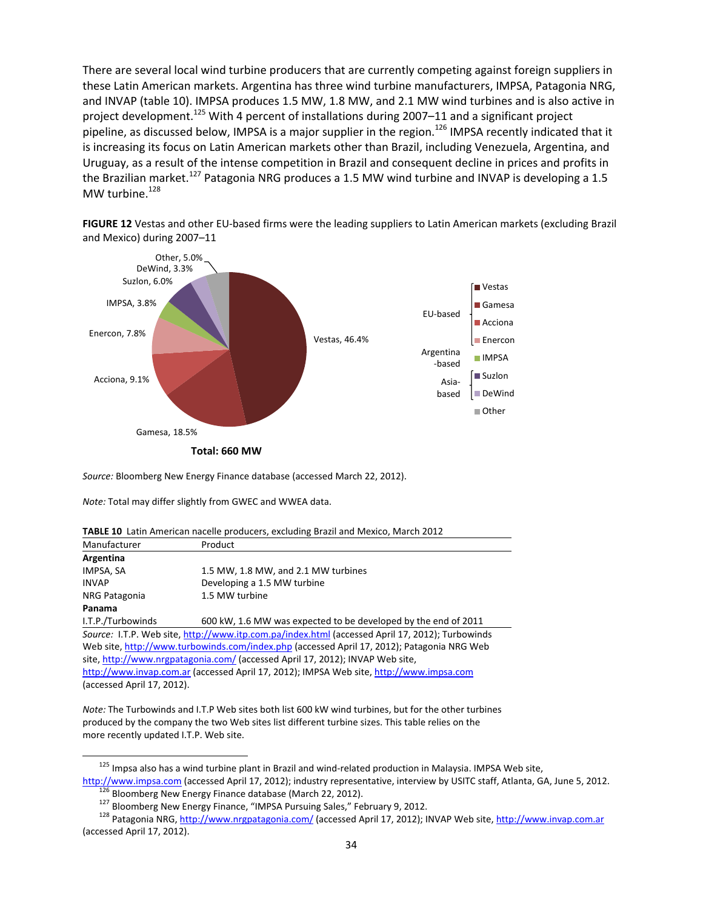There are several local wind turbine producers that are currently competing against foreign suppliers in these Latin American markets. Argentina has three wind turbine manufacturers, IMPSA, Patagonia NRG, and INVAP (table 10). IMPSA produces 1.5 MW, 1.8 MW, and 2.1 MW wind turbines and is also active in project development.<sup>125</sup> With 4 percent of installations during 2007-11 and a significant project pipeline, as discussed below, IMPSA is a major supplier in the region.<sup>126</sup> IMPSA recently indicated that it is increasing its focus on Latin American markets other than Brazil, including Venezuela, Argentina, and Uruguay, as a result of the intense competition in Brazil and consequent decline in prices and profits in the Brazilian market.<sup>127</sup> Patagonia NRG produces a 1.5 MW wind turbine and INVAP is developing a 1.5 MW turbine.<sup>128</sup>

**FIGURE 12** Vestas and other EU‐based firms were the leading suppliers to Latin American markets (excluding Brazil and Mexico) during 2007–11



*Source:* Bloomberg New Energy Finance database (accessed March 22, 2012).

*Note:* Total may differ slightly from GWEC and WWEA data.

**TABLE 10** Latin American nacelle producers, excluding Brazil and Mexico, March 2012

| Manufacturer                                                                                    | Product                                                        |  |  |  |  |
|-------------------------------------------------------------------------------------------------|----------------------------------------------------------------|--|--|--|--|
| Argentina                                                                                       |                                                                |  |  |  |  |
| IMPSA, SA                                                                                       | 1.5 MW, 1.8 MW, and 2.1 MW turbines                            |  |  |  |  |
| <b>INVAP</b>                                                                                    | Developing a 1.5 MW turbine                                    |  |  |  |  |
| NRG Patagonia                                                                                   | 1.5 MW turbine                                                 |  |  |  |  |
| Panama                                                                                          |                                                                |  |  |  |  |
| I.T.P./Turbowinds                                                                               | 600 kW, 1.6 MW was expected to be developed by the end of 2011 |  |  |  |  |
| Source: I.T.P. Web site, http://www.itp.com.pa/index.html (accessed April 17, 2012); Turbowinds |                                                                |  |  |  |  |
| Web site, http://www.turbowinds.com/index.php (accessed April 17, 2012); Patagonia NRG Web      |                                                                |  |  |  |  |
| site, http://www.nrgpatagonia.com/ (accessed April 17, 2012); INVAP Web site,                   |                                                                |  |  |  |  |
| http://www.invap.com.ar (accessed April 17, 2012); IMPSA Web site, http://www.impsa.com         |                                                                |  |  |  |  |

(accessed April 17, 2012).

*Note:* The Turbowinds and I.T.P Web sites both list 600 kW wind turbines, but for the other turbines produced by the company the two Web sites list different turbine sizes. This table relies on the more recently updated I.T.P. Web site.

<sup>125</sup> Impsa also has a wind turbine plant in Brazil and wind-related production in Malaysia. IMPSA Web site,

http://www.impsa.com (accessed April 17, 2012); industry representative, interview by USITC staff, Atlanta, GA, June 5, 2012.<br><sup>126</sup> Bloomberg New Energy Finance database (March 22, 2012).<br><sup>127</sup> Bloomberg New Energy Finance

<sup>(</sup>accessed April 17, 2012).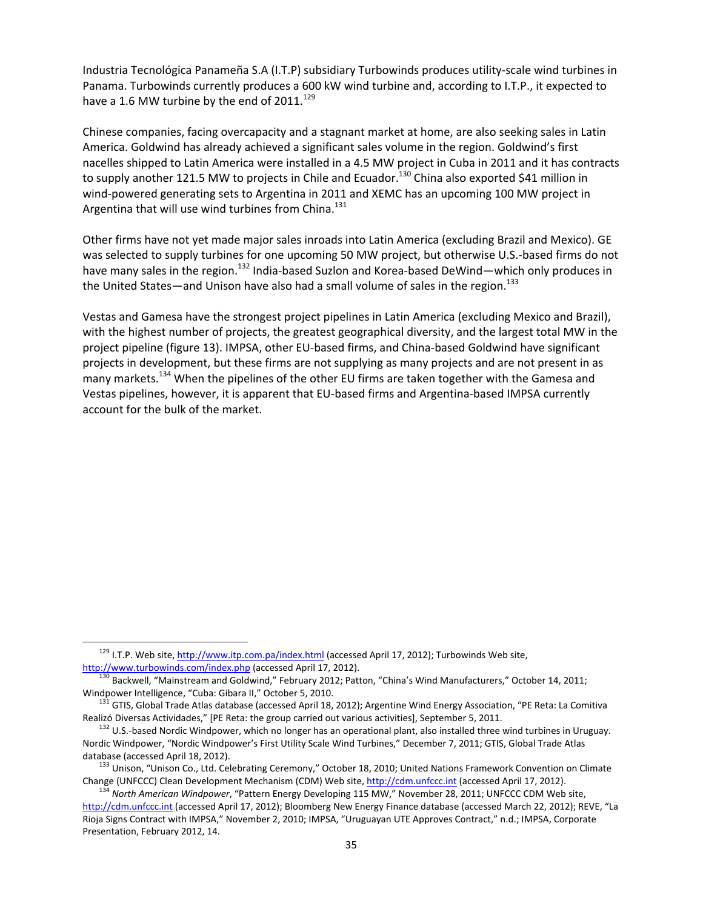Industria Tecnológica Panameña S.A (I.T.P) subsidiary Turbowinds produces utility‐scale wind turbines in Panama. Turbowinds currently produces a 600 kW wind turbine and, according to I.T.P., it expected to have a 1.6 MW turbine by the end of  $2011.<sup>129</sup>$ 

Chinese companies, facing overcapacity and a stagnant market at home, are also seeking sales in Latin America. Goldwind has already achieved a significant sales volume in the region. Goldwind's first nacelles shipped to Latin America were installed in a 4.5 MW project in Cuba in 2011 and it has contracts to supply another 121.5 MW to projects in Chile and Ecuador.<sup>130</sup> China also exported \$41 million in wind-powered generating sets to Argentina in 2011 and XEMC has an upcoming 100 MW project in Argentina that will use wind turbines from China. $131$ 

Other firms have not yet made major sales inroads into Latin America (excluding Brazil and Mexico). GE was selected to supply turbines for one upcoming 50 MW project, but otherwise U.S.‐based firms do not have many sales in the region.<sup>132</sup> India-based Suzlon and Korea-based DeWind—which only produces in the United States—and Unison have also had a small volume of sales in the region.<sup>133</sup>

Vestas and Gamesa have the strongest project pipelines in Latin America (excluding Mexico and Brazil), with the highest number of projects, the greatest geographical diversity, and the largest total MW in the project pipeline (figure 13). IMPSA, other EU‐based firms, and China‐based Goldwind have significant projects in development, but these firms are not supplying as many projects and are not present in as many markets.<sup>134</sup> When the pipelines of the other EU firms are taken together with the Gamesa and Vestas pipelines, however, it is apparent that EU‐based firms and Argentina‐based IMPSA currently account for the bulk of the market.

<sup>&</sup>lt;sup>129</sup> I.T.P. Web site, http://www.itp.com.pa/index.html (accessed April 17, 2012); Turbowinds Web site, http://www.turbowinds.com/index.php (accessed April 17, 2012).

<sup>&</sup>lt;sup>130</sup> Backwell, "Mainstream and Goldwind," February 2012; Patton, "China's Wind Manufacturers," October 14, 2011;<br>Windpower Intelligence, "Cuba: Gibara II," October 5, 2010.

<sup>&</sup>lt;sup>131</sup> GTIS, Global Trade Atlas database (accessed April 18, 2012); Argentine Wind Energy Association, "PE Reta: La Comitiva Realizó Diversas Actividades," [PE Reta: the group carried out various activities], September 5, 2011.<br><sup>132</sup> U.S.-based Nordic Windpower, which no longer has an operational plant, also installed three wind turbines in Uru

Nordic Windpower, "Nordic Windpower's First Utility Scale Wind Turbines," December 7, 2011; GTIS, Global Trade Atlas database (accessed April 18, 2012).<br><sup>133</sup> Unison, "Unison Co., Ltd. Celebrating Ceremony," October 18, 2010; United Nations Framework Convention on Climate

Change (UNFCCC) Clean Development Mechanism (CDM) Web site, http://cdm.unfccc.int (accessed April 17, 2012).<br><sup>134</sup> North American Windpower, "Pattern Energy Developing 115 MW," November 28, 2011; UNFCCC CDM Web site,

http://cdm.unfccc.int (accessed April 17, 2012); Bloomberg New Energy Finance database (accessed March 22, 2012); REVE, "La Rioja Signs Contract with IMPSA," November 2, 2010; IMPSA, "Uruguayan UTE Approves Contract," n.d.; IMPSA, Corporate Presentation, February 2012, 14.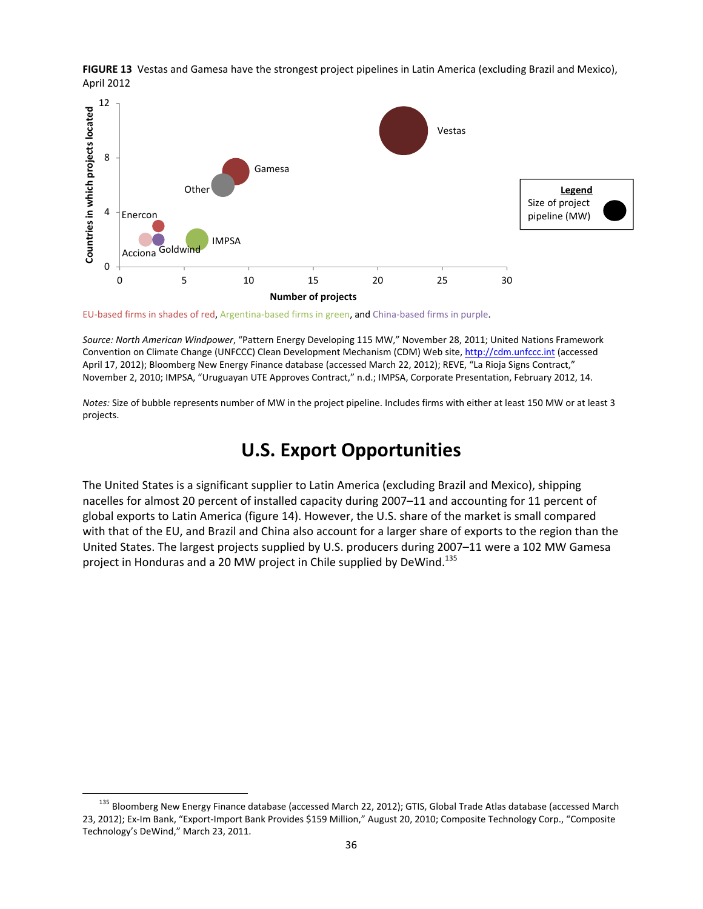



EU-based firms in shades of red, Argentina-based firms in green, and China-based firms in purple.

*Source: North American Windpower*, "Pattern Energy Developing 115 MW," November 28, 2011; United Nations Framework Convention on Climate Change (UNFCCC) Clean Development Mechanism (CDM) Web site, http://cdm.unfccc.int (accessed April 17, 2012); Bloomberg New Energy Finance database (accessed March 22, 2012); REVE, "La Rioja Signs Contract," November 2, 2010; IMPSA, "Uruguayan UTE Approves Contract," n.d.; IMPSA, Corporate Presentation, February 2012, 14.

*Notes:* Size of bubble represents number of MW in the project pipeline. Includes firms with either at least 150 MW or at least 3 projects.

#### **U.S. Export Opportunities**

The United States is a significant supplier to Latin America (excluding Brazil and Mexico), shipping nacelles for almost 20 percent of installed capacity during 2007–11 and accounting for 11 percent of global exports to Latin America (figure 14). However, the U.S. share of the market is small compared with that of the EU, and Brazil and China also account for a larger share of exports to the region than the United States. The largest projects supplied by U.S. producers during 2007–11 were a 102 MW Gamesa project in Honduras and a 20 MW project in Chile supplied by DeWind.<sup>135</sup>

<sup>&</sup>lt;sup>135</sup> Bloomberg New Energy Finance database (accessed March 22, 2012); GTIS, Global Trade Atlas database (accessed March 23, 2012); Ex‐Im Bank, "Export‐Import Bank Provides \$159 Million," August 20, 2010; Composite Technology Corp., "Composite Technology's DeWind," March 23, 2011.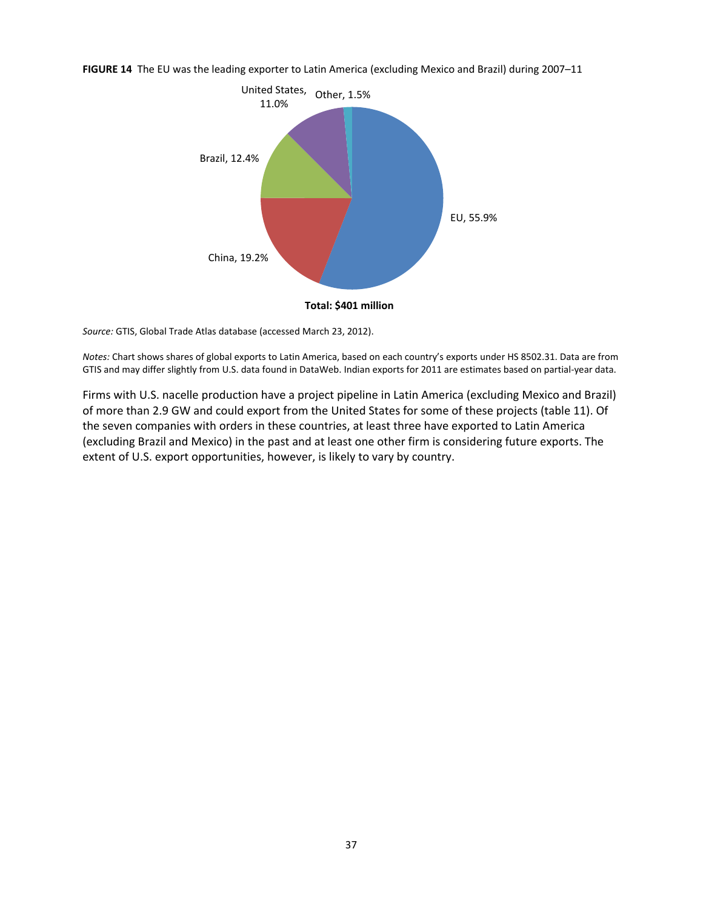**FIGURE 14** The EU was the leading exporter to Latin America (excluding Mexico and Brazil) during 2007–11



*Source:* GTIS, Global Trade Atlas database (accessed March 23, 2012).

*Notes:* Chart shows shares of global exports to Latin America, based on each country's exports under HS 8502.31. Data are from GTIS and may differ slightly from U.S. data found in DataWeb. Indian exports for 2011 are estimates based on partial‐year data.

Firms with U.S. nacelle production have a project pipeline in Latin America (excluding Mexico and Brazil) of more than 2.9 GW and could export from the United States for some of these projects (table 11). Of the seven companies with orders in these countries, at least three have exported to Latin America (excluding Brazil and Mexico) in the past and at least one other firm is considering future exports. The extent of U.S. export opportunities, however, is likely to vary by country.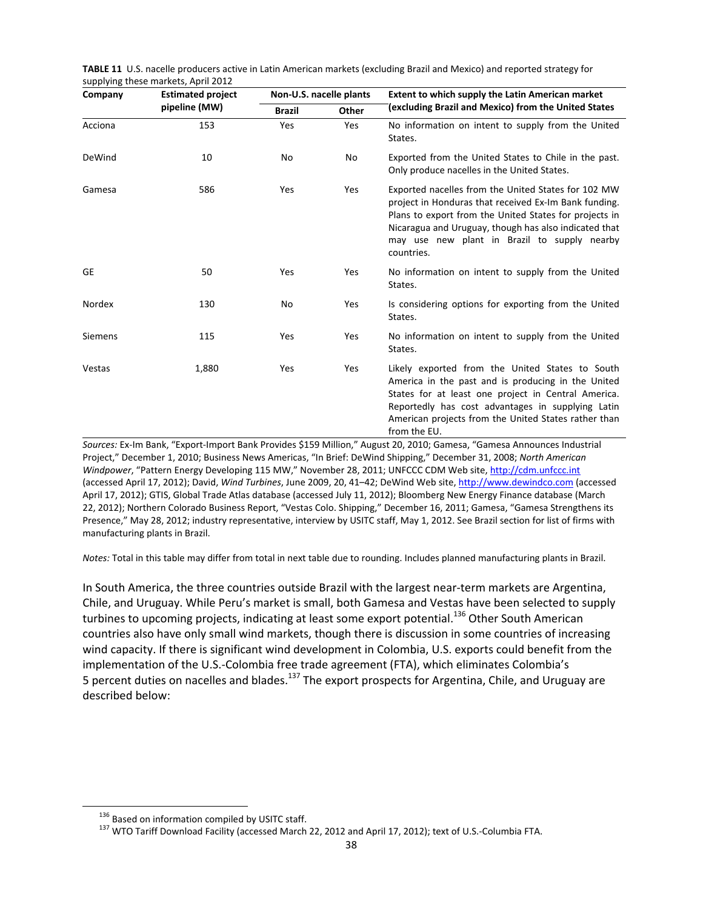| Company        | <b>Estimated project</b> | Non-U.S. nacelle plants |     | <b>Extent to which supply the Latin American market</b>                                                                                                                                                                                                                                       |  |  |
|----------------|--------------------------|-------------------------|-----|-----------------------------------------------------------------------------------------------------------------------------------------------------------------------------------------------------------------------------------------------------------------------------------------------|--|--|
|                | pipeline (MW)            | <b>Brazil</b><br>Other  |     | (excluding Brazil and Mexico) from the United States                                                                                                                                                                                                                                          |  |  |
| Acciona        | 153                      | Yes                     | Yes | No information on intent to supply from the United<br>States.                                                                                                                                                                                                                                 |  |  |
| DeWind         | 10                       | No                      | No  | Exported from the United States to Chile in the past.<br>Only produce nacelles in the United States.                                                                                                                                                                                          |  |  |
| Gamesa         | 586                      | Yes                     | Yes | Exported nacelles from the United States for 102 MW<br>project in Honduras that received Ex-Im Bank funding.<br>Plans to export from the United States for projects in<br>Nicaragua and Uruguay, though has also indicated that<br>may use new plant in Brazil to supply nearby<br>countries. |  |  |
| <b>GE</b>      | 50                       | Yes                     | Yes | No information on intent to supply from the United<br>States.                                                                                                                                                                                                                                 |  |  |
| Nordex         | 130                      | No                      | Yes | Is considering options for exporting from the United<br>States.                                                                                                                                                                                                                               |  |  |
| <b>Siemens</b> | 115                      | Yes                     | Yes | No information on intent to supply from the United<br>States.                                                                                                                                                                                                                                 |  |  |
| Vestas         | 1,880                    | Yes                     | Yes | Likely exported from the United States to South<br>America in the past and is producing in the United<br>States for at least one project in Central America.<br>Reportedly has cost advantages in supplying Latin<br>American projects from the United States rather than<br>from the EU.     |  |  |

**TABLE 11** U.S. nacelle producers active in Latin American markets (excluding Brazil and Mexico) and reported strategy for supplying these markets, April 2012

*Sources:* Ex‐Im Bank, "Export‐Import Bank Provides \$159 Million," August 20, 2010; Gamesa, "Gamesa Announces Industrial Project," December 1, 2010; Business News Americas, "In Brief: DeWind Shipping," December 31, 2008; *North American Windpower*, "Pattern Energy Developing 115 MW," November 28, 2011; UNFCCC CDM Web site, http://cdm.unfccc.int (accessed April 17, 2012); David, *Wind Turbines*, June 2009, 20, 41–42; DeWind Web site, http://www.dewindco.com (accessed April 17, 2012); GTIS, Global Trade Atlas database (accessed July 11, 2012); Bloomberg New Energy Finance database (March 22, 2012); Northern Colorado Business Report, "Vestas Colo. Shipping," December 16, 2011; Gamesa, "Gamesa Strengthens its Presence," May 28, 2012; industry representative, interview by USITC staff, May 1, 2012. See Brazil section for list of firms with manufacturing plants in Brazil.

*Notes:* Total in this table may differ from total in next table due to rounding. Includes planned manufacturing plants in Brazil.

In South America, the three countries outside Brazil with the largest near‐term markets are Argentina, Chile, and Uruguay. While Peru's market is small, both Gamesa and Vestas have been selected to supply turbines to upcoming projects, indicating at least some export potential.<sup>136</sup> Other South American countries also have only small wind markets, though there is discussion in some countries of increasing wind capacity. If there is significant wind development in Colombia, U.S. exports could benefit from the implementation of the U.S.‐Colombia free trade agreement (FTA), which eliminates Colombia's 5 percent duties on nacelles and blades.<sup>137</sup> The export prospects for Argentina, Chile, and Uruguay are described below:

<sup>&</sup>lt;sup>136</sup> Based on information compiled by USITC staff.<br><sup>137</sup> WTO Tariff Download Facility (accessed March 22, 2012 and April 17, 2012); text of U.S.-Columbia FTA.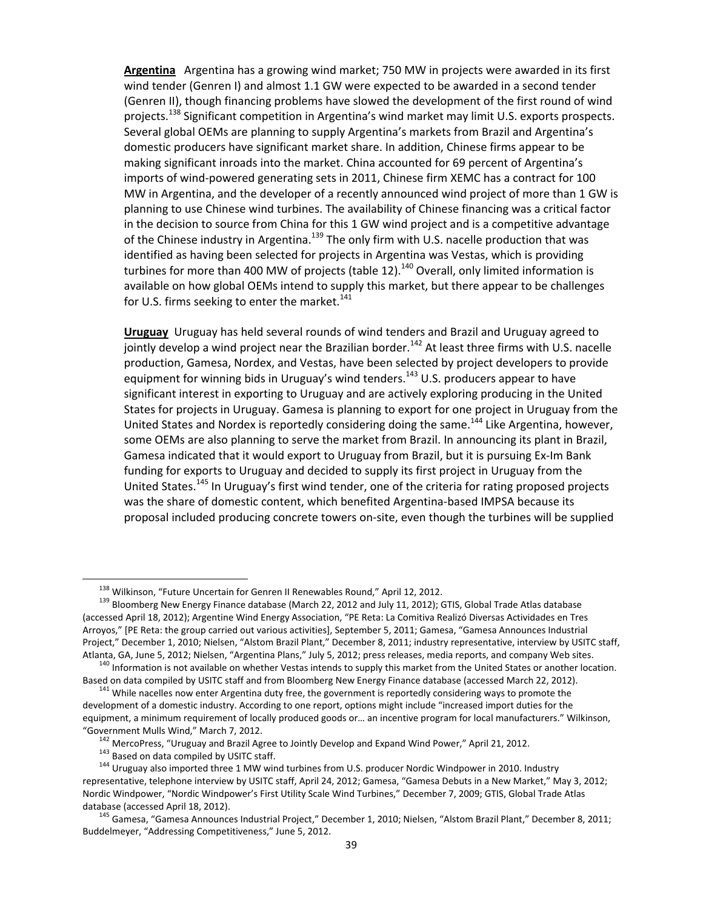**Argentina** Argentina has a growing wind market; 750 MW in projects were awarded in its first wind tender (Genren I) and almost 1.1 GW were expected to be awarded in a second tender (Genren II), though financing problems have slowed the development of the first round of wind projects.<sup>138</sup> Significant competition in Argentina's wind market may limit U.S. exports prospects. Several global OEMs are planning to supply Argentina's markets from Brazil and Argentina's domestic producers have significant market share. In addition, Chinese firms appear to be making significant inroads into the market. China accounted for 69 percent of Argentina's imports of wind‐powered generating sets in 2011, Chinese firm XEMC has a contract for 100 MW in Argentina, and the developer of a recently announced wind project of more than 1 GW is planning to use Chinese wind turbines. The availability of Chinese financing was a critical factor in the decision to source from China for this 1 GW wind project and is a competitive advantage of the Chinese industry in Argentina. $^{139}$  The only firm with U.S. nacelle production that was identified as having been selected for projects in Argentina was Vestas, which is providing turbines for more than 400 MW of projects (table 12).<sup>140</sup> Overall, only limited information is available on how global OEMs intend to supply this market, but there appear to be challenges for U.S. firms seeking to enter the market.<sup>141</sup>

**Uruguay** Uruguay has held several rounds of wind tenders and Brazil and Uruguay agreed to jointly develop a wind project near the Brazilian border.<sup>142</sup> At least three firms with U.S. nacelle production, Gamesa, Nordex, and Vestas, have been selected by project developers to provide equipment for winning bids in Uruguay's wind tenders.<sup>143</sup> U.S. producers appear to have significant interest in exporting to Uruguay and are actively exploring producing in the United States for projects in Uruguay. Gamesa is planning to export for one project in Uruguay from the United States and Nordex is reportedly considering doing the same.<sup>144</sup> Like Argentina, however, some OEMs are also planning to serve the market from Brazil. In announcing its plant in Brazil, Gamesa indicated that it would export to Uruguay from Brazil, but it is pursuing Ex‐Im Bank funding for exports to Uruguay and decided to supply its first project in Uruguay from the United States.<sup>145</sup> In Uruguay's first wind tender, one of the criteria for rating proposed projects was the share of domestic content, which benefited Argentina‐based IMPSA because its proposal included producing concrete towers on‐site, even though the turbines will be supplied

<sup>&</sup>lt;sup>138</sup> Wilkinson, "Future Uncertain for Genren II Renewables Round," April 12, 2012.<br><sup>139</sup> Bloomberg New Energy Finance database (March 22, 2012 and July 11, 2012); GTIS, Global Trade Atlas database (accessed April 18, 2012); Argentine Wind Energy Association, "PE Reta: La Comitiva Realizó Diversas Actividades en Tres Arroyos," [PE Reta: the group carried out various activities], September 5, 2011; Gamesa, "Gamesa Announces Industrial Project," December 1, 2010; Nielsen, "Alstom Brazil Plant," December 8, 2011; industry representative, interview by USITC staff, Atlanta, GA, June 5, 2012; Nielsen, "Argentina Plans," July 5, 2012; press releases, media reports, and company Web sites.<br><sup>140</sup> Information is not available on whether Vestas intends to supply this market from the United

Based on data compiled by USITC staff and from Bloomberg New Energy Finance database (accessed March 22, 2012). <sup>141</sup> While nacelles now enter Argentina duty free, the government is reportedly considering ways to promote t

development of a domestic industry. According to one report, options might include "increased import duties for the equipment, a minimum requirement of locally produced goods or… an incentive program for local manufacturers." Wilkinson,

<sup>&</sup>quot;Government Mulls Wind," March 7, 2012.<br><sup>142</sup> MercoPress, "Uruguay and Brazil Agree to Jointly Develop and Expand Wind Power," April 21, 2012.<br><sup>143</sup> Based on data compiled by USITC staff.<br><sup>144</sup> Uruguay also imported three representative, telephone interview by USITC staff, April 24, 2012; Gamesa, "Gamesa Debuts in a New Market," May 3, 2012; Nordic Windpower, "Nordic Windpower's First Utility Scale Wind Turbines," December 7, 2009; GTIS, Global Trade Atlas database (accessed April 18, 2012).<br><sup>145</sup> Gamesa, "Gamesa Announces Industrial Project," December 1, 2010; Nielsen, "Alstom Brazil Plant," December 8, 2011;

Buddelmeyer, "Addressing Competitiveness," June 5, 2012.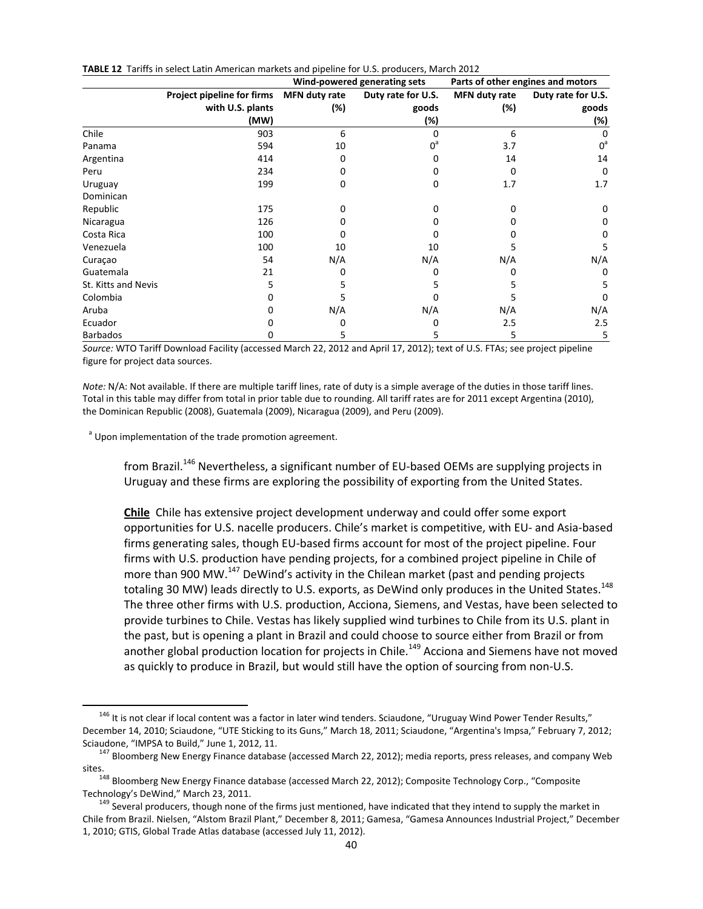|  | TABLE 12 Tariffs in select Latin American markets and pipeline for U.S. producers, March 2012 |  |  |  |  |  |  |
|--|-----------------------------------------------------------------------------------------------|--|--|--|--|--|--|
|--|-----------------------------------------------------------------------------------------------|--|--|--|--|--|--|

|                     |                            |               | Wind-powered generating sets | Parts of other engines and motors |                    |
|---------------------|----------------------------|---------------|------------------------------|-----------------------------------|--------------------|
|                     | Project pipeline for firms | MFN duty rate | Duty rate for U.S.           | MFN duty rate                     | Duty rate for U.S. |
|                     | with U.S. plants           | (%)           | goods                        | (%)                               | goods              |
|                     | (MW)                       |               | (%)                          |                                   | (%)                |
| Chile               | 903                        | 6             |                              | 6                                 |                    |
| Panama              | 594                        | 10            | በ"                           | 3.7                               | $0^a$              |
| Argentina           | 414                        | n             |                              | 14                                | 14                 |
| Peru                | 234                        |               |                              | 0                                 | $\Omega$           |
| Uruguay             | 199                        | O             | 0                            | 1.7                               | 1.7                |
| Dominican           |                            |               |                              |                                   |                    |
| Republic            | 175                        |               |                              | Ω                                 | 0                  |
| Nicaragua           | 126                        |               |                              |                                   | Ω                  |
| Costa Rica          | 100                        |               |                              |                                   | Ω                  |
| Venezuela           | 100                        | 10            | 10                           |                                   | 5                  |
| Curaçao             | 54                         | N/A           | N/A                          | N/A                               | N/A                |
| Guatemala           | 21                         |               |                              | O                                 | 0                  |
| St. Kitts and Nevis | 5                          |               |                              | 5                                 | 5                  |
| Colombia            |                            |               |                              |                                   | 0                  |
| Aruba               |                            | N/A           | N/A                          | N/A                               | N/A                |
| Ecuador             |                            |               |                              | 2.5                               | 2.5                |
| <b>Barbados</b>     | O                          | 5             | 5                            | 5                                 | 5                  |

*Source:* WTO Tariff Download Facility (accessed March 22, 2012 and April 17, 2012); text of U.S. FTAs; see project pipeline figure for project data sources.

*Note:* N/A: Not available. If there are multiple tariff lines, rate of duty is a simple average of the duties in those tariff lines. Total in this table may differ from total in prior table due to rounding. All tariff rates are for 2011 except Argentina (2010), the Dominican Republic (2008), Guatemala (2009), Nicaragua (2009), and Peru (2009).

<sup>a</sup> Upon implementation of the trade promotion agreement.

from Brazil.<sup>146</sup> Nevertheless, a significant number of EU-based OEMs are supplying projects in Uruguay and these firms are exploring the possibility of exporting from the United States.

**Chile** Chile has extensive project development underway and could offer some export opportunities for U.S. nacelle producers. Chile's market is competitive, with EU‐ and Asia‐based firms generating sales, though EU‐based firms account for most of the project pipeline. Four firms with U.S. production have pending projects, for a combined project pipeline in Chile of more than 900 MW.<sup>147</sup> DeWind's activity in the Chilean market (past and pending projects totaling 30 MW) leads directly to U.S. exports, as DeWind only produces in the United States.<sup>148</sup> The three other firms with U.S. production, Acciona, Siemens, and Vestas, have been selected to provide turbines to Chile. Vestas has likely supplied wind turbines to Chile from its U.S. plant in the past, but is opening a plant in Brazil and could choose to source either from Brazil or from another global production location for projects in Chile.<sup>149</sup> Acciona and Siemens have not moved as quickly to produce in Brazil, but would still have the option of sourcing from non‐U.S.

<sup>&</sup>lt;sup>146</sup> It is not clear if local content was a factor in later wind tenders. Sciaudone, "Uruguay Wind Power Tender Results," December 14, 2010; Sciaudone, "UTE Sticking to its Guns," March 18, 2011; Sciaudone, "Argentina's Impsa," February 7, 2012; Sciaudone, "IMPSA to Build," June 1, 2012, 11.<br><sup>147</sup> Bloomberg New Energy Finance database (accessed March 22, 2012); media reports, press releases, and company Web

sites.<br><sup>148</sup> Bloomberg New Energy Finance database (accessed March 22, 2012); Composite Technology Corp., "Composite Technology's DeWind," March 23, 2011.

<sup>&</sup>lt;sup>149</sup> Several producers, though none of the firms just mentioned, have indicated that they intend to supply the market in Chile from Brazil. Nielsen, "Alstom Brazil Plant," December 8, 2011; Gamesa, "Gamesa Announces Industrial Project," December 1, 2010; GTIS, Global Trade Atlas database (accessed July 11, 2012).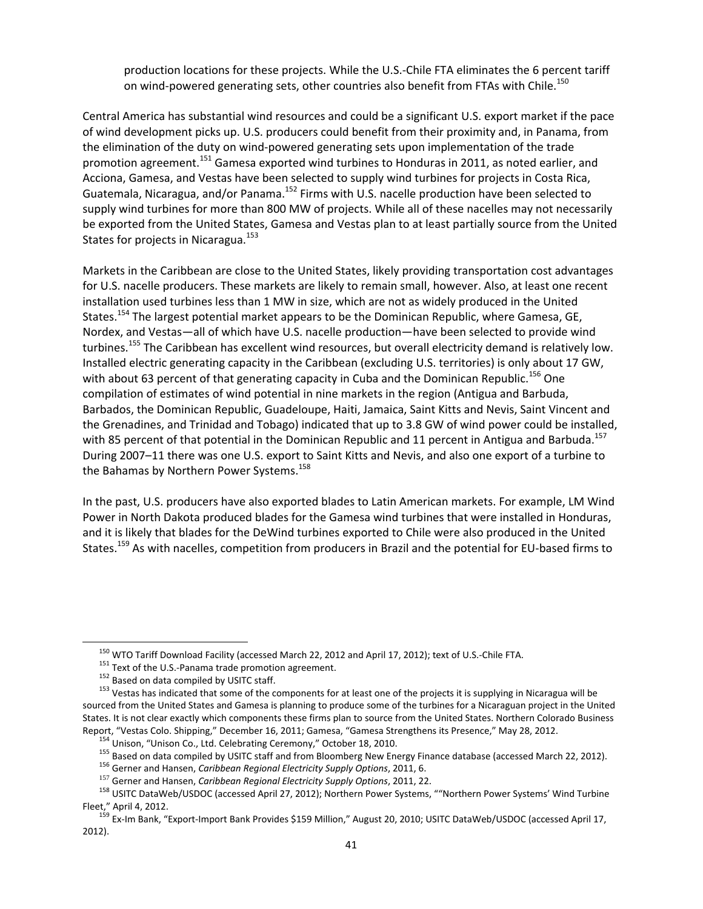production locations for these projects. While the U.S.‐Chile FTA eliminates the 6 percent tariff on wind-powered generating sets, other countries also benefit from FTAs with Chile.<sup>150</sup>

Central America has substantial wind resources and could be a significant U.S. export market if the pace of wind development picks up. U.S. producers could benefit from their proximity and, in Panama, from the elimination of the duty on wind‐powered generating sets upon implementation of the trade promotion agreement.<sup>151</sup> Gamesa exported wind turbines to Honduras in 2011, as noted earlier, and Acciona, Gamesa, and Vestas have been selected to supply wind turbines for projects in Costa Rica, Guatemala, Nicaragua, and/or Panama.<sup>152</sup> Firms with U.S. nacelle production have been selected to supply wind turbines for more than 800 MW of projects. While all of these nacelles may not necessarily be exported from the United States, Gamesa and Vestas plan to at least partially source from the United States for projects in Nicaragua.<sup>153</sup>

Markets in the Caribbean are close to the United States, likely providing transportation cost advantages for U.S. nacelle producers. These markets are likely to remain small, however. Also, at least one recent installation used turbines less than 1 MW in size, which are not as widely produced in the United States.<sup>154</sup> The largest potential market appears to be the Dominican Republic, where Gamesa, GE, Nordex, and Vestas—all of which have U.S. nacelle production—have been selected to provide wind turbines.<sup>155</sup> The Caribbean has excellent wind resources, but overall electricity demand is relatively low. Installed electric generating capacity in the Caribbean (excluding U.S. territories) is only about 17 GW, with about 63 percent of that generating capacity in Cuba and the Dominican Republic.<sup>156</sup> One compilation of estimates of wind potential in nine markets in the region (Antigua and Barbuda, Barbados, the Dominican Republic, Guadeloupe, Haiti, Jamaica, Saint Kitts and Nevis, Saint Vincent and the Grenadines, and Trinidad and Tobago) indicated that up to 3.8 GW of wind power could be installed, with 85 percent of that potential in the Dominican Republic and 11 percent in Antigua and Barbuda.<sup>157</sup> During 2007–11 there was one U.S. export to Saint Kitts and Nevis, and also one export of a turbine to the Bahamas by Northern Power Systems.<sup>158</sup>

In the past, U.S. producers have also exported blades to Latin American markets. For example, LM Wind Power in North Dakota produced blades for the Gamesa wind turbines that were installed in Honduras, and it is likely that blades for the DeWind turbines exported to Chile were also produced in the United States.<sup>159</sup> As with nacelles, competition from producers in Brazil and the potential for EU‐based firms to

<sup>&</sup>lt;sup>150</sup> WTO Tariff Download Facility (accessed March 22, 2012 and April 17, 2012); text of U.S.-Chile FTA.<br><sup>151</sup> Text of the U.S.-Panama trade promotion agreement.<br><sup>152</sup> Based on data compiled by USITC staff.<br><sup>152</sup> Vestas h sourced from the United States and Gamesa is planning to produce some of the turbines for a Nicaraguan project in the United States. It is not clear exactly which components these firms plan to source from the United States. Northern Colorado Business

Report, "Vestas Colo. Shipping," December 16, 2011; Gamesa, "Gamesa Strengthens its Presence," May 28, 2012.<br>
<sup>154</sup> Unison, "Unison Co., Ltd. Celebrating Ceremony," October 18, 2010.<br>
<sup>155</sup> Based on data compiled by USITC

Fleet," April 4, 2012.<br><sup>159</sup> Ex-Im Bank, "Export-Import Bank Provides \$159 Million," August 20, 2010; USITC DataWeb/USDOC (accessed April 17,

<sup>2012).</sup>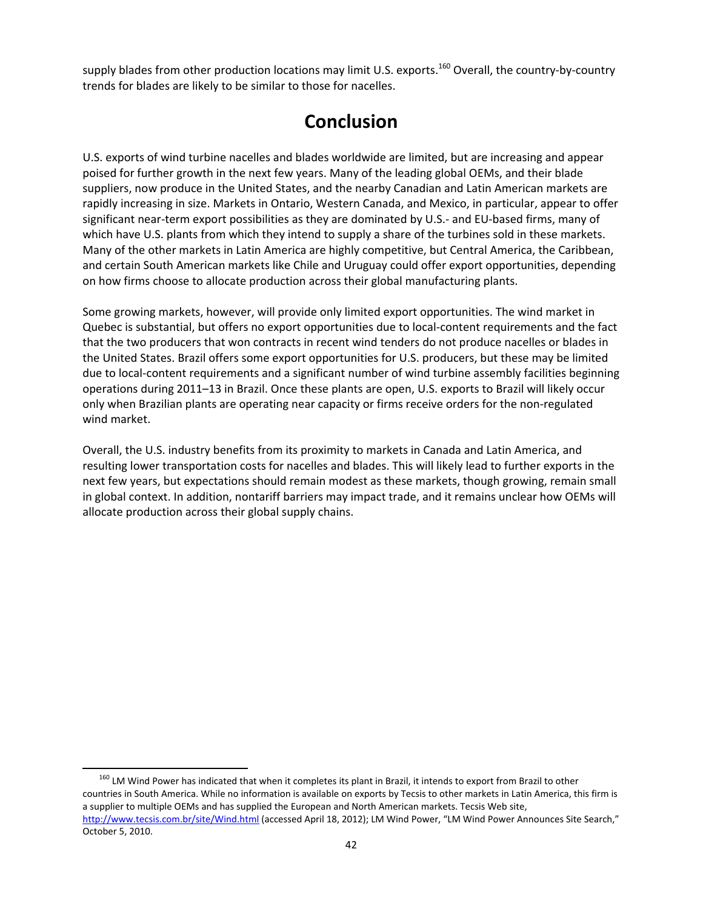supply blades from other production locations may limit U.S. exports.<sup>160</sup> Overall, the country-by-country trends for blades are likely to be similar to those for nacelles.

## **Conclusion**

U.S. exports of wind turbine nacelles and blades worldwide are limited, but are increasing and appear poised for further growth in the next few years. Many of the leading global OEMs, and their blade suppliers, now produce in the United States, and the nearby Canadian and Latin American markets are rapidly increasing in size. Markets in Ontario, Western Canada, and Mexico, in particular, appear to offer significant near-term export possibilities as they are dominated by U.S.- and EU-based firms, many of which have U.S. plants from which they intend to supply a share of the turbines sold in these markets. Many of the other markets in Latin America are highly competitive, but Central America, the Caribbean, and certain South American markets like Chile and Uruguay could offer export opportunities, depending on how firms choose to allocate production across their global manufacturing plants.

Some growing markets, however, will provide only limited export opportunities. The wind market in Quebec is substantial, but offers no export opportunities due to local‐content requirements and the fact that the two producers that won contracts in recent wind tenders do not produce nacelles or blades in the United States. Brazil offers some export opportunities for U.S. producers, but these may be limited due to local-content requirements and a significant number of wind turbine assembly facilities beginning operations during 2011–13 in Brazil. Once these plants are open, U.S. exports to Brazil will likely occur only when Brazilian plants are operating near capacity or firms receive orders for the non‐regulated wind market.

Overall, the U.S. industry benefits from its proximity to markets in Canada and Latin America, and resulting lower transportation costs for nacelles and blades. This will likely lead to further exports in the next few years, but expectations should remain modest as these markets, though growing, remain small in global context. In addition, nontariff barriers may impact trade, and it remains unclear how OEMs will allocate production across their global supply chains.

<sup>&</sup>lt;sup>160</sup> LM Wind Power has indicated that when it completes its plant in Brazil, it intends to export from Brazil to other countries in South America. While no information is available on exports by Tecsis to other markets in Latin America, this firm is a supplier to multiple OEMs and has supplied the European and North American markets. Tecsis Web site, http://www.tecsis.com.br/site/Wind.html (accessed April 18, 2012); LM Wind Power, "LM Wind Power Announces Site Search," October 5, 2010.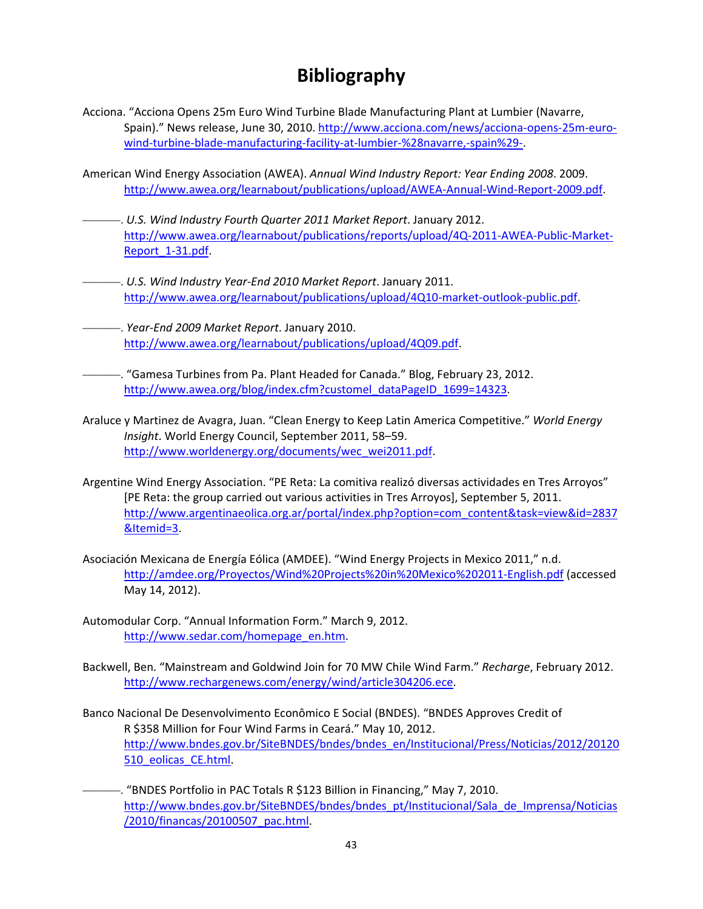# **Bibliography**

- Acciona. "Acciona Opens 25m Euro Wind Turbine Blade Manufacturing Plant at Lumbier (Navarre, Spain)." News release, June 30, 2010. http://www.acciona.com/news/acciona-opens-25m-eurowind-turbine-blade-manufacturing-facility-at-lumbier-%28navarre,-spain%29-.
- American Wind Energy Association (AWEA). *Annual Wind Industry Report: Year Ending 2008*. 2009. http://www.awea.org/learnabout/publications/upload/AWEA‐Annual‐Wind‐Report‐2009.pdf.
- ———. *U.S. Wind Industry Fourth Quarter 2011 Market Report*. January 2012. http://www.awea.org/learnabout/publications/reports/upload/4Q-2011-AWEA-Public-Market-Report\_1-31.pdf
- ———. *U.S. Wind Industry Year‐End 2010 Market Report*. January 2011. http://www.awea.org/learnabout/publications/upload/4Q10-market-outlook-public.pdf.
- ———. *Year‐End 2009 Market Report*. January 2010. http://www.awea.org/learnabout/publications/upload/4Q09.pdf.
	- ———. "Gamesa Turbines from Pa. Plant Headed for Canada." Blog, February 23, 2012. http://www.awea.org/blog/index.cfm?customel\_dataPageID\_1699=14323.
- Araluce y Martinez de Avagra, Juan. "Clean Energy to Keep Latin America Competitive." *World Energy Insight*. World Energy Council, September 2011, 58–59. http://www.worldenergy.org/documents/wec\_wei2011.pdf.
- Argentine Wind Energy Association. "PE Reta: La comitiva realizó diversas actividades en Tres Arroyos" [PE Reta: the group carried out various activities in Tres Arroyos], September 5, 2011. http://www.argentinaeolica.org.ar/portal/index.php?option=com\_content&task=view&id=2837 &Itemid=3.
- Asociación Mexicana de Energía Eólica (AMDEE). "Wind Energy Projects in Mexico 2011," n.d. http://amdee.org/Proyectos/Wind%20Projects%20in%20Mexico%202011‐English.pdf (accessed May 14, 2012).
- Automodular Corp. "Annual Information Form." March 9, 2012. http://www.sedar.com/homepage\_en.htm.
- Backwell, Ben. "Mainstream and Goldwind Join for 70 MW Chile Wind Farm." *Recharge*, February 2012. http://www.rechargenews.com/energy/wind/article304206.ece.
- Banco Nacional De Desenvolvimento Econômico E Social (BNDES). "BNDES Approves Credit of R \$358 Million for Four Wind Farms in Ceará." May 10, 2012. http://www.bndes.gov.br/SiteBNDES/bndes/bndes\_en/Institucional/Press/Noticias/2012/20120 510\_eolicas\_CE.html.
- ———. "BNDES Portfolio in PAC Totals R \$123 Billion in Financing," May 7, 2010. http://www.bndes.gov.br/SiteBNDES/bndes/bndes\_pt/Institucional/Sala\_de\_Imprensa/Noticias /2010/financas/20100507\_pac.html.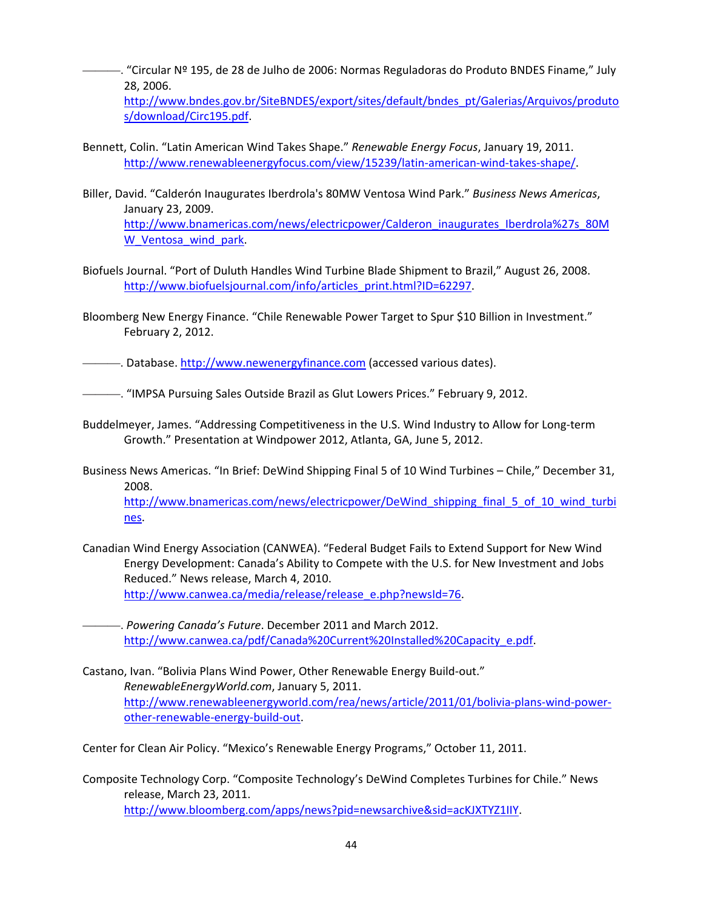———. "Circular Nº 195, de 28 de Julho de 2006: Normas Reguladoras do Produto BNDES Finame," July 28, 2006.

http://www.bndes.gov.br/SiteBNDES/export/sites/default/bndes\_pt/Galerias/Arquivos/produto s/download/Circ195.pdf.

- Bennett, Colin. "Latin American Wind Takes Shape." *Renewable Energy Focus*, January 19, 2011. http://www.renewableenergyfocus.com/view/15239/latin-american-wind-takes-shape/.
- Biller, David. "Calderón Inaugurates Iberdrola's 80MW Ventosa Wind Park." *Business News Americas*, January 23, 2009. http://www.bnamericas.com/news/electricpower/Calderon\_inaugurates\_Iberdrola%27s\_80M W Ventosa wind park.
- Biofuels Journal. "Port of Duluth Handles Wind Turbine Blade Shipment to Brazil," August 26, 2008. http://www.biofuelsjournal.com/info/articles\_print.html?ID=62297.
- Bloomberg New Energy Finance. "Chile Renewable Power Target to Spur \$10 Billion in Investment." February 2, 2012.

———. Database. http://www.newenergyfinance.com (accessed various dates).

———. "IMPSA Pursuing Sales Outside Brazil as Glut Lowers Prices." February 9, 2012.

- Buddelmeyer, James. "Addressing Competitiveness in the U.S. Wind Industry to Allow for Long‐term Growth." Presentation at Windpower 2012, Atlanta, GA, June 5, 2012.
- Business News Americas. "In Brief: DeWind Shipping Final 5 of 10 Wind Turbines Chile," December 31, 2008.

http://www.bnamericas.com/news/electricpower/DeWind shipping final 5 of 10 wind turbi nes.

Canadian Wind Energy Association (CANWEA). "Federal Budget Fails to Extend Support for New Wind Energy Development: Canada's Ability to Compete with the U.S. for New Investment and Jobs Reduced." News release, March 4, 2010. http://www.canwea.ca/media/release/release\_e.php?newsId=76.

———. *Powering Canada's Future*. December 2011 and March 2012. http://www.canwea.ca/pdf/Canada%20Current%20Installed%20Capacity\_e.pdf.

Castano, Ivan. "Bolivia Plans Wind Power, Other Renewable Energy Build‐out." *RenewableEnergyWorld.com*, January 5, 2011. http://www.renewableenergyworld.com/rea/news/article/2011/01/bolivia‐plans‐wind‐power‐ other‐renewable‐energy‐build‐out.

Center for Clean Air Policy. "Mexico's Renewable Energy Programs," October 11, 2011.

Composite Technology Corp. "Composite Technology's DeWind Completes Turbines for Chile." News release, March 23, 2011. http://www.bloomberg.com/apps/news?pid=newsarchive&sid=acKJXTYZ1IIY.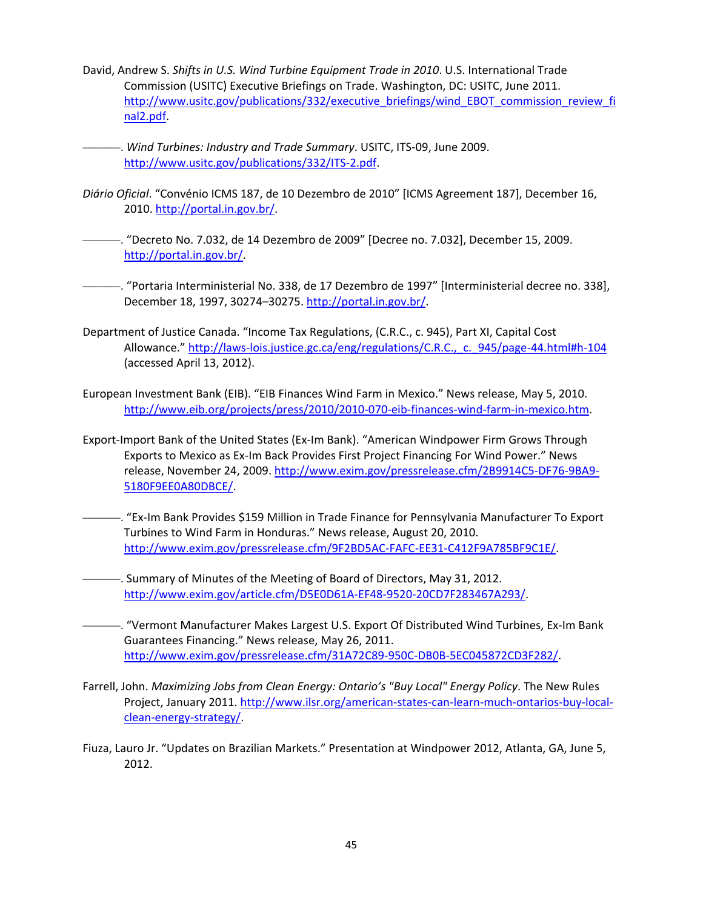- David, Andrew S. *Shifts in U.S. Wind Turbine Equipment Trade in 2010*. U.S. International Trade Commission (USITC) Executive Briefings on Trade. Washington, DC: USITC, June 2011. http://www.usitc.gov/publications/332/executive\_briefings/wind\_EBOT\_commission\_review\_fi nal2.pdf.
	- ———. *Wind Turbines: Industry and Trade Summary*. USITC, ITS‐09, June 2009. http://www.usitc.gov/publications/332/ITS‐2.pdf.
- *Diário Oficial*. "Convénio ICMS 187, de 10 Dezembro de 2010" [ICMS Agreement 187], December 16, 2010. http://portal.in.gov.br/.
- -. "Decreto No. 7.032, de 14 Dezembro de 2009" [Decree no. 7.032], December 15, 2009. http://portal.in.gov.br/.
- ———. "Portaria Interministerial No. 338, de 17 Dezembro de 1997" [Interministerial decree no. 338], December 18, 1997, 30274–30275. http://portal.in.gov.br/.
- Department of Justice Canada. "Income Tax Regulations, (C.R.C., c. 945), Part XI, Capital Cost Allowance." http://laws-lois.justice.gc.ca/eng/regulations/C.R.C., c. 945/page-44.html#h-104 (accessed April 13, 2012).
- European Investment Bank (EIB). "EIB Finances Wind Farm in Mexico." News release, May 5, 2010. http://www.eib.org/projects/press/2010/2010-070-eib-finances-wind-farm-in-mexico.htm.
- Export-Import Bank of the United States (Ex-Im Bank). "American Windpower Firm Grows Through Exports to Mexico as Ex‐Im Back Provides First Project Financing For Wind Power." News release, November 24, 2009. http://www.exim.gov/pressrelease.cfm/2B9914C5‐DF76‐9BA9‐ 5180F9EE0A80DBCE/.
	- ———. "Ex‐Im Bank Provides \$159 Million in Trade Finance for Pennsylvania Manufacturer To Export Turbines to Wind Farm in Honduras." News release, August 20, 2010. http://www.exim.gov/pressrelease.cfm/9F2BD5AC‐FAFC‐EE31‐C412F9A785BF9C1E/.
- -. Summary of Minutes of the Meeting of Board of Directors, May 31, 2012. http://www.exim.gov/article.cfm/D5E0D61A‐EF48‐9520‐20CD7F283467A293/.
- -. "Vermont Manufacturer Makes Largest U.S. Export Of Distributed Wind Turbines, Ex-Im Bank Guarantees Financing." News release, May 26, 2011. http://www.exim.gov/pressrelease.cfm/31A72C89‐950C‐DB0B‐5EC045872CD3F282/.
- Farrell, John. *Maximizing Jobs from Clean Energy: Ontario's "Buy Local" Energy Policy*. The New Rules Project, January 2011. http://www.ilsr.org/american-states-can-learn-much-ontarios-buy-localclean‐energy‐strategy/.
- Fiuza, Lauro Jr. "Updates on Brazilian Markets." Presentation at Windpower 2012, Atlanta, GA, June 5, 2012.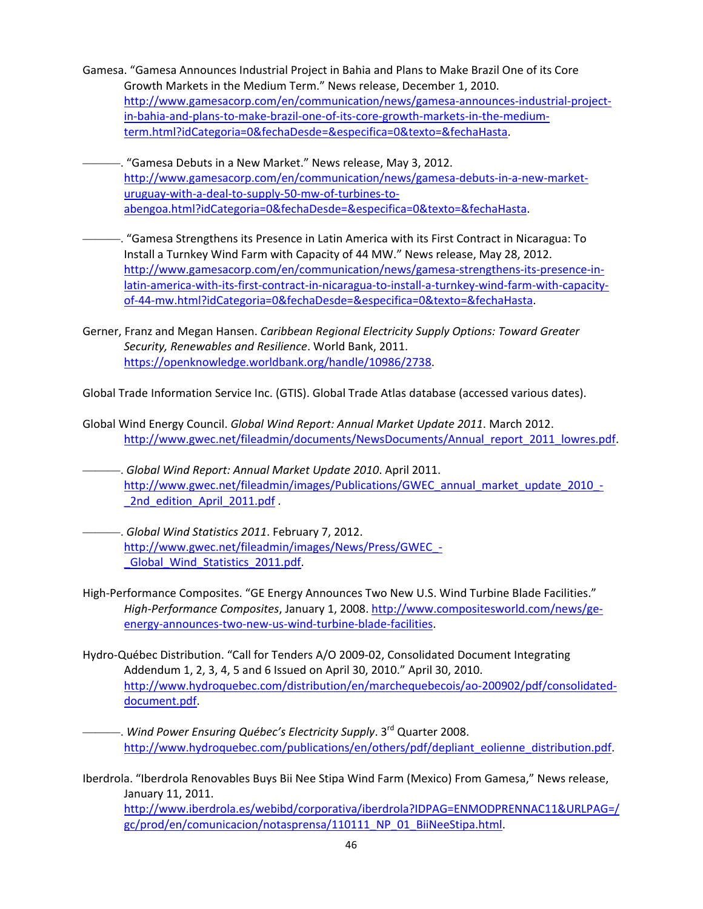- Gamesa. "Gamesa Announces Industrial Project in Bahia and Plans to Make Brazil One of its Core Growth Markets in the Medium Term." News release, December 1, 2010. http://www.gamesacorp.com/en/communication/news/gamesa-announces-industrial-projectin‐bahia‐and‐plans‐to‐make‐brazil‐one‐of‐its‐core‐growth‐markets‐in‐the‐medium‐ term.html?idCategoria=0&fechaDesde=&especifica=0&texto=&fechaHasta.
- -. "Gamesa Debuts in a New Market." News release, May 3, 2012. http://www.gamesacorp.com/en/communication/news/gamesa-debuts-in-a-new-marketuruguay‐with‐a‐deal‐to‐supply‐50‐mw‐of‐turbines‐to‐ abengoa.html?idCategoria=0&fechaDesde=&especifica=0&texto=&fechaHasta.
- ———. "Gamesa Strengthens its Presence in Latin America with its First Contract in Nicaragua: To Install a Turnkey Wind Farm with Capacity of 44 MW." News release, May 28, 2012. http://www.gamesacorp.com/en/communication/news/gamesa-strengthens-its-presence-inlatin‐america‐with‐its‐first‐contract‐in‐nicaragua‐to‐install‐a‐turnkey‐wind‐farm‐with‐capacity‐ of‐44‐mw.html?idCategoria=0&fechaDesde=&especifica=0&texto=&fechaHasta.
- Gerner, Franz and Megan Hansen. *Caribbean Regional Electricity Supply Options: Toward Greater Security, Renewables and Resilience*. World Bank, 2011. https://openknowledge.worldbank.org/handle/10986/2738.

Global Trade Information Service Inc. (GTIS). Global Trade Atlas database (accessed various dates).

- Global Wind Energy Council. *Global Wind Report: Annual Market Update 2011*. March 2012. http://www.gwec.net/fileadmin/documents/NewsDocuments/Annual\_report\_2011\_lowres.pdf.
- ———. *Global Wind Report: Annual Market Update 2010*. April 2011. http://www.gwec.net/fileadmin/images/Publications/GWEC\_annual\_market\_update\_2010\_-\_2nd\_edition\_April\_2011.pdf .
- ———. *Global Wind Statistics 2011*. February 7, 2012. http://www.gwec.net/fileadmin/images/News/Press/GWEC -\_Global\_Wind\_Statistics\_2011.pdf.
- High-Performance Composites. "GE Energy Announces Two New U.S. Wind Turbine Blade Facilities." *High‐Performance Composites*, January 1, 2008. http://www.compositesworld.com/news/ge‐ energy-announces-two-new-us-wind-turbine-blade-facilities.
- Hydro‐Québec Distribution. "Call for Tenders A/O 2009‐02, Consolidated Document Integrating Addendum 1, 2, 3, 4, 5 and 6 Issued on April 30, 2010." April 30, 2010. http://www.hydroquebec.com/distribution/en/marchequebecois/ao‐200902/pdf/consolidated‐ document.pdf.
- ———. *Wind Power Ensuring Québec's Electricity Supply*. 3rd Quarter 2008. http://www.hydroquebec.com/publications/en/others/pdf/depliant\_eolienne\_distribution.pdf.
- Iberdrola. "Iberdrola Renovables Buys Bii Nee Stipa Wind Farm (Mexico) From Gamesa," News release, January 11, 2011. http://www.iberdrola.es/webibd/corporativa/iberdrola?IDPAG=ENMODPRENNAC11&URLPAG=/ gc/prod/en/comunicacion/notasprensa/110111\_NP\_01\_BiiNeeStipa.html.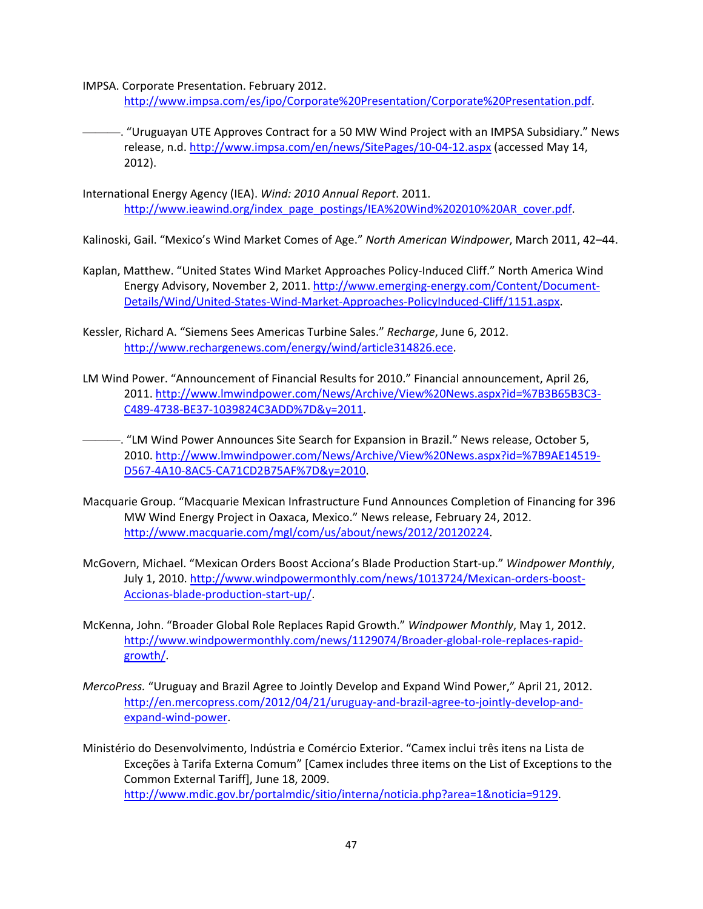IMPSA. Corporate Presentation. February 2012.

http://www.impsa.com/es/ipo/Corporate%20Presentation/Corporate%20Presentation.pdf.

- ———. "Uruguayan UTE Approves Contract for a 50 MW Wind Project with an IMPSA Subsidiary." News release, n.d. http://www.impsa.com/en/news/SitePages/10‐04‐12.aspx (accessed May 14, 2012).
- International Energy Agency (IEA). *Wind: 2010 Annual Report*. 2011. http://www.ieawind.org/index\_page\_postings/IEA%20Wind%202010%20AR\_cover.pdf.

Kalinoski, Gail. "Mexico's Wind Market Comes of Age." *North American Windpower*, March 2011, 42–44.

- Kaplan, Matthew. "United States Wind Market Approaches Policy‐Induced Cliff." North America Wind Energy Advisory, November 2, 2011. http://www.emerging-energy.com/Content/Document-Details/Wind/United‐States‐Wind‐Market‐Approaches‐PolicyInduced‐Cliff/1151.aspx.
- Kessler, Richard A. "Siemens Sees Americas Turbine Sales." *Recharge*, June 6, 2012. http://www.rechargenews.com/energy/wind/article314826.ece.
- LM Wind Power. "Announcement of Financial Results for 2010." Financial announcement, April 26, 2011. http://www.lmwindpower.com/News/Archive/View%20News.aspx?id=%7B3B65B3C3‐ C489‐4738‐BE37‐1039824C3ADD%7D&y=2011.
- -. "LM Wind Power Announces Site Search for Expansion in Brazil." News release, October 5, 2010. http://www.lmwindpower.com/News/Archive/View%20News.aspx?id=%7B9AE14519‐ D567‐4A10‐8AC5‐CA71CD2B75AF%7D&y=2010.
- Macquarie Group. "Macquarie Mexican Infrastructure Fund Announces Completion of Financing for 396 MW Wind Energy Project in Oaxaca, Mexico." News release, February 24, 2012. http://www.macquarie.com/mgl/com/us/about/news/2012/20120224.
- McGovern, Michael. "Mexican Orders Boost Acciona's Blade Production Start‐up." *Windpower Monthly*, July 1, 2010. http://www.windpowermonthly.com/news/1013724/Mexican-orders-boost-Accionas‐blade‐production‐start‐up/.
- McKenna, John. "Broader Global Role Replaces Rapid Growth." *Windpower Monthly*, May 1, 2012. http://www.windpowermonthly.com/news/1129074/Broader-global-role-replaces-rapidgrowth/.
- *MercoPress.* "Uruguay and Brazil Agree to Jointly Develop and Expand Wind Power," April 21, 2012. http://en.mercopress.com/2012/04/21/uruguay‐and‐brazil‐agree‐to‐jointly‐develop‐and‐ expand‐wind‐power.
- Ministério do Desenvolvimento, Indústria e Comércio Exterior. "Camex inclui três itens na Lista de Exceções à Tarifa Externa Comum" [Camex includes three items on the List of Exceptions to the Common External Tariff], June 18, 2009. http://www.mdic.gov.br/portalmdic/sitio/interna/noticia.php?area=1&noticia=9129.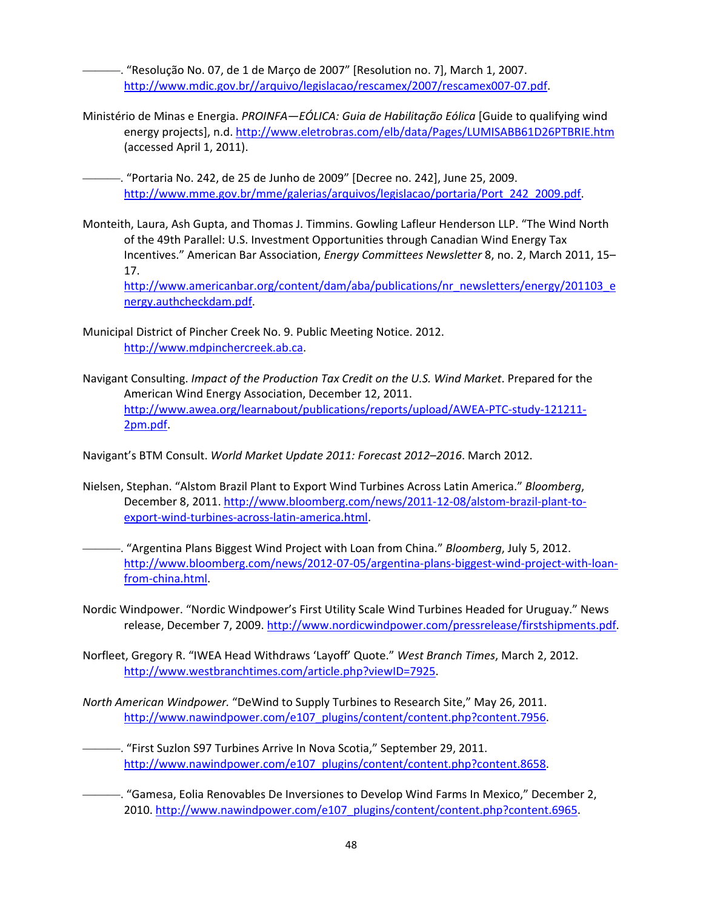———. "Resolução No. 07, de 1 de Março de 2007" [Resolution no. 7], March 1, 2007. http://www.mdic.gov.br//arquivo/legislacao/rescamex/2007/rescamex007‐07.pdf.

Ministério de Minas e Energia. *PROINFA—EÓLICA: Guia de Habilitação Eólica* [Guide to qualifying wind energy projects], n.d. http://www.eletrobras.com/elb/data/Pages/LUMISABB61D26PTBRIE.htm (accessed April 1, 2011).

———. "Portaria No. 242, de 25 de Junho de 2009" [Decree no. 242], June 25, 2009. http://www.mme.gov.br/mme/galerias/arquivos/legislacao/portaria/Port\_242\_2009.pdf.

Monteith, Laura, Ash Gupta, and Thomas J. Timmins. Gowling Lafleur Henderson LLP. "The Wind North of the 49th Parallel: U.S. Investment Opportunities through Canadian Wind Energy Tax Incentives." American Bar Association, *Energy Committees Newsletter* 8, no. 2, March 2011, 15– 17. http://www.americanbar.org/content/dam/aba/publications/nr\_newsletters/energy/201103\_e

nergy.authcheckdam.pdf.

- Municipal District of Pincher Creek No. 9. Public Meeting Notice. 2012. http://www.mdpinchercreek.ab.ca.
- Navigant Consulting. *Impact of the Production Tax Credit on the U.S. Wind Market*. Prepared for the American Wind Energy Association, December 12, 2011. http://www.awea.org/learnabout/publications/reports/upload/AWEA‐PTC‐study‐121211‐ 2pm.pdf.

Navigant's BTM Consult. *World Market Update 2011: Forecast 2012–2016*. March 2012.

- Nielsen, Stephan. "Alstom Brazil Plant to Export Wind Turbines Across Latin America." *Bloomberg*, December 8, 2011. http://www.bloomberg.com/news/2011-12-08/alstom-brazil-plant-toexport‐wind‐turbines‐across‐latin‐america.html.
- ———. "Argentina Plans Biggest Wind Project with Loan from China." *Bloomberg*, July 5, 2012. http://www.bloomberg.com/news/2012‐07‐05/argentina‐plans‐biggest‐wind‐project‐with‐loan‐ from‐china.html.
- Nordic Windpower. "Nordic Windpower's First Utility Scale Wind Turbines Headed for Uruguay." News release, December 7, 2009. http://www.nordicwindpower.com/pressrelease/firstshipments.pdf.
- Norfleet, Gregory R. "IWEA Head Withdraws 'Layoff' Quote." *West Branch Times*, March 2, 2012. http://www.westbranchtimes.com/article.php?viewID=7925.
- *North American Windpower.* "DeWind to Supply Turbines to Research Site," May 26, 2011. http://www.nawindpower.com/e107\_plugins/content/content.php?content.7956.
	- ———. "First Suzlon S97 Turbines Arrive In Nova Scotia," September 29, 2011. http://www.nawindpower.com/e107\_plugins/content/content.php?content.8658.
	- -. "Gamesa, Eolia Renovables De Inversiones to Develop Wind Farms In Mexico," December 2, 2010. http://www.nawindpower.com/e107\_plugins/content/content.php?content.6965.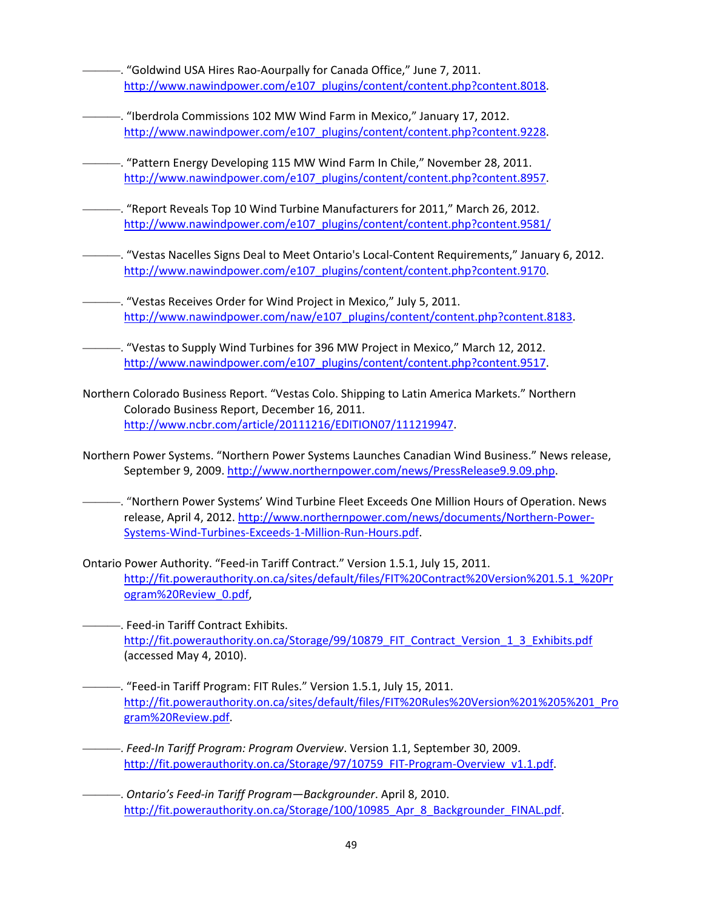-. "Goldwind USA Hires Rao-Aourpally for Canada Office," June 7, 2011. http://www.nawindpower.com/e107\_plugins/content/content.php?content.8018.

- ———. "Iberdrola Commissions 102 MW Wind Farm in Mexico," January 17, 2012. http://www.nawindpower.com/e107\_plugins/content/content.php?content.9228.
- ———. "Pattern Energy Developing 115 MW Wind Farm In Chile," November 28, 2011. http://www.nawindpower.com/e107\_plugins/content/content.php?content.8957.
- ———. "Report Reveals Top 10 Wind Turbine Manufacturers for 2011," March 26, 2012. http://www.nawindpower.com/e107\_plugins/content/content.php?content.9581/
- ———. "Vestas Nacelles Signs Deal to Meet Ontario's Local‐Content Requirements," January 6, 2012. http://www.nawindpower.com/e107\_plugins/content/content.php?content.9170.
	- ———. "Vestas Receives Order for Wind Project in Mexico," July 5, 2011. http://www.nawindpower.com/naw/e107\_plugins/content/content.php?content.8183.
		- -. "Vestas to Supply Wind Turbines for 396 MW Project in Mexico," March 12, 2012. http://www.nawindpower.com/e107\_plugins/content/content.php?content.9517.
- Northern Colorado Business Report. "Vestas Colo. Shipping to Latin America Markets." Northern Colorado Business Report, December 16, 2011. http://www.ncbr.com/article/20111216/EDITION07/111219947.
- Northern Power Systems. "Northern Power Systems Launches Canadian Wind Business." News release, September 9, 2009. http://www.northernpower.com/news/PressRelease9.9.09.php.
	- ———. "Northern Power Systems' Wind Turbine Fleet Exceeds One Million Hours of Operation. News release, April 4, 2012. http://www.northernpower.com/news/documents/Northern‐Power‐ Systems‐Wind‐Turbines‐Exceeds‐1‐Million‐Run‐Hours.pdf.
- Ontario Power Authority. "Feed‐in Tariff Contract." Version 1.5.1, July 15, 2011. http://fit.powerauthority.on.ca/sites/default/files/FIT%20Contract%20Version%201.5.1\_%20Pr ogram%20Review\_0.pdf,
- -. Feed-in Tariff Contract Exhibits. http://fit.powerauthority.on.ca/Storage/99/10879\_FIT\_Contract\_Version\_1\_3\_Exhibits.pdf (accessed May 4, 2010).
	- -. "Feed-in Tariff Program: FIT Rules." Version 1.5.1, July 15, 2011. http://fit.powerauthority.on.ca/sites/default/files/FIT%20Rules%20Version%201%205%201\_Pro gram%20Review.pdf.
- ———. *Feed‐In Tariff Program: Program Overview*. Version 1.1, September 30, 2009. http://fit.powerauthority.on.ca/Storage/97/10759\_FIT-Program-Overview\_v1.1.pdf.
- ———. *Ontario's Feed‐in Tariff Program—Backgrounder*. April 8, 2010. http://fit.powerauthority.on.ca/Storage/100/10985\_Apr\_8\_Backgrounder\_FINAL.pdf.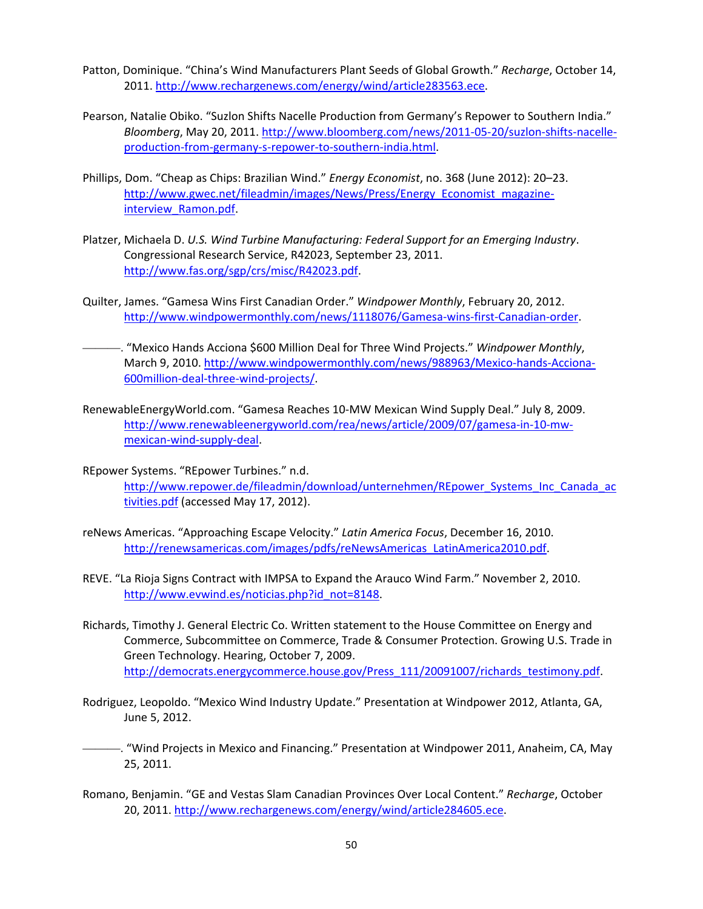- Patton, Dominique. "China's Wind Manufacturers Plant Seeds of Global Growth." *Recharge*, October 14, 2011. http://www.rechargenews.com/energy/wind/article283563.ece.
- Pearson, Natalie Obiko. "Suzlon Shifts Nacelle Production from Germany's Repower to Southern India." *Bloomberg*, May 20, 2011. http://www.bloomberg.com/news/2011‐05‐20/suzlon‐shifts‐nacelle‐ production‐from‐germany‐s‐repower‐to‐southern‐india.html.
- Phillips, Dom. "Cheap as Chips: Brazilian Wind." *Energy Economist*, no. 368 (June 2012): 20–23. http://www.gwec.net/fileadmin/images/News/Press/Energy\_Economist\_magazineinterview\_Ramon.pdf.
- Platzer, Michaela D. *U.S. Wind Turbine Manufacturing: Federal Support for an Emerging Industry*. Congressional Research Service, R42023, September 23, 2011. http://www.fas.org/sgp/crs/misc/R42023.pdf.
- Quilter, James. "Gamesa Wins First Canadian Order." *Windpower Monthly*, February 20, 2012. http://www.windpowermonthly.com/news/1118076/Gamesa-wins-first-Canadian-order.
- ———. "Mexico Hands Acciona \$600 Million Deal for Three Wind Projects." *Windpower Monthly*, March 9, 2010. http://www.windpowermonthly.com/news/988963/Mexico-hands-Acciona-600million‐deal‐three‐wind‐projects/.
- RenewableEnergyWorld.com. "Gamesa Reaches 10‐MW Mexican Wind Supply Deal." July 8, 2009. http://www.renewableenergyworld.com/rea/news/article/2009/07/gamesa-in-10-mwmexican‐wind‐supply‐deal.
- REpower Systems. "REpower Turbines." n.d. http://www.repower.de/fileadmin/download/unternehmen/REpower\_Systems\_Inc\_Canada\_ac tivities.pdf (accessed May 17, 2012).
- reNews Americas. "Approaching Escape Velocity." *Latin America Focus*, December 16, 2010. http://renewsamericas.com/images/pdfs/reNewsAmericas\_LatinAmerica2010.pdf.
- REVE. "La Rioja Signs Contract with IMPSA to Expand the Arauco Wind Farm." November 2, 2010. http://www.evwind.es/noticias.php?id\_not=8148.
- Richards, Timothy J. General Electric Co. Written statement to the House Committee on Energy and Commerce, Subcommittee on Commerce, Trade & Consumer Protection. Growing U.S. Trade in Green Technology. Hearing, October 7, 2009. http://democrats.energycommerce.house.gov/Press\_111/20091007/richards\_testimony.pdf.
- Rodriguez, Leopoldo. "Mexico Wind Industry Update." Presentation at Windpower 2012, Atlanta, GA, June 5, 2012.
- -. "Wind Projects in Mexico and Financing." Presentation at Windpower 2011, Anaheim, CA, May 25, 2011.
- Romano, Benjamin. "GE and Vestas Slam Canadian Provinces Over Local Content." *Recharge*, October 20, 2011. http://www.rechargenews.com/energy/wind/article284605.ece.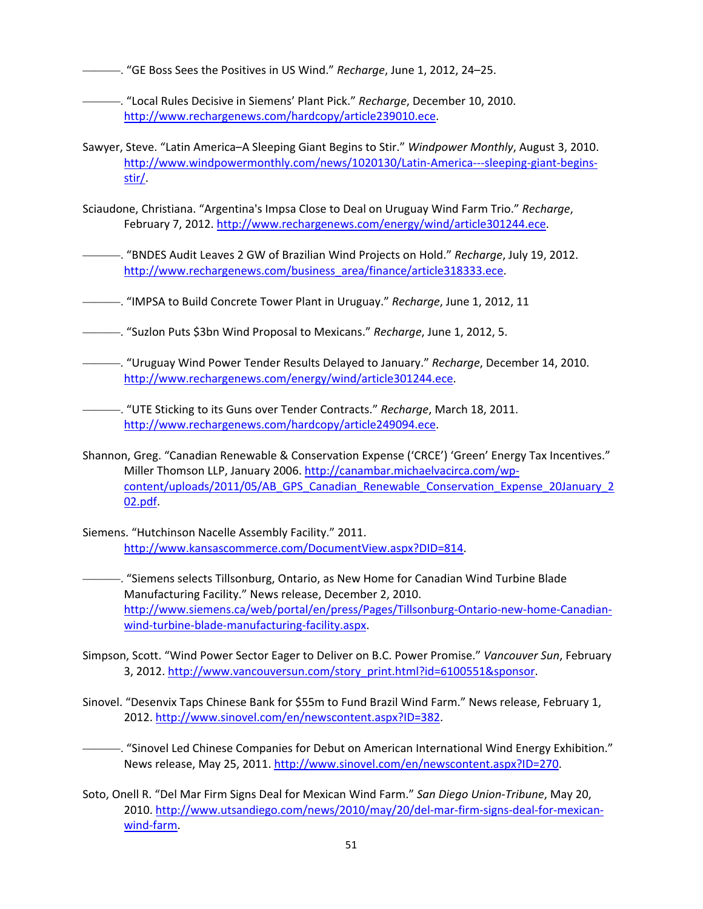———. "GE Boss Sees the Positives in US Wind." *Recharge*, June 1, 2012, 24–25.

———. "Local Rules Decisive in Siemens' Plant Pick." *Recharge*, December 10, 2010. http://www.rechargenews.com/hardcopy/article239010.ece.

- Sawyer, Steve. "Latin America–A Sleeping Giant Begins to Stir." *Windpower Monthly*, August 3, 2010. http://www.windpowermonthly.com/news/1020130/Latin-America---sleeping-giant-beginsstir/.
- Sciaudone, Christiana. "Argentina's Impsa Close to Deal on Uruguay Wind Farm Trio." *Recharge*, February 7, 2012. http://www.rechargenews.com/energy/wind/article301244.ece.

———. "BNDES Audit Leaves 2 GW of Brazilian Wind Projects on Hold." *Recharge*, July 19, 2012. http://www.rechargenews.com/business\_area/finance/article318333.ece.

- ———. "IMPSA to Build Concrete Tower Plant in Uruguay." *Recharge*, June 1, 2012, 11
- ———. "Suzlon Puts \$3bn Wind Proposal to Mexicans." *Recharge*, June 1, 2012, 5.
- ———. "Uruguay Wind Power Tender Results Delayed to January." *Recharge*, December 14, 2010. http://www.rechargenews.com/energy/wind/article301244.ece.
- ———. "UTE Sticking to its Guns over Tender Contracts." *Recharge*, March 18, 2011. http://www.rechargenews.com/hardcopy/article249094.ece.
- Shannon, Greg. "Canadian Renewable & Conservation Expense ('CRCE') 'Green' Energy Tax Incentives." Miller Thomson LLP, January 2006. http://canambar.michaelvacirca.com/wpcontent/uploads/2011/05/AB\_GPS\_Canadian\_Renewable\_Conservation\_Expense\_20January\_2 02.pdf.
- Siemens. "Hutchinson Nacelle Assembly Facility." 2011. http://www.kansascommerce.com/DocumentView.aspx?DID=814.
- -. "Siemens selects Tillsonburg, Ontario, as New Home for Canadian Wind Turbine Blade Manufacturing Facility." News release, December 2, 2010. http://www.siemens.ca/web/portal/en/press/Pages/Tillsonburg-Ontario-new-home-Canadianwind-turbine-blade-manufacturing-facility.aspx.
- Simpson, Scott. "Wind Power Sector Eager to Deliver on B.C. Power Promise." *Vancouver Sun*, February 3, 2012. http://www.vancouversun.com/story\_print.html?id=6100551&sponsor.
- Sinovel. "Desenvix Taps Chinese Bank for \$55m to Fund Brazil Wind Farm." News release, February 1, 2012. http://www.sinovel.com/en/newscontent.aspx?ID=382.
	- ———. "Sinovel Led Chinese Companies for Debut on American International Wind Energy Exhibition." News release, May 25, 2011. http://www.sinovel.com/en/newscontent.aspx?ID=270.
- Soto, Onell R. "Del Mar Firm Signs Deal for Mexican Wind Farm." *San Diego Union‐Tribune*, May 20, 2010. http://www.utsandiego.com/news/2010/may/20/del-mar-firm-signs-deal-for-mexicanwind-farm.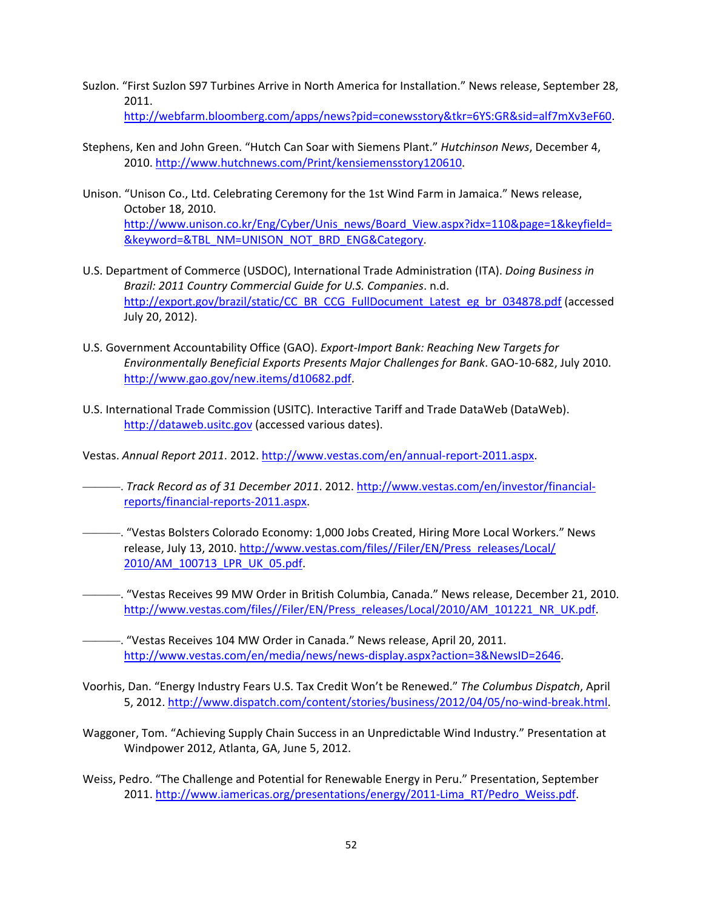- Suzlon. "First Suzlon S97 Turbines Arrive in North America for Installation." News release, September 28, 2011. http://webfarm.bloomberg.com/apps/news?pid=conewsstory&tkr=6YS:GR&sid=alf7mXv3eF60.
- Stephens, Ken and John Green. "Hutch Can Soar with Siemens Plant." *Hutchinson News*, December 4, 2010. http://www.hutchnews.com/Print/kensiemensstory120610.
- Unison. "Unison Co., Ltd. Celebrating Ceremony for the 1st Wind Farm in Jamaica." News release, October 18, 2010. http://www.unison.co.kr/Eng/Cyber/Unis\_news/Board\_View.aspx?idx=110&page=1&keyfield= &keyword=&TBL\_NM=UNISON\_NOT\_BRD\_ENG&Category.
- U.S. Department of Commerce (USDOC), International Trade Administration (ITA). *Doing Business in Brazil: 2011 Country Commercial Guide for U.S. Companies*. n.d. http://export.gov/brazil/static/CC\_BR\_CCG\_FullDocument\_Latest\_eg\_br\_034878.pdf (accessed July 20, 2012).
- U.S. Government Accountability Office (GAO). *Export‐Import Bank: Reaching New Targets for Environmentally Beneficial Exports Presents Major Challenges for Bank*. GAO‐10‐682, July 2010. http://www.gao.gov/new.items/d10682.pdf.
- U.S. International Trade Commission (USITC). Interactive Tariff and Trade DataWeb (DataWeb). http://dataweb.usitc.gov (accessed various dates).

Vestas. *Annual Report 2011*. 2012. http://www.vestas.com/en/annual‐report‐2011.aspx.

———. *Track Record as of 31 December 2011*. 2012. http://www.vestas.com/en/investor/financial‐ reports/financial‐reports‐2011.aspx.

- ———. "Vestas Bolsters Colorado Economy: 1,000 Jobs Created, Hiring More Local Workers." News release, July 13, 2010. http://www.vestas.com/files//Filer/EN/Press\_releases/Local/ 2010/AM\_100713\_LPR\_UK\_05.pdf.
- ———. "Vestas Receives 99 MW Order in British Columbia, Canada." News release, December 21, 2010. http://www.vestas.com/files//Filer/EN/Press\_releases/Local/2010/AM\_101221\_NR\_UK.pdf.
	- ———. "Vestas Receives 104 MW Order in Canada." News release, April 20, 2011. http://www.vestas.com/en/media/news/news-display.aspx?action=3&NewsID=2646.
- Voorhis, Dan. "Energy Industry Fears U.S. Tax Credit Won't be Renewed." *The Columbus Dispatch*, April 5, 2012. http://www.dispatch.com/content/stories/business/2012/04/05/no‐wind‐break.html.
- Waggoner, Tom. "Achieving Supply Chain Success in an Unpredictable Wind Industry." Presentation at Windpower 2012, Atlanta, GA, June 5, 2012.
- Weiss, Pedro. "The Challenge and Potential for Renewable Energy in Peru." Presentation, September 2011. http://www.iamericas.org/presentations/energy/2011-Lima\_RT/Pedro\_Weiss.pdf.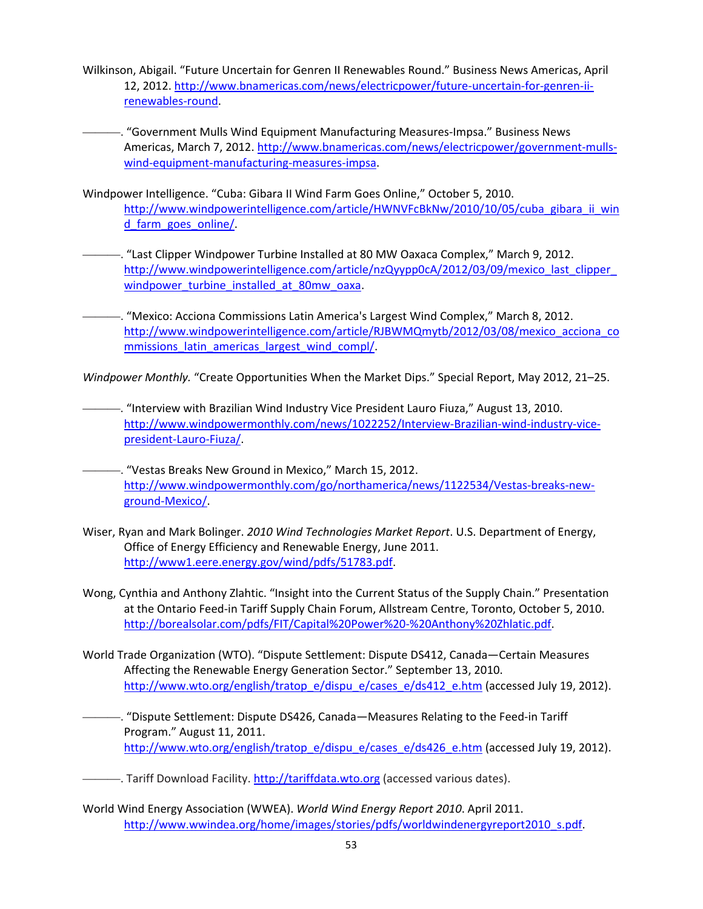- Wilkinson, Abigail. "Future Uncertain for Genren II Renewables Round." Business News Americas, April 12, 2012. http://www.bnamericas.com/news/electricpower/future-uncertain-for-genren-iirenewables‐round.
- ———. "Government Mulls Wind Equipment Manufacturing Measures‐Impsa." Business News Americas, March 7, 2012. http://www.bnamericas.com/news/electricpower/government-mullswind‐equipment‐manufacturing‐measures‐impsa.
- Windpower Intelligence. "Cuba: Gibara II Wind Farm Goes Online," October 5, 2010. http://www.windpowerintelligence.com/article/HWNVFcBkNw/2010/10/05/cuba\_gibara\_ii\_win d\_farm\_goes\_online/.
	- ———. "Last Clipper Windpower Turbine Installed at 80 MW Oaxaca Complex," March 9, 2012. http://www.windpowerintelligence.com/article/nzQyypp0cA/2012/03/09/mexico\_last\_clipper\_ windpower\_turbine\_installed\_at\_80mw\_oaxa.
- -. "Mexico: Acciona Commissions Latin America's Largest Wind Complex," March 8, 2012. http://www.windpowerintelligence.com/article/RJBWMQmytb/2012/03/08/mexico\_acciona\_co mmissions\_latin\_americas\_largest\_wind\_compl/.

*Windpower Monthly.* "Create Opportunities When the Market Dips." Special Report, May 2012, 21–25.

- ———. "Interview with Brazilian Wind Industry Vice President Lauro Fiuza," August 13, 2010. http://www.windpowermonthly.com/news/1022252/Interview-Brazilian-wind-industry-vicepresident‐Lauro‐Fiuza/.
	- -. "Vestas Breaks New Ground in Mexico," March 15, 2012. http://www.windpowermonthly.com/go/northamerica/news/1122534/Vestas-breaks-newground‐Mexico/.
- Wiser, Ryan and Mark Bolinger. *2010 Wind Technologies Market Report*. U.S. Department of Energy, Office of Energy Efficiency and Renewable Energy, June 2011. http://www1.eere.energy.gov/wind/pdfs/51783.pdf.
- Wong, Cynthia and Anthony Zlahtic. "Insight into the Current Status of the Supply Chain." Presentation at the Ontario Feed‐in Tariff Supply Chain Forum, Allstream Centre, Toronto, October 5, 2010. http://borealsolar.com/pdfs/FIT/Capital%20Power%20‐%20Anthony%20Zhlatic.pdf.
- World Trade Organization (WTO). "Dispute Settlement: Dispute DS412, Canada—Certain Measures Affecting the Renewable Energy Generation Sector." September 13, 2010. http://www.wto.org/english/tratop\_e/dispu\_e/cases\_e/ds412\_e.htm (accessed July 19, 2012).
	- ———. "Dispute Settlement: Dispute DS426, Canada—Measures Relating to the Feed‐in Tariff Program." August 11, 2011. http://www.wto.org/english/tratop\_e/dispu\_e/cases\_e/ds426\_e.htm (accessed July 19, 2012).
- ———. Tariff Download Facility. http://tariffdata.wto.org (accessed various dates).
- World Wind Energy Association (WWEA). *World Wind Energy Report 2010*. April 2011. http://www.wwindea.org/home/images/stories/pdfs/worldwindenergyreport2010\_s.pdf.